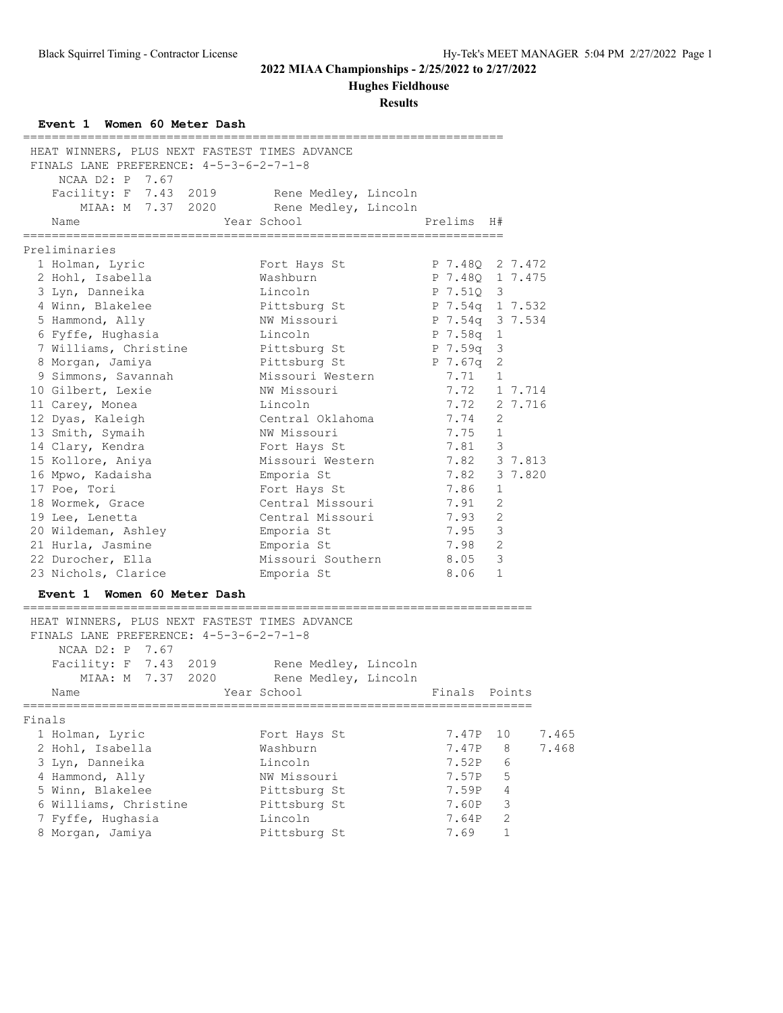**Hughes Fieldhouse**

| Event 1 Women 60 Meter Dash<br>-------------------------                                                    |                                        |                                    |       |
|-------------------------------------------------------------------------------------------------------------|----------------------------------------|------------------------------------|-------|
| HEAT WINNERS, PLUS NEXT FASTEST TIMES ADVANCE<br>FINALS LANE PREFERENCE: 4-5-3-6-2-7-1-8<br>NCAA D2: P 7.67 |                                        |                                    |       |
| Facility: F 7.43 2019                                                                                       | Rene Medley, Lincoln                   |                                    |       |
|                                                                                                             | MIAA: M 7.37 2020 Rene Medley, Lincoln |                                    |       |
| Year School<br>Name                                                                                         |                                        | Prelims H#                         |       |
|                                                                                                             |                                        |                                    |       |
| Preliminaries                                                                                               |                                        |                                    |       |
| 1 Holman, Lyric<br>2 Hohl, Isabella                                                                         | Fort Hays St<br>Washburn               | P 7.48Q 2 7.472<br>P 7.48Q 1 7.475 |       |
| 3 Lyn, Danneika                                                                                             | Lincoln                                | P 7.510 3                          |       |
| 4 Winn, Blakelee                                                                                            | Pittsburg St                           | P 7.54q 1 7.532                    |       |
| 5 Hammond, Ally                                                                                             | NW Missouri                            | P 7.54q 3 7.534                    |       |
| 6 Fyffe, Hughasia                                                                                           | Lincoln                                | P 7.58q 1                          |       |
| 7 Williams, Christine                                                                                       | Pittsburg St                           | P 7.59q 3                          |       |
| 8 Morgan, Jamiya                                                                                            | Pittsburg St                           | P 7.67q 2                          |       |
| 9 Simmons, Savannah                                                                                         | Missouri Western                       | 7.71 1                             |       |
| 10 Gilbert, Lexie                                                                                           | NW Missouri                            | 7.72 1 7.714                       |       |
| 11 Carey, Monea                                                                                             | Lincoln                                | 7.72 2 7.716                       |       |
| 12 Dyas, Kaleigh                                                                                            | Central Oklahoma                       | 7.74<br>-2                         |       |
| 13 Smith, Symaih                                                                                            | NW Missouri                            | 7.75<br>1                          |       |
| 14 Clary, Kendra                                                                                            | Fort Hays St                           | $\mathbf{3}$<br>7.81               |       |
| 15 Kollore, Aniya                                                                                           | Missouri Western                       | 7.82 3 7.813                       |       |
| 16 Mpwo, Kadaisha                                                                                           | Emporia St                             | 7.82 3 7.820                       |       |
| 17 Poe, Tori                                                                                                | Fort Hays St                           | 7.86<br>1                          |       |
| 18 Wormek, Grace                                                                                            | Central Missouri                       | 2<br>7.91                          |       |
| 19 Lee, Lenetta                                                                                             | Central Missouri                       | 7.93<br>2                          |       |
| 20 Wildeman, Ashley                                                                                         | Emporia St                             | 7.95<br>$\overline{\mathbf{3}}$    |       |
| 21 Hurla, Jasmine                                                                                           | Emporia St                             | 7.98 2                             |       |
| 22 Durocher, Ella                                                                                           | Missouri Southern 8.05 3               |                                    |       |
| 23 Nichols, Clarice                                                                                         | Emporia St                             | 8.06 1                             |       |
| Event 1 Women 60 Meter Dash                                                                                 |                                        |                                    |       |
| HEAT WINNERS, PLUS NEXT FASTEST TIMES ADVANCE<br>FINALS LANE PREFERENCE: 4-5-3-6-2-7-1-8                    |                                        |                                    |       |
| NCAA D2: P 7.67                                                                                             |                                        |                                    |       |
|                                                                                                             |                                        |                                    |       |
| Facility: F 7.43 2019 Rene Medley, Lincoln<br>MIAA: M 7.37 2020 Rene Medley, Lincoln                        |                                        |                                    |       |
| Name                                                                                                        |                                        |                                    |       |
|                                                                                                             |                                        |                                    |       |
| Finals                                                                                                      |                                        |                                    |       |
| 1 Holman, Lyric                                                                                             | Fort Hays St                           | 7.47P<br>10                        | 7.465 |
| 2 Hohl, Isabella                                                                                            | Washburn                               | 7.47P<br>8                         | 7.468 |
| 3 Lyn, Danneika                                                                                             | Lincoln                                | 6<br>7.52P                         |       |
| 4 Hammond, Ally                                                                                             | NW Missouri                            | 5<br>7.57P                         |       |
| 5 Winn, Blakelee                                                                                            | Pittsburg St                           | 7.59P<br>4                         |       |
| 6 Williams, Christine                                                                                       | Pittsburg St                           | 3<br>7.60P                         |       |
| 7 Fyffe, Hughasia                                                                                           | Lincoln                                | 2<br>7.64P                         |       |
| 8 Morgan, Jamiya                                                                                            | Pittsburg St                           | 1<br>7.69                          |       |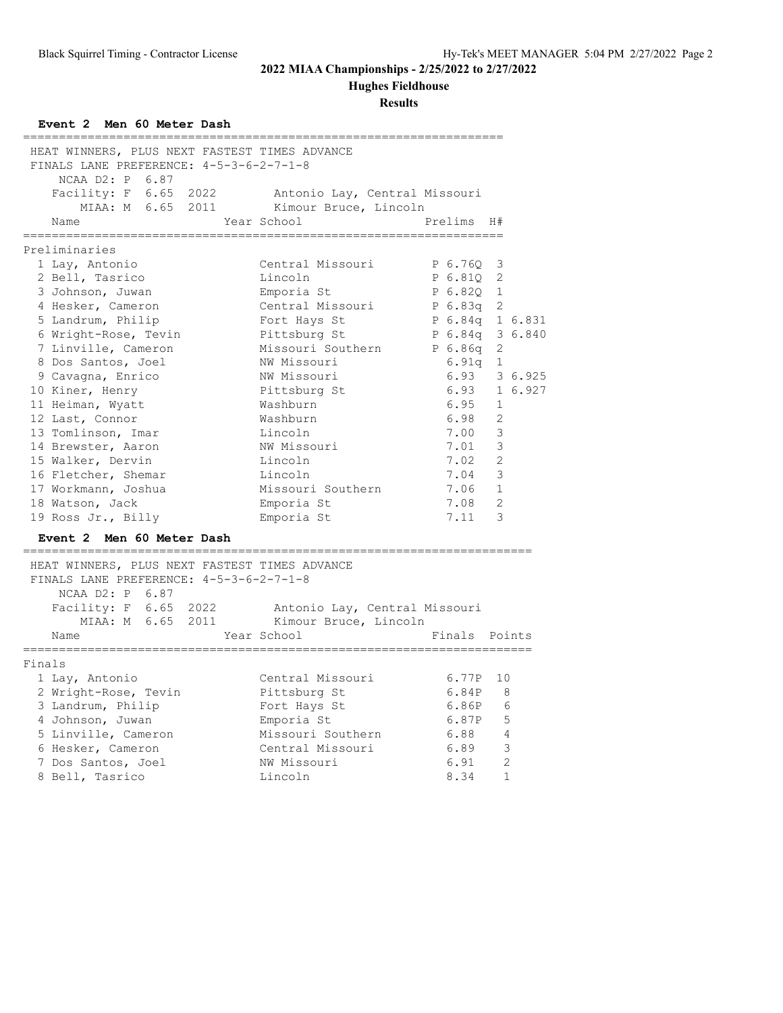# **Hughes Fieldhouse**

| Event 2 Men 60 Meter Dash<br>---------------------------- |                           |                 |                         |
|-----------------------------------------------------------|---------------------------|-----------------|-------------------------|
| HEAT WINNERS, PLUS NEXT FASTEST TIMES ADVANCE             |                           |                 |                         |
| FINALS LANE PREFERENCE: 4-5-3-6-2-7-1-8                   |                           |                 |                         |
| NCAA D2: P 6.87                                           |                           |                 |                         |
| Facility: F 6.65 2022 Antonio Lay, Central Missouri       |                           |                 |                         |
| MIAA: M 6.65 2011 Kimour Bruce, Lincoln                   |                           |                 |                         |
| Name                                                      | Year School               | Prelims H#      |                         |
| Preliminaries                                             |                           |                 |                         |
| 1 Lay, Antonio                                            | Central Missouri          | P 6.76Q         | 3                       |
| 2 Bell, Tasrico                                           | Lincoln                   | P 6.810         | 2                       |
| 3 Johnson, Juwan                                          | Emporia St                | P 6.820         | $\mathbf{1}$            |
| 4 Hesker, Cameron                                         | Central Missouri          | P 6.83a         | 2                       |
| 5 Landrum, Philip                                         | Fort Hays St              | P 6.84q 1 6.831 |                         |
| 6 Wright-Rose, Tevin                                      | Pittsburg St              | P 6.84q 3 6.840 |                         |
| 7 Linville, Cameron                                       | Missouri Southern P 6.86q |                 | 2                       |
| 8 Dos Santos, Joel                                        | NW Missouri               | 6.91q           | $\mathbf{1}$            |
| 9 Cavagna, Enrico                                         | NW Missouri               | 6.93            | 3 6.925                 |
| 10 Kiner, Henry                                           | Pittsburg St              | 6.93            | 1 6.927                 |
| 11 Heiman, Wyatt                                          | Washburn                  | 6.95            | $\mathbf{1}$            |
| 12 Last, Connor                                           | Washburn                  | 6.98            | 2                       |
| 13 Tomlinson, Imar                                        | Lincoln                   | 7.00            | 3                       |
| 14 Brewster, Aaron                                        | NW Missouri               | 7.01            | 3                       |
| 15 Walker, Dervin                                         | Lincoln                   | 7.02            | 2                       |
| 16 Fletcher, Shemar                                       | Lincoln                   | 7.04            | 3                       |
| 17 Workmann, Joshua                                       | Missouri Southern         | 7.06            | $\mathbf{1}$            |
| 18 Watson, Jack                                           | Emporia St                | 7.08            | 2                       |
| 19 Ross Jr., Billy                                        | Emporia St                | 7.11            | 3                       |
| Event 2 Men 60 Meter Dash                                 |                           |                 |                         |
| HEAT WINNERS, PLUS NEXT FASTEST TIMES ADVANCE             |                           |                 |                         |
| FINALS LANE PREFERENCE: 4-5-3-6-2-7-1-8                   |                           |                 |                         |
| NCAA D2: P 6.87                                           |                           |                 |                         |
| Facility: F 6.65 2022 Antonio Lay, Central Missouri       |                           |                 |                         |
| MIAA: M 6.65 2011                                         | Kimour Bruce, Lincoln     |                 |                         |
| Year School<br>Name<br>================                   | ========================= | Finals Points   |                         |
| Finals                                                    |                           |                 |                         |
| 1 Lay, Antonio                                            | Central Missouri          | 6.77P 10        |                         |
| 2 Wright-Rose, Tevin                                      | Pittsburg St              | 6.84P 8         |                         |
| 3 Landrum, Philip                                         | Fort Hays St              | 6.86P 6         |                         |
| 4 Johnson, Juwan                                          | Emporia St                | 6.87P           | $-5$                    |
| 5 Linville, Cameron                                       | Missouri Southern         | 6.88 4          |                         |
| 6 Hesker, Cameron                                         | Central Missouri          | 6.89            | $\overline{\mathbf{3}}$ |
| 7 Dos Santos, Joel                                        | NW Missouri               | 6.91            | 2                       |
| 8 Bell, Tasrico                                           | Lincoln                   | 8.34            | $\mathbf{1}$            |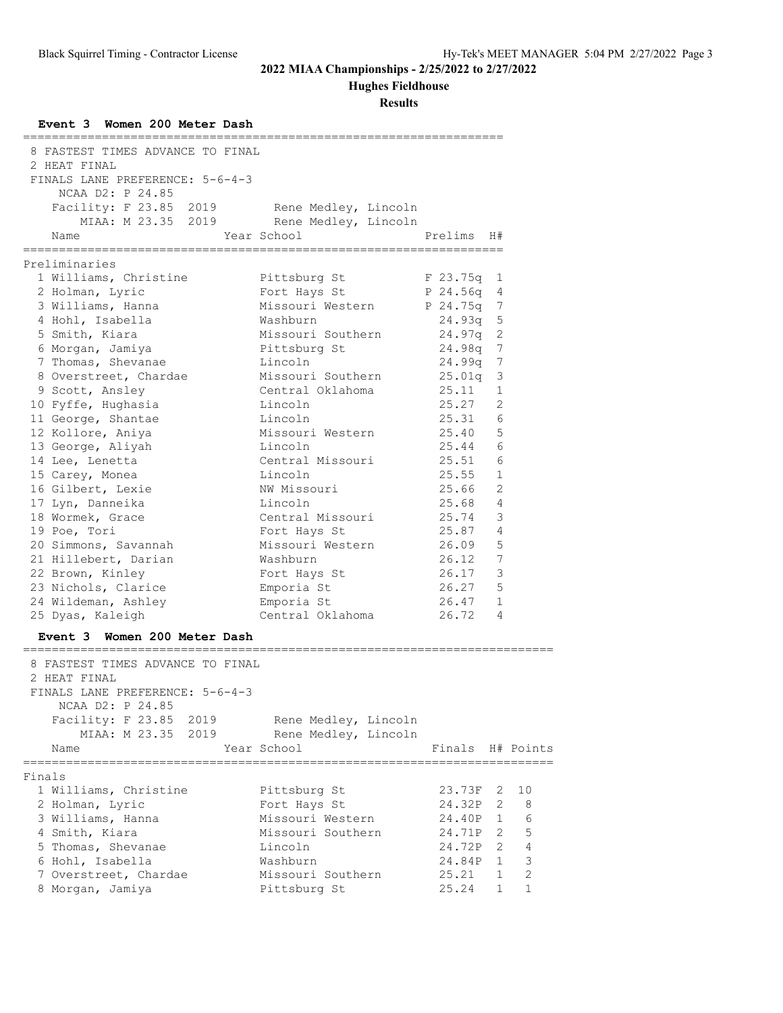# **Hughes Fieldhouse**

| Event 3 Women 200 Meter Dash<br>----------------------- |                      |                                                 |                |                |
|---------------------------------------------------------|----------------------|-------------------------------------------------|----------------|----------------|
| 8 FASTEST TIMES ADVANCE TO FINAL                        |                      |                                                 |                |                |
| 2 HEAT FINAL                                            |                      |                                                 |                |                |
| FINALS LANE PREFERENCE: 5-6-4-3                         |                      |                                                 |                |                |
| NCAA D2: P 24.85                                        |                      |                                                 |                |                |
| Facility: F 23.85 2019                                  | Rene Medley, Lincoln |                                                 |                |                |
| MIAA: M 23.35 2019                                      | Rene Medley, Lincoln |                                                 |                |                |
| Name                                                    | Year School          | Prelims                                         | H#             |                |
|                                                         | ==================== | -----------------                               |                |                |
| Preliminaries                                           |                      |                                                 |                |                |
| 1 Williams, Christine                                   | Pittsburg St         | F 23.75q                                        | 1              |                |
| 2 Holman, Lyric                                         | Fort Hays St         | P 24.56q                                        | 4              |                |
| 3 Williams, Hanna                                       | Missouri Western     | P 24.75q                                        | 7              |                |
| 4 Hohl, Isabella                                        | Washburn             | 24.93q                                          | 5              |                |
| 5 Smith, Kiara                                          | Missouri Southern    | 24.97q                                          | $\overline{2}$ |                |
| 6 Morgan, Jamiya                                        | Pittsburg St         | 24.98q                                          | $\overline{7}$ |                |
| 7 Thomas, Shevanae                                      | Lincoln              | 24.99q                                          | 7              |                |
| 8 Overstreet, Chardae                                   | Missouri Southern    | 25.01q                                          | 3              |                |
| 9 Scott, Ansley                                         | Central Oklahoma     | 25.11                                           | $\mathbf{1}$   |                |
| 10 Fyffe, Hughasia                                      | Lincoln              | 25.27                                           | $\overline{2}$ |                |
| 11 George, Shantae                                      | Lincoln              | 25.31                                           | 6              |                |
| 12 Kollore, Aniya                                       | Missouri Western     | 25.40                                           | 5              |                |
| 13 George, Aliyah                                       | Lincoln              | 25.44                                           | 6              |                |
| 14 Lee, Lenetta                                         | Central Missouri     | 25.51                                           | 6              |                |
| 15 Carey, Monea                                         | Lincoln              | 25.55                                           | $\mathbf{1}$   |                |
| 16 Gilbert, Lexie                                       | NW Missouri          | 25.66                                           | $\overline{2}$ |                |
| 17 Lyn, Danneika                                        | Lincoln              | 25.68                                           | 4              |                |
| 18 Wormek, Grace                                        | Central Missouri     | 25.74                                           | 3              |                |
| 19 Poe, Tori                                            | Fort Hays St         | 25.87                                           | 4              |                |
| 20 Simmons, Savannah                                    | Missouri Western     | 26.09                                           | 5              |                |
| 21 Hillebert, Darian                                    | Washburn             | 26.12                                           | 7              |                |
| 22 Brown, Kinley                                        | Fort Hays St         | 26.17                                           | 3              |                |
| 23 Nichols, Clarice                                     | Emporia St           | 26.27                                           | 5              |                |
| 24 Wildeman, Ashley                                     | Emporia St           | 26.47                                           | $\mathbf{1}$   |                |
| 25 Dyas, Kaleigh                                        | Central Oklahoma     | 26.72                                           | 4              |                |
| Event 3 Women 200 Meter Dash                            |                      |                                                 |                |                |
| ============<br>8 FASTEST TIMES ADVANCE TO FINAL        |                      |                                                 |                |                |
| 2 HEAT FINAL                                            |                      |                                                 |                |                |
| FINALS LANE PREFERENCE: 5-6-4-3                         |                      |                                                 |                |                |
| NCAA D2: P 24.85                                        |                      |                                                 |                |                |
| Facility: F 23.85 2019                                  | Rene Medley, Lincoln |                                                 |                |                |
| MIAA: M 23.35 2019                                      | Rene Medley, Lincoln |                                                 |                |                |
|                                                         | Year School          |                                                 |                |                |
| Name                                                    |                      | Finals H# Points<br>;========================== |                |                |
| Finals                                                  |                      |                                                 |                |                |
| 1 Williams, Christine                                   | Pittsburg St         | 23.73F 2                                        |                | 10             |
| 2 Holman, Lyric                                         | Fort Hays St         | 24.32P                                          | $\mathbf{2}$   | 8              |
| 3 Williams, Hanna                                       | Missouri Western     | 24.40P 1                                        |                | 6              |
| 4 Smith, Kiara                                          | Missouri Southern    | 24.71P 2 5                                      |                |                |
| 5 Thomas, Shevanae                                      | Lincoln              | 24.72P 2 4                                      |                |                |
| 6 Hohl, Isabella                                        | Washburn             | 24.84P 1                                        |                | 3              |
| 7 Overstreet, Chardae                                   | Missouri Southern    | 25.21                                           | $\mathbf{1}$   | $\overline{c}$ |
| 8 Morgan, Jamiya                                        | Pittsburg St         | 25.24                                           | $\mathbf{1}$   | $\mathbf{1}$   |
|                                                         |                      |                                                 |                |                |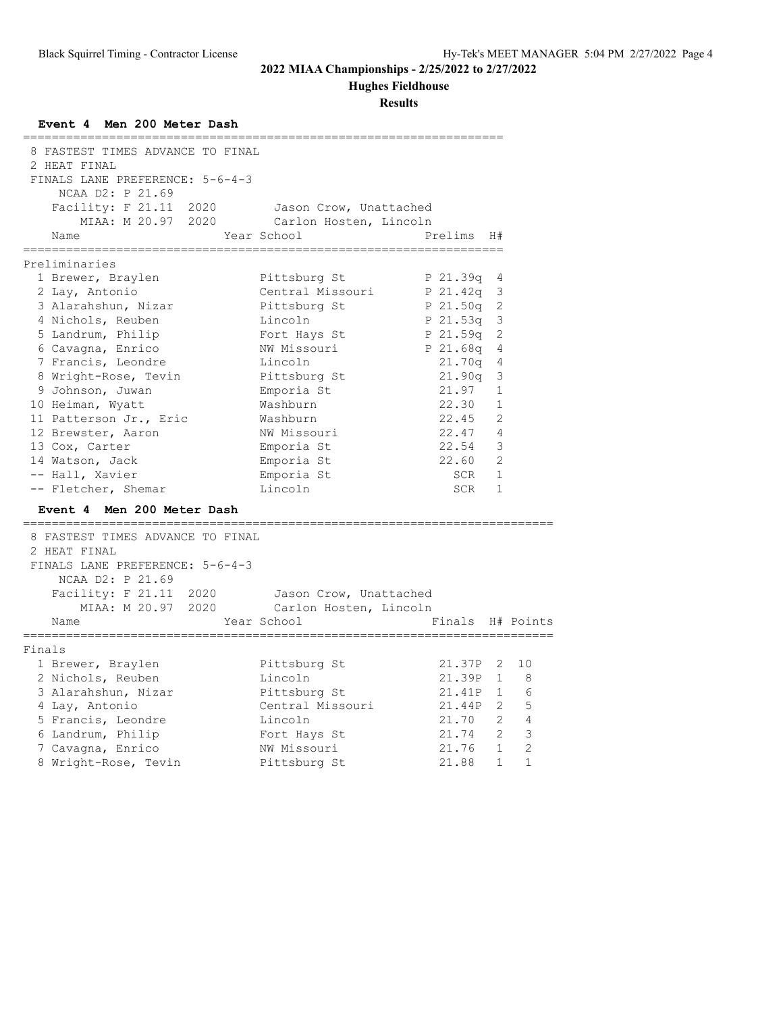# **Hughes Fieldhouse**

| Event 4 Men 200 Meter Dash                                                                              |                                           |                            |                |                |
|---------------------------------------------------------------------------------------------------------|-------------------------------------------|----------------------------|----------------|----------------|
| 8 FASTEST TIMES ADVANCE TO FINAL<br>2 HEAT FINAL<br>FINALS LANE PREFERENCE: 5-6-4-3<br>NCAA D2: P 21.69 |                                           |                            |                |                |
| Facility: F 21.11 2020 Jason Crow, Unattached                                                           |                                           |                            |                |                |
| MIAA: M 20.97 2020                                                                                      | Carlon Hosten, Lincoln                    |                            |                |                |
| Name                                                                                                    | Year School                               | Prelims H#                 |                |                |
| Preliminaries                                                                                           |                                           |                            |                |                |
| 1 Brewer, Braylen                                                                                       | Pittsburg St                              | P 21.39q 4                 |                |                |
| 2 Lay, Antonio                                                                                          | Central Missouri                          | P 21.42q 3                 |                |                |
| 3 Alarahshun, Nizar                                                                                     | Pittsburg St                              | P 21.50q 2                 |                |                |
| 4 Nichols, Reuben                                                                                       | Lincoln                                   | P 21.53q 3                 |                |                |
| 5 Landrum, Philip                                                                                       | Fort Hays St                              | P 21.59q 2                 |                |                |
| 6 Cavagna, Enrico                                                                                       | NW Missouri                               | P 21.68q 4                 |                |                |
| 7 Francis, Leondre                                                                                      | Lincoln                                   | $21.70q$ 4                 |                |                |
| 8 Wright-Rose, Tevin                                                                                    | Pittsburg St                              | 21.90q 3                   |                |                |
| 9 Johnson, Juwan                                                                                        | Emporia St                                | 21.97 1                    |                |                |
| 10 Heiman, Wyatt                                                                                        | Washburn                                  | 22.30                      | $\overline{1}$ |                |
| 11 Patterson Jr., Eric                                                                                  | Washburn                                  | 22.45 2                    |                |                |
| 12 Brewster, Aaron                                                                                      | NW Missouri<br>Emporia St                 | $22.47$ 4<br>$22.54$ 3     |                |                |
| 13 Cox, Carter<br>14 Watson, Jack                                                                       | Emporia St                                | 22.60 2                    |                |                |
| -- Hall, Xavier                                                                                         | Emporia St                                | SCR                        | $\overline{1}$ |                |
| -- Fletcher, Shemar                                                                                     | Lincoln                                   | SCR                        | $\mathbf{1}$   |                |
| Event 4 Men 200 Meter Dash                                                                              |                                           |                            |                |                |
|                                                                                                         |                                           |                            |                |                |
| 8 FASTEST TIMES ADVANCE TO FINAL                                                                        |                                           |                            |                |                |
| 2 HEAT FINAL                                                                                            |                                           |                            |                |                |
| FINALS LANE PREFERENCE: 5-6-4-3                                                                         |                                           |                            |                |                |
| NCAA D2: P 21.69                                                                                        |                                           |                            |                |                |
| Facility: F 21.11 2020 Jason Crow, Unattached                                                           |                                           |                            |                |                |
|                                                                                                         | MIAA: M 20.97 2020 Carlon Hosten, Lincoln |                            |                |                |
| Name                                                                                                    | Year School                               | Finals H# Points           |                |                |
| Finals                                                                                                  |                                           |                            |                |                |
| 1 Brewer, Braylen                                                                                       | Pittsburg St                              | 21.37P 2 10                |                |                |
| 2 Nichols, Reuben                                                                                       | Lincoln                                   | 21.39P 1 8                 |                |                |
| 3 Alarahshun, Nizar                                                                                     | Pittsburg St                              | 21.41P 1 6                 |                |                |
| 4 Lay, Antonio                                                                                          | Central Missouri                          | 21.44P 2 5                 |                |                |
| 5 Francis, Leondre                                                                                      | Lincoln                                   | $21.70$ 2 4<br>$21.74$ 2 3 |                |                |
| 6 Landrum, Philip                                                                                       | Fort Hays St                              |                            |                |                |
| 7 Cavagna, Enrico                                                                                       | NW Missouri                               | $21.76$ 1 2                |                |                |
| 8 Wright-Rose, Tevin                                                                                    | Pittsburg St                              | 21.88                      | $\overline{1}$ | $\overline{1}$ |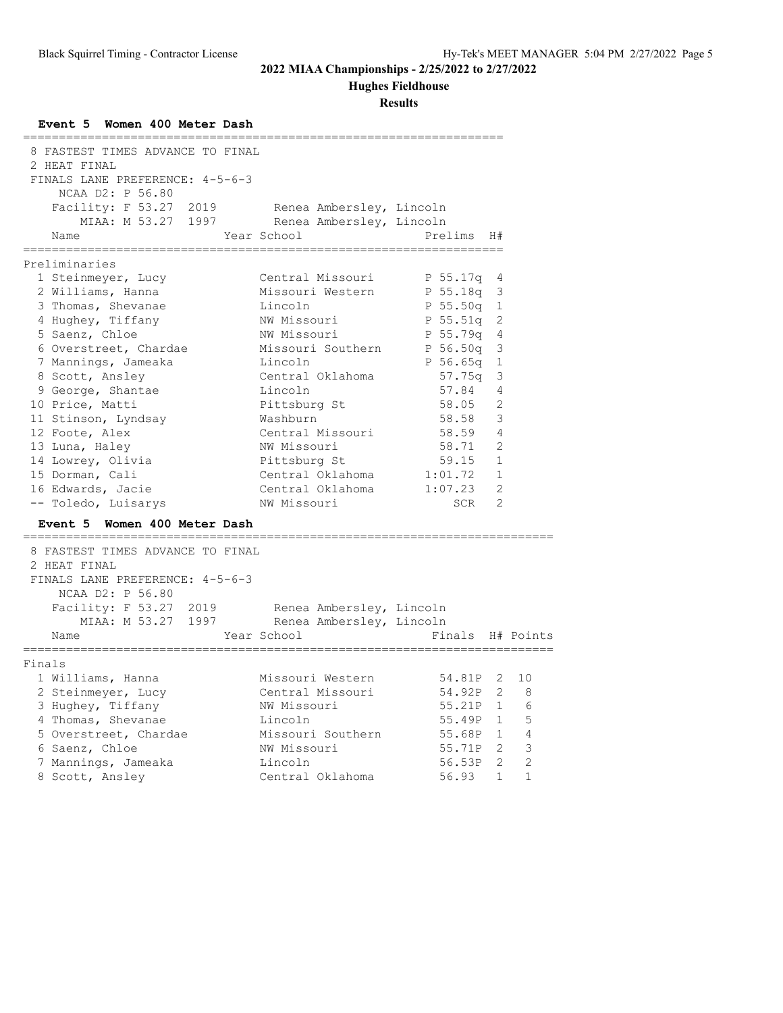# **Hughes Fieldhouse**

| Event 5 Women 400 Meter Dash                                                                   |                   |                          |                            |                         |
|------------------------------------------------------------------------------------------------|-------------------|--------------------------|----------------------------|-------------------------|
| 8 FASTEST TIMES ADVANCE TO FINAL<br>2 HEAT FINAL                                               |                   |                          |                            |                         |
| FINALS LANE PREFERENCE: 4-5-6-3                                                                |                   |                          |                            |                         |
| NCAA D2: P 56.80                                                                               |                   |                          |                            |                         |
| Facility: F 53.27 2019 Renea Ambersley, Lincoln<br>MIAA: M 53.27 1997 Renea Ambersley, Lincoln |                   |                          |                            |                         |
|                                                                                                |                   |                          |                            |                         |
| Year School<br>Name                                                                            |                   | Prelims<br>==========    | H#                         |                         |
| Preliminaries                                                                                  |                   |                          |                            |                         |
| 1 Steinmeyer, Lucy                                                                             | Central Missouri  | P 55.17q 4               |                            |                         |
| 2 Williams, Hanna                                                                              | Missouri Western  | P 55.18q 3               |                            |                         |
| 3 Thomas, Shevanae                                                                             | Lincoln           | P 55.50q 1               |                            |                         |
| 4 Hughey, Tiffany                                                                              | NW Missouri       | P 55.51q 2               |                            |                         |
| 5 Saenz, Chloe                                                                                 | NW Missouri       | P 55.79q 4               |                            |                         |
| 6 Overstreet, Chardae                                                                          | Missouri Southern | P 56.50q 3               |                            |                         |
| 7 Mannings, Jameaka                                                                            | Lincoln           | P 56.65q                 | 1                          |                         |
| 8 Scott, Ansley                                                                                | Central Oklahoma  | 57.75a                   | 3                          |                         |
| 9 George, Shantae                                                                              | Lincoln           | 57.84                    | 4                          |                         |
| 10 Price, Matti                                                                                | Pittsburg St      | 58.05 2                  |                            |                         |
| 11 Stinson, Lyndsay                                                                            | Washburn          | 58.58                    | $\overline{\mathbf{3}}$    |                         |
| 12 Foote, Alex                                                                                 | Central Missouri  | 58.59 4                  |                            |                         |
| 13 Luna, Haley                                                                                 | NW Missouri       | 58.71                    | $\overline{\phantom{0}}^2$ |                         |
| 14 Lowrey, Olivia                                                                              | Pittsburg St      | $59.15$ 1                |                            |                         |
| 15 Dorman, Cali                                                                                | Central Oklahoma  | $1:01.72$ 1              |                            |                         |
| 16 Edwards, Jacie                                                                              | Central Oklahoma  | 1:07.23                  | $\overline{2}$             |                         |
| -- Toledo, Luisarys                                                                            | NW Missouri       | SCR <sub>2</sub>         |                            |                         |
| Event 5 Women 400 Meter Dash                                                                   |                   |                          |                            |                         |
| 8 FASTEST TIMES ADVANCE TO FINAL                                                               |                   |                          |                            |                         |
| 2 HEAT FINAL                                                                                   |                   |                          |                            |                         |
| FINALS LANE PREFERENCE: 4-5-6-3                                                                |                   |                          |                            |                         |
| NCAA D2: P 56.80                                                                               |                   |                          |                            |                         |
| Facility: F 53.27 2019 Renea Ambersley, Lincoln<br>MIAA: M 53.27 1997 Renea Ambersley, Lincoln |                   |                          |                            |                         |
|                                                                                                |                   |                          |                            |                         |
| Year School<br>Name<br>============                                                            |                   | Finals H# Points         |                            |                         |
| Finals                                                                                         |                   |                          |                            |                         |
| 1 Williams, Hanna                                                                              | Missouri Western  | 54.81P 2                 |                            | 10                      |
| 2 Steinmeyer, Lucy                                                                             | Central Missouri  | 54.92P                   |                            | $2 \quad 8$             |
| 3 Hughey, Tiffany                                                                              | NW Missouri       |                          |                            |                         |
| 4 Thomas, Shevanae                                                                             | Lincoln           | 55.21P 1 6<br>55.49P 1 5 |                            |                         |
| 5 Overstreet, Chardae                                                                          | Missouri Southern | 55.68P 1 4               |                            |                         |
| 6 Saenz, Chloe                                                                                 | NW Missouri       | 55.71P 2                 |                            | $\overline{\mathbf{3}}$ |
| 7 Mannings, Jameaka                                                                            | Lincoln           | 56.53P 2 2               |                            |                         |
| 8 Scott, Ansley                                                                                | Central Oklahoma  | 56.93                    | $\mathbf{1}$               | $\mathbf{1}$            |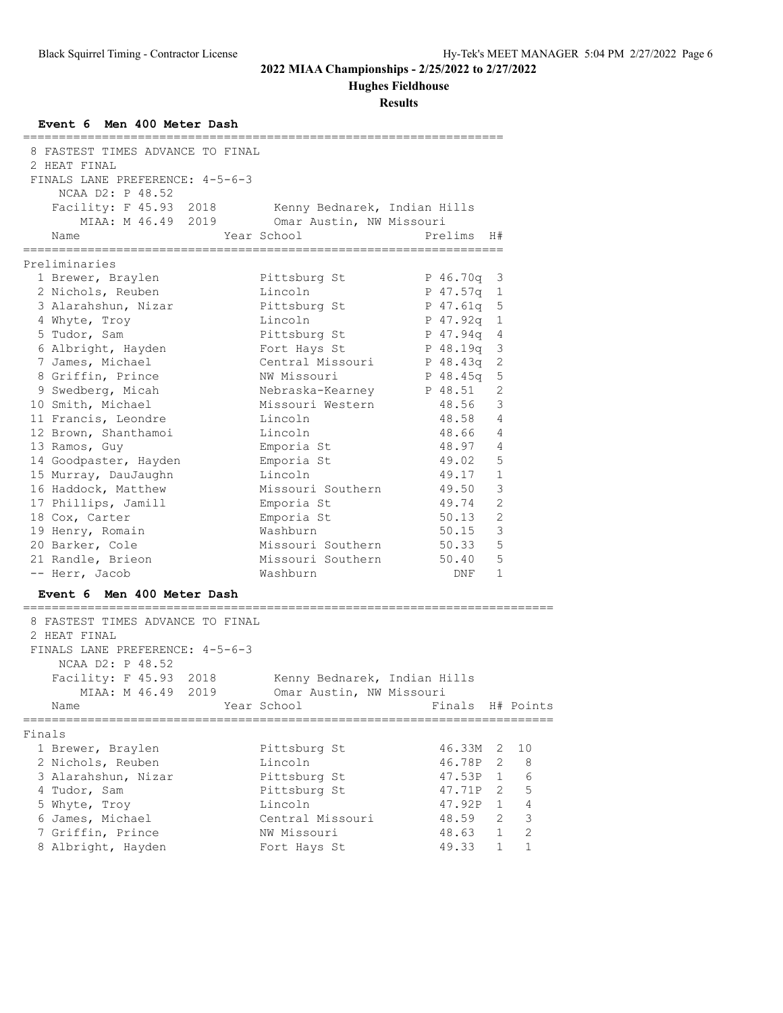# **Hughes Fieldhouse**

| Event 6 Men 400 Meter Dash                       |                              |                  |                         |    |
|--------------------------------------------------|------------------------------|------------------|-------------------------|----|
| 8 FASTEST TIMES ADVANCE TO FINAL                 |                              |                  |                         |    |
| 2 HEAT FINAL                                     |                              |                  |                         |    |
| FINALS LANE PREFERENCE: 4-5-6-3                  |                              |                  |                         |    |
| NCAA D2: P 48.52                                 |                              |                  |                         |    |
| Facility: F 45.93 2018                           | Kenny Bednarek, Indian Hills |                  |                         |    |
| MIAA: M 46.49 2019 Omar Austin, NW Missouri      |                              |                  |                         |    |
| Name                                             | Year School                  | Prelims H#       |                         |    |
| ========================<br>Preliminaries        |                              |                  |                         |    |
| 1 Brewer, Braylen                                | Pittsburg St                 | P 46.70q 3       |                         |    |
| 2 Nichols, Reuben                                | Lincoln                      | P 47.57q 1       |                         |    |
| 3 Alarahshun, Nizar                              | Pittsburg St                 | P 47.61q 5       |                         |    |
| 4 Whyte, Troy                                    | Lincoln                      | P 47.92q 1       |                         |    |
| 5 Tudor, Sam                                     | Pittsburg St                 | P 47.94q 4       |                         |    |
| 6 Albright, Hayden                               | Fort Hays St                 | P 48.19q 3       |                         |    |
| 7 James, Michael                                 | Central Missouri             | P 48.43g         | $\overline{c}$          |    |
| 8 Griffin, Prince                                | NW Missouri                  | P 48.45a         | 5                       |    |
| 9 Swedberg, Micah                                | Nebraska-Kearney P 48.51     |                  | 2                       |    |
| 10 Smith, Michael                                | Missouri Western             | 48.56            | 3                       |    |
| 11 Francis, Leondre                              | Lincoln                      | 48.58 4          |                         |    |
| 12 Brown, Shanthamoi                             | Lincoln                      | 48.66 4          |                         |    |
| 13 Ramos, Guy                                    | Emporia St                   | 48.97            | $\overline{4}$          |    |
| 14 Goodpaster, Hayden                            | Emporia St                   | 49.02            | 5                       |    |
| 15 Murray, DauJaughn                             | Lincoln                      | 49.17            | 1                       |    |
| 16 Haddock, Matthew                              | Missouri Southern            | 49.50            | 3                       |    |
| 17 Phillips, Jamill                              | Emporia St                   | 49.74            | 2                       |    |
| 18 Cox, Carter                                   | Emporia St                   | 50.13            | 2                       |    |
| 19 Henry, Romain                                 | Washburn                     | 50.15            | $\overline{\mathbf{3}}$ |    |
| 20 Barker, Cole                                  | Missouri Southern            | 50.33            | 5                       |    |
| 21 Randle, Brieon                                | Missouri Southern            | 50.40 5          |                         |    |
| -- Herr, Jacob                                   | Washburn                     | DNF              | $\mathbf{1}$            |    |
| Event 6 Men 400 Meter Dash                       |                              |                  |                         |    |
|                                                  |                              |                  |                         |    |
| 8 FASTEST TIMES ADVANCE TO FINAL<br>2 HEAT FINAL |                              |                  |                         |    |
| FINALS LANE PREFERENCE: 4-5-6-3                  |                              |                  |                         |    |
| NCAA D2: P 48.52                                 |                              |                  |                         |    |
| Facility: F 45.93 2018                           | Kenny Bednarek, Indian Hills |                  |                         |    |
| MIAA: M 46.49 2019                               | Omar Austin, NW Missouri     |                  |                         |    |
| Name                                             | Year School                  | Finals H# Points |                         |    |
|                                                  |                              |                  |                         |    |
| Finals                                           |                              |                  |                         |    |
| 1 Brewer, Braylen                                | Pittsburg St                 | 46.33M           | 2                       | 10 |
| 2 Nichols, Reuben                                | Lincoln                      | 46.78P           | 2                       | 8  |
| 3 Alarahshun, Nizar                              | Pittsburg St                 | 47.53P           | $\mathbf{1}$            | 6  |
| 4 Tudor, Sam                                     | Pittsburg St                 | 47.71P           | 2                       | 5  |
| 5 Whyte, Troy                                    | Lincoln                      | 47.92P           | $\mathbf 1$             | 4  |
| 6 James, Michael                                 | Central Missouri             | 48.59            | $\overline{2}$          | 3  |
| 7 Griffin, Prince                                | NW Missouri                  | 48.63            | 1                       | 2  |
| 8 Albright, Hayden                               | Fort Hays St                 | 49.33            | 1                       | 1  |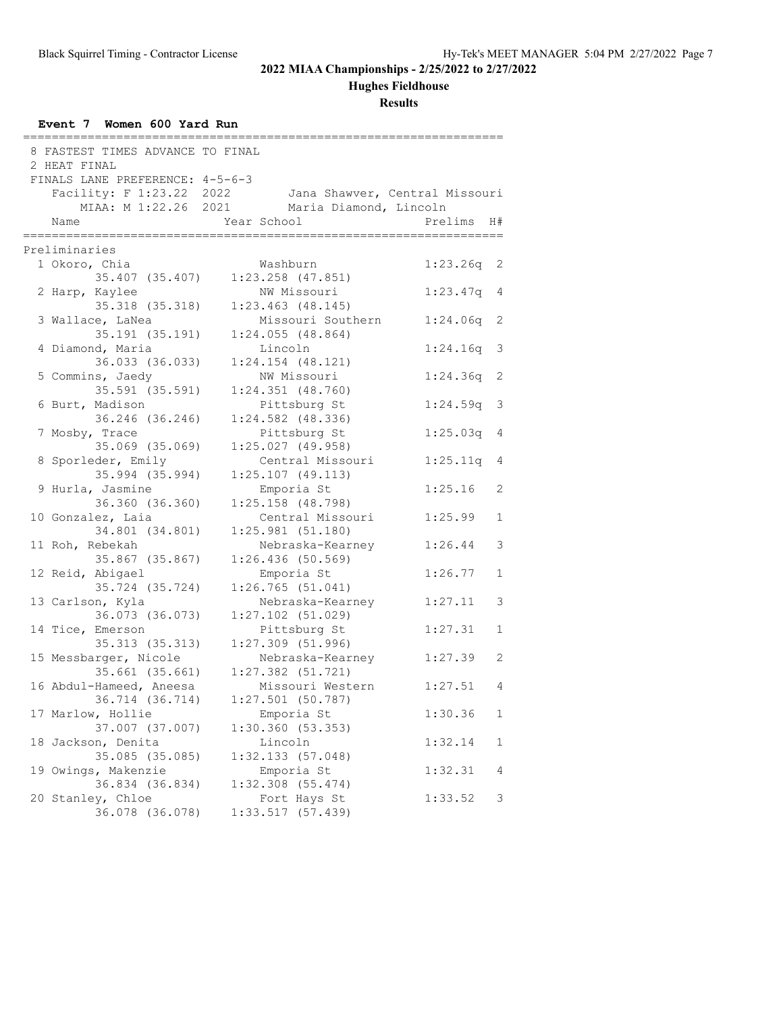# **Hughes Fieldhouse**

| Event 7 Women 600 Yard Run          |                                         |                    |              |
|-------------------------------------|-----------------------------------------|--------------------|--------------|
| 8 FASTEST TIMES ADVANCE TO FINAL    |                                         |                    |              |
| 2 HEAT FINAL                        |                                         |                    |              |
| FINALS LANE PREFERENCE: 4-5-6-3     |                                         |                    |              |
| Facility: F 1:23.22 2022            | Jana Shawver, Central Missouri          |                    |              |
| MIAA: M 1:22.26 2021                | Maria Diamond, Lincoln                  |                    |              |
| Name                                | Year School                             | Prelims            | H#           |
| ;================                   | =================                       | , ________________ |              |
| Preliminaries                       |                                         |                    |              |
| 1 Okoro, Chia                       | Washburn                                | 1:23.26q           | 2            |
| 35.407 (35.407)                     | $1:23.258$ $(47.851)$                   |                    |              |
| 2 Harp, Kaylee                      | NW Missouri                             | 1:23.47q           | 4            |
| 35.318 (35.318)                     | $1:23.463$ $(48.145)$                   |                    |              |
| 3 Wallace, LaNea                    | Missouri Southern                       | 1:24.06q           | 2            |
| 35.191 (35.191)                     | $1:24.055$ (48.864)                     |                    |              |
| 4 Diamond, Maria                    | Lincoln                                 | 1:24.16q           | 3            |
| 36.033 (36.033)                     | $1:24.154$ (48.121)                     |                    |              |
| 5 Commins, Jaedy                    | NW Missouri                             | 1:24.36q           | 2            |
| 35.591 (35.591)                     | $1:24.351$ $(48.760)$                   |                    |              |
| 6 Burt, Madison                     | Pittsburg St                            | 1:24.59q           | 3            |
| 36.246 (36.246)                     | $1:24.582$ (48.336)                     |                    |              |
| 7 Mosby, Trace                      | Pittsburg St                            | 1:25.03q           | 4            |
| 35.069 (35.069)                     | 1:25.027(49.958)                        |                    |              |
| 8 Sporleder, Emily                  | Central Missouri                        | 1:25.11q           | 4            |
| 35.994 (35.994)                     | $1:25.107$ (49.113)                     |                    |              |
| 9 Hurla, Jasmine                    | Emporia St                              | 1:25.16            | 2            |
| 36.360 (36.360)                     | $1:25.158$ (48.798)                     |                    |              |
| 10 Gonzalez, Laia                   | Central Missouri                        | 1:25.99            | $\mathbf{1}$ |
| 34.801 (34.801)                     | 1:25.981(51.180)                        |                    |              |
| 11 Roh, Rebekah                     | Nebraska-Kearney                        | 1:26.44            | 3            |
| 35.867 (35.867)                     | 1:26.436(50.569)                        |                    |              |
| 12 Reid, Abigael<br>35.724 (35.724) | Emporia St                              | 1:26.77            | $\mathbf{1}$ |
|                                     | 1:26.765(51.041)                        |                    |              |
| 13 Carlson, Kyla<br>36.073 (36.073) | Nebraska-Kearney<br>$1:27.102$ (51.029) | 1:27.11            | 3            |
| 14 Tice, Emerson                    | Pittsburg St                            | 1:27.31            | 1            |
| 35.313 (35.313)                     | $1:27.309$ (51.996)                     |                    |              |
| 15 Messbarger, Nicole               | Nebraska-Kearney                        | 1:27.39            | 2            |
| 35.661 (35.661)                     | $1:27.382$ (51.721)                     |                    |              |
| 16 Abdul-Hameed, Aneesa             | Missouri Western                        | 1:27.51            | 4            |
| 36.714 (36.714)                     | $1:27.501$ (50.787)                     |                    |              |
| 17 Marlow, Hollie                   | Emporia St                              | 1:30.36            | 1            |
| 37.007 (37.007)                     | 1:30.360 (53.353)                       |                    |              |
| 18 Jackson, Denita                  | Lincoln                                 | 1:32.14            | 1            |
| 35.085 (35.085)                     | 1:32.133(57.048)                        |                    |              |
| 19 Owings, Makenzie                 | Emporia St                              | 1:32.31            | 4            |
| 36.834 (36.834)                     | $1:32.308$ $(55.474)$                   |                    |              |
| 20 Stanley, Chloe                   | Fort Hays St                            | 1:33.52            | 3            |
| 36.078 (36.078)                     | 1:33.517(57.439)                        |                    |              |
|                                     |                                         |                    |              |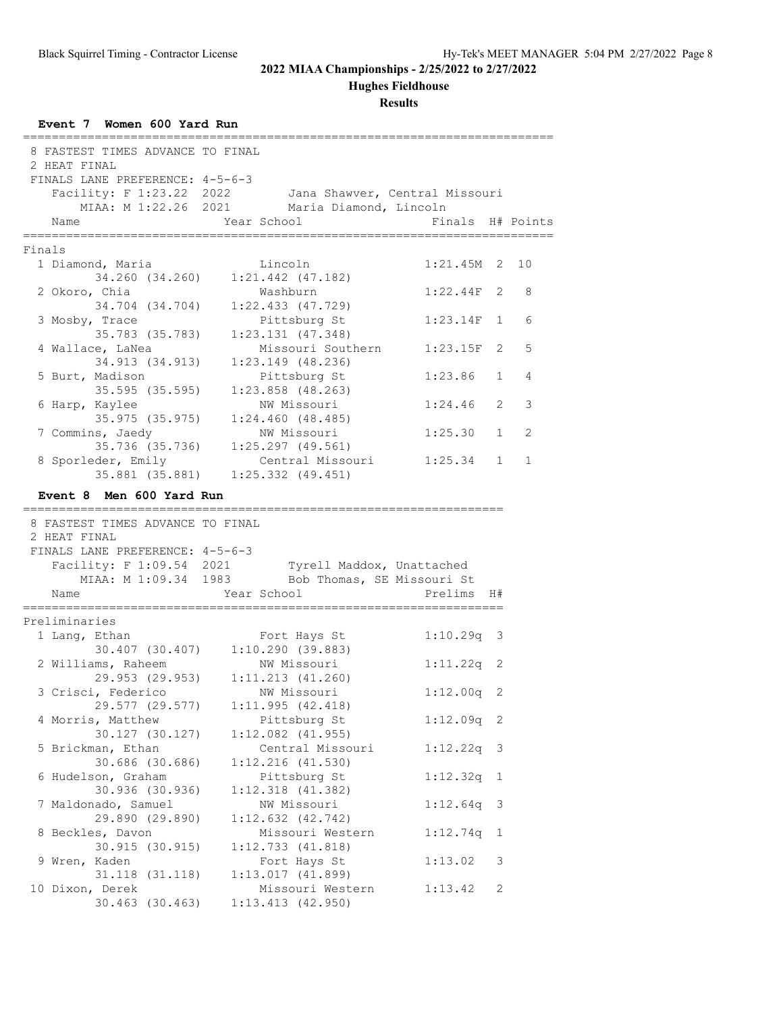**Hughes Fieldhouse**

| 8 FASTEST TIMES ADVANCE TO FINAL       |                                      |                           |              |    |
|----------------------------------------|--------------------------------------|---------------------------|--------------|----|
| 2 HEAT FINAL                           |                                      |                           |              |    |
| FINALS LANE PREFERENCE: 4-5-6-3        |                                      |                           |              |    |
| Facility: F 1:23.22 2022               | Jana Shawver, Central Missouri       |                           |              |    |
| MIAA: M 1:22.26 2021                   | Maria Diamond, Lincoln               |                           |              |    |
| Name                                   | Year School                          | Finals H# Points          |              |    |
|                                        |                                      | .======================== |              |    |
| Finals                                 |                                      |                           |              |    |
| 1 Diamond, Maria                       | Lincoln                              | $1:21.45M$ 2              |              | 10 |
| 34.260 (34.260)                        | $1:21.442$ $(47.182)$                |                           |              |    |
| 2 Okoro, Chia                          | Washburn                             | 1:22.44F                  | 2            | 8  |
| 34.704 (34.704)                        | $1:22.433$ $(47.729)$                |                           |              |    |
| 3 Mosby, Trace                         | Pittsburg St                         | 1:23.14F                  | $\mathbf{1}$ | 6  |
| 35.783 (35.783)                        | $1:23.131$ $(47.348)$                |                           |              |    |
| 4 Wallace, LaNea                       | Missouri Southern                    | 1:23.15F                  | 2            | 5  |
| 34.913 (34.913)                        | $1:23.149$ (48.236)                  |                           |              |    |
| 5 Burt, Madison                        | Pittsburg St                         | 1:23.86                   | $\mathbf{1}$ | 4  |
| 35.595 (35.595)                        | $1:23.858$ $(48.263)$                |                           |              |    |
| 6 Harp, Kaylee                         | NW Missouri                          | 1:24.46                   | 2            | 3  |
| 35.975(35.975)                         | 1:24.460(48.485)                     |                           |              |    |
| 7 Commins, Jaedy                       | NW Missouri                          | 1:25.30                   | $\mathbf{1}$ | 2  |
| 35.736 (35.736)                        | $1:25.297$ $(49.561)$                |                           |              |    |
| 8 Sporleder, Emily                     | Central Missouri                     | 1:25.34                   | $\mathbf{1}$ | 1  |
|                                        | 35.881 (35.881) 1:25.332 (49.451)    |                           |              |    |
| Event 8 Men 600 Yard Run               |                                      |                           |              |    |
|                                        |                                      |                           |              |    |
| 8 FASTEST TIMES ADVANCE TO FINAL       |                                      |                           |              |    |
| 2 HEAT FINAL                           |                                      |                           |              |    |
| FINALS LANE PREFERENCE: 4-5-6-3        |                                      |                           |              |    |
| Facility: F 1:09.54 2021               | Tyrell Maddox, Unattached            |                           |              |    |
| MIAA: M 1:09.34 1983                   | Bob Thomas, SE Missouri St           |                           |              |    |
| Name                                   | Year School                          |                           |              |    |
|                                        |                                      |                           |              |    |
| =======                                |                                      | Prelims                   | H#           |    |
| Preliminaries                          |                                      |                           |              |    |
|                                        |                                      |                           |              |    |
| 1 Lang, Ethan                          | Fort Hays St                         | $1:10.29q$ 3              |              |    |
|                                        | 30.407 (30.407) 1:10.290 (39.883)    |                           |              |    |
| 2 Williams, Raheem                     | NW Missouri                          | $1:11.22q$ 2              |              |    |
|                                        | 29.953 (29.953) 1:11.213 (41.260)    |                           |              |    |
| 3 Crisci, Federico                     | NW Missouri                          | $1:12.00q$ 2              |              |    |
| 29.577 (29.577)                        | 1:11.995(42.418)                     |                           |              |    |
| 4 Morris, Matthew                      | Pittsburg St                         | $1:12.09q$ 2              |              |    |
| 30.127 (30.127)                        | $1:12.082$ $(41.955)$                |                           |              |    |
| 5 Brickman, Ethan                      | Central Missouri                     | $1:12.22q$ 3              |              |    |
| 30.686 (30.686)                        | $1:12.216$ $(41.530)$                |                           |              |    |
| 6 Hudelson, Graham                     | Pittsburg St                         | 1:12.32q                  | 1            |    |
| 30.936 (30.936)                        | $1:12.318$ $(41.382)$                |                           |              |    |
| 7 Maldonado, Samuel                    | NW Missouri                          | 1:12.64q                  | -3           |    |
| 29.890 (29.890)                        | $1:12.632$ $(42.742)$                |                           |              |    |
| 8 Beckles, Davon                       | Missouri Western                     | 1:12.74q                  | 1            |    |
| 30.915 (30.915)                        | 1:12.733(41.818)                     |                           |              |    |
| 9 Wren, Kaden                          | Fort Hays St                         | 1:13.02                   | 3            |    |
| 31.118 (31.118)                        | 1:13.017(41.899)                     |                           |              |    |
| 10 Dixon, Derek<br>$30.463$ $(30.463)$ | Missouri Western<br>1:13.413(42.950) | 1:13.42                   | 2            |    |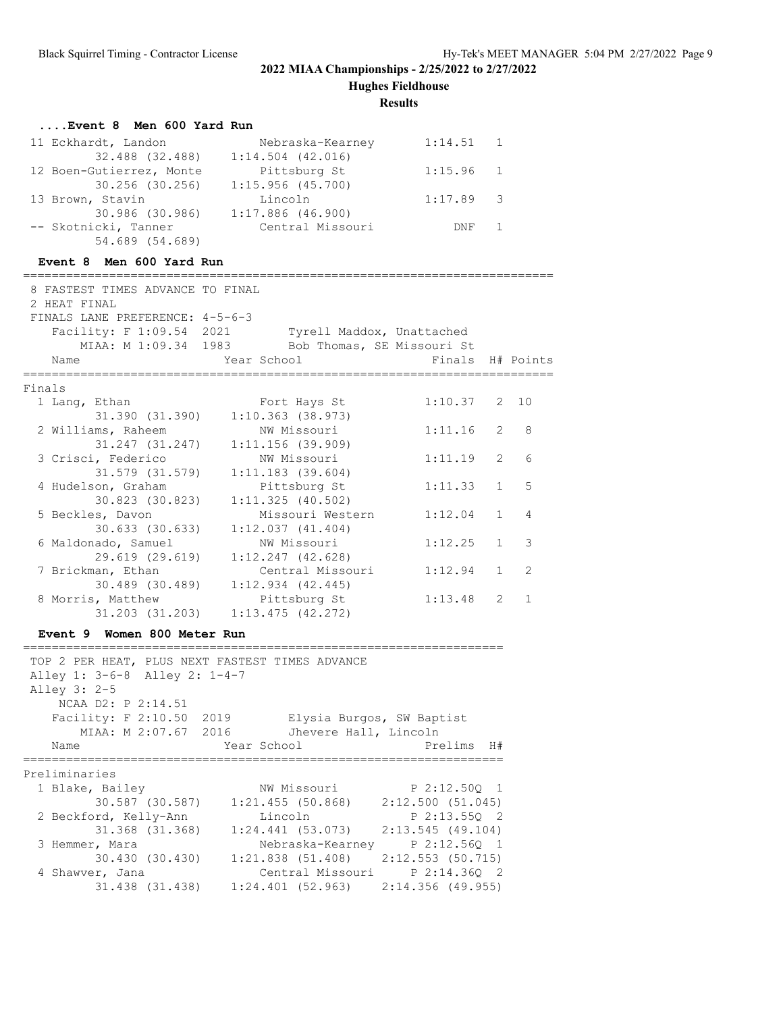**Hughes Fieldhouse**

**Results**

## **....Event 8 Men 600 Yard Run**

| 11 Eckhardt, Landon      | Nebraska-Kearney    | 1:14.51 1   |  |
|--------------------------|---------------------|-------------|--|
| 32.488 (32.488)          | $1:14.504$ (42.016) |             |  |
| 12 Boen-Gutierrez, Monte | Pittsburg St        | $1:15.96$ 1 |  |
| 30.256 (30.256)          | 1:15.956(45.700)    |             |  |
| 13 Brown, Stavin         | Lincoln             | $1:17.89$ 3 |  |
| 30.986 (30.986)          | $1:17.886$ (46.900) |             |  |
| -- Skotnicki, Tanner     | Central Missouri    | DNF 1       |  |
| 54.689 (54.689)          |                     |             |  |

## **Event 8 Men 600 Yard Run**

| 8 FASTEST TIMES ADVANCE TO FINAL<br>2 HEAT FINAL<br>FINALS LANE PREFERENCE: 4-5-6-3 |                                                 |                           |                |              |
|-------------------------------------------------------------------------------------|-------------------------------------------------|---------------------------|----------------|--------------|
| Facility: F 1:09.54 2021                                                            |                                                 | Tyrell Maddox, Unattached |                |              |
|                                                                                     | MIAA: M 1:09.34 1983 Bob Thomas, SE Missouri St |                           |                |              |
| Name                                                                                | Year School                                     | Finals H# Points          |                |              |
| Finals                                                                              |                                                 |                           |                |              |
| 1 Lang, Ethan                                                                       | Fort Hays St                                    | 1:10.37                   | $\mathbf{2}$   | 10           |
| 31.390 (31.390)                                                                     | $1:10.363$ (38.973)                             |                           |                |              |
| 2 Williams, Raheem                                                                  | NW Missouri                                     | 1:11.16                   | 2              | 8            |
| 31.247 (31.247)                                                                     | 1:11.156(39.909)                                |                           |                |              |
| 3 Crisci, Federico                                                                  | NW Missouri                                     | 1:11.19                   | 2              | 6            |
| 31.579 (31.579)                                                                     | $1:11.183$ (39.604)                             |                           |                |              |
| 4 Hudelson, Graham                                                                  | Pittsburg St                                    | 1:11.33                   | $\mathbf{1}$   | 5            |
| 30.823 (30.823)                                                                     | $1:11.325$ (40.502)                             |                           |                |              |
| 5 Beckles, Davon                                                                    | Missouri Western                                | 1:12.04                   | $\mathbf 1$    | 4            |
| $30.633$ $(30.633)$                                                                 | 1:12.037(41.404)                                |                           |                |              |
| 6 Maldonado, Samuel                                                                 | NW Missouri                                     | 1:12.25                   | $\mathbf{1}$   | 3            |
| 29.619 (29.619)                                                                     | $1:12.247$ $(42.628)$                           |                           |                |              |
| 7 Brickman, Ethan                                                                   | Central Missouri                                | 1:12.94                   | $\mathbf{1}$   | 2            |
| 30.489 (30.489)                                                                     | $1:12.934$ $(42.445)$                           |                           |                |              |
| 8 Morris, Matthew                                                                   | Pittsburg St                                    | 1:13.48                   | $\overline{2}$ | $\mathbf{1}$ |
|                                                                                     | 31.203 (31.203) 1:13.475 (42.272)               |                           |                |              |
| Event 9 Women 800 Meter Run                                                         |                                                 |                           |                |              |
| TOP 2 PER HEAT, PLUS NEXT FASTEST TIMES ADVANCE                                     |                                                 |                           |                |              |
| Alley 1: 3-6-8 Alley 2: 1-4-7                                                       |                                                 |                           |                |              |
| Alley 3: 2-5                                                                        |                                                 |                           |                |              |
| NCAA D2: P 2:14.51                                                                  |                                                 |                           |                |              |
| Facility: F 2:10.50 2019                                                            | Elysia Burgos, SW Baptist                       |                           |                |              |
|                                                                                     | MIAA: M 2:07.67 2016 Jhevere Hall, Lincoln      |                           |                |              |
| Name                                                                                | Year School                                     | Prelims                   | H#             |              |
| Preliminaries                                                                       |                                                 |                           |                |              |
| 1 Blake, Bailey                                                                     | NW Missouri                                     | $P$ 2:12.500 1            |                |              |
|                                                                                     | 30.587 (30.587) 1:21.455 (50.868)               | 2:12.500(51.045)          |                |              |
| 2 Beckford, Kelly-Ann                                                               | Lincoln                                         | P 2:13.55Q 2              |                |              |
| 31.368 (31.368)                                                                     | $1:24.441$ (53.073) $2:13.545$ (49.104)         |                           |                |              |
| 3 Hemmer, Mara                                                                      | Nebraska-Kearney P 2:12.56Q 1                   |                           |                |              |
|                                                                                     | 30.430 (30.430) 1:21.838 (51.408)               | 2:12.553 (50.715)         |                |              |
| 4 Shawver, Jana                                                                     | Central Missouri P 2:14.360 2                   |                           |                |              |
| 31.438 (31.438)                                                                     | 1:24.401(52.963)                                | $2:14.356$ (49.955)       |                |              |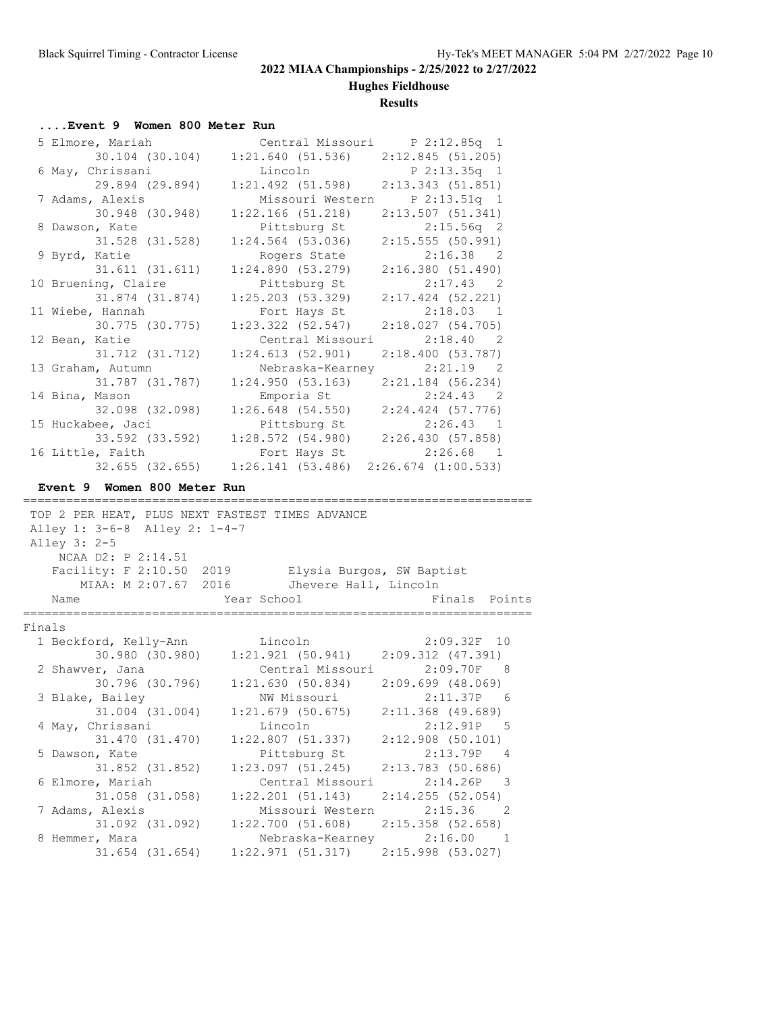**Hughes Fieldhouse**

## **Results**

## **....Event 9 Women 800 Meter Run**

| 5 Elmore, Mariah    | Central Missouri P 2:12.85q 1           |                                   |
|---------------------|-----------------------------------------|-----------------------------------|
| 30.104 (30.104)     | $1:21.640$ (51.536) $2:12.845$ (51.205) |                                   |
| 6 May, Chrissani    | Lincoln                                 | P <sub>2:13.35q<sub>1</sub></sub> |
| 29.894 (29.894)     | $1:21.492$ (51.598)                     | 2:13.343 (51.851)                 |
| 7 Adams, Alexis     | Missouri Western                        | P 2:13.51q 1                      |
| 30.948 (30.948)     | $1:22.166$ (51.218)                     | 2:13.507(51.341)                  |
| 8 Dawson, Kate      | Pittsburg St                            | $2:15.56q$ 2                      |
| 31.528 (31.528)     | $1:24.564$ (53.036)                     | 2:15.555(50.991)                  |
| 9 Byrd, Katie       | Rogers State                            | $2:16.38$ 2                       |
| 31.611 (31.611)     | 1:24.890(53.279)                        | 2:16.380(51.490)                  |
| 10 Bruening, Claire | Pittsburg St                            | $2:17.43$ 2                       |
| 31.874 (31.874)     | 1:25.203(53.329)                        | $2:17.424$ (52.221)               |
| 11 Wiebe, Hannah    | Fort Hays St                            | $2:18.03$ 1                       |
| 30.775 (30.775)     | $1:23.322$ $(52.547)$                   | 2:18.027(54.705)                  |
| 12 Bean, Katie      | Central Missouri                        | 2:18.40 2                         |
| 31.712 (31.712)     | 1:24.613(52.901)                        | 2:18.400(53.787)                  |
| 13 Graham, Autumn   | Nebraska-Kearney 2:21.19 2              |                                   |
| 31.787 (31.787)     | 1:24.950(53.163)                        | $2:21.184$ (56.234)               |
| 14 Bina, Mason      | Emporia St 2:24.43 2                    |                                   |
| 32.098 (32.098)     | $1:26.648$ (54.550) $2:24.424$ (57.776) |                                   |
| 15 Huckabee, Jaci   | Pittsburg St 2:26.43 1                  |                                   |
| 33.592 (33.592)     | $1:28.572$ (54.980) $2:26.430$ (57.858) |                                   |
| 16 Little, Faith    | Fort Hays St                            | $2:26.68$ 1                       |
| 32.655 (32.655)     | 1:26.141(53.486)                        | $2:26.674$ $(1:00.533)$           |

### **Event 9 Women 800 Meter Run**

|        |                               | TOP 2 PER HEAT, PLUS NEXT FASTEST TIMES ADVANCE    |                             |
|--------|-------------------------------|----------------------------------------------------|-----------------------------|
|        | Alley 1: 3-6-8 Alley 2: 1-4-7 |                                                    |                             |
|        | Alley 3: 2-5                  |                                                    |                             |
|        | NCAA D2: P 2:14.51            |                                                    |                             |
|        |                               | Facility: F 2:10.50 2019 Elysia Burgos, SW Baptist |                             |
|        | MIAA: M 2:07.67 2016          | Jhevere Hall, Lincoln                              |                             |
|        | Name                          | Year School                                        | Finals Points               |
| Finals |                               |                                                    |                             |
|        | 1 Beckford, Kelly-Ann Lincoln |                                                    | $2:09.32F$ 10               |
|        | 30.980 (30.980)               | $1:21.921(50.941)$ $2:09.312(47.391)$              |                             |
|        | 2 Shawver, Jana               | Central Missouri                                   | 2:09.70F 8                  |
|        | 30.796 (30.796)               | $1:21.630$ (50.834) $2:09.699$ (48.069)            |                             |
|        | 3 Blake, Bailey               | NW Missouri                                        | 2:11.37P 6                  |
|        | 31.004 (31.004)               | $1:21.679$ (50.675) $2:11.368$ (49.689)            |                             |
|        | 4 May, Chrissani              | Lincoln                                            | $2:12.91P$ 5                |
|        | 31.470 (31.470)               | $1:22.807$ (51.337)                                | 2:12.908(50.101)            |
|        | 5 Dawson, Kate                | Pittsburg St                                       | 2:13.79P 4                  |
|        | 31.852 (31.852)               | $1:23.097$ (51.245)                                | 2:13.783 (50.686)           |
|        | 6 Elmore, Mariah              |                                                    | Central Missouri 2:14.26P 3 |
|        | 31.058 (31.058)               | $1:22.201$ (51.143) $2:14.255$ (52.054)            |                             |
|        |                               |                                                    |                             |
|        | 7 Adams, Alexis               |                                                    | Missouri Western 2:15.36 2  |
|        | 31.092 (31.092)               | $1:22.700$ (51.608) $2:15.358$ (52.658)            |                             |
|        | 8 Hemmer, Mara                |                                                    | Nebraska-Kearney 2:16.00 1  |
|        | 31.654 (31.654)               | $1:22.971$ (51.317) $2:15.998$ (53.027)            |                             |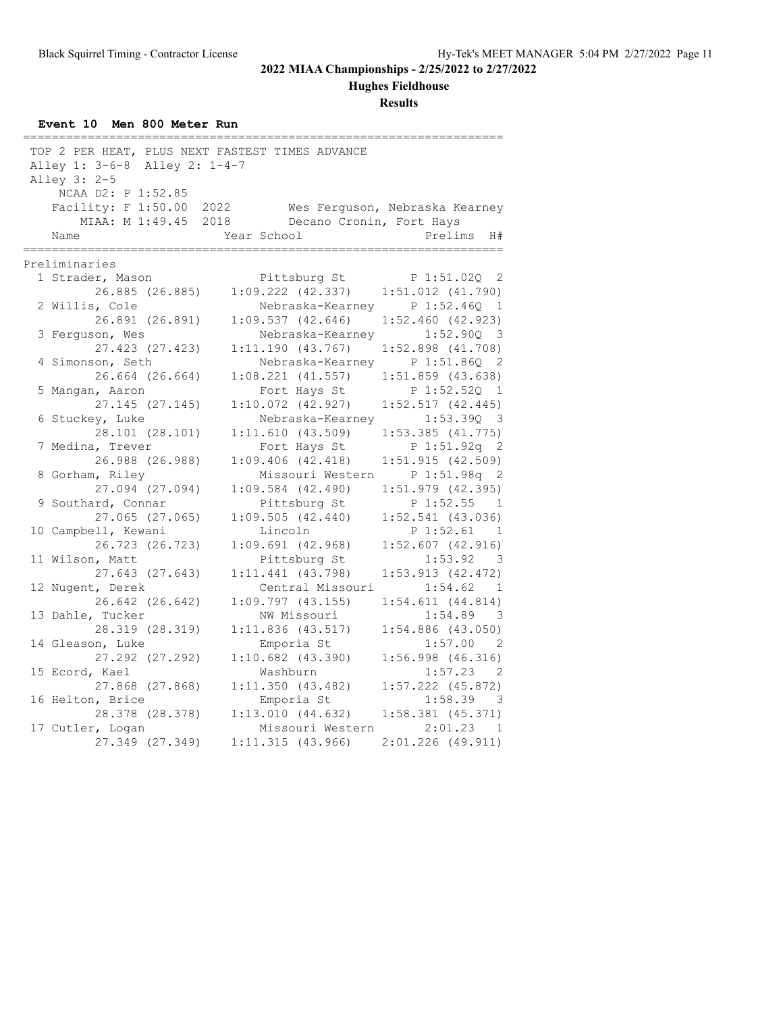**Hughes Fieldhouse**

| Event 10 Men 800 Meter Run |  |  |  |  |  |  |
|----------------------------|--|--|--|--|--|--|
|----------------------------|--|--|--|--|--|--|

| Alley 1: 3-6-8 Alley 2: 1-4-7<br>Alley 3: 2-5<br>NCAA D2: P 1:52.85 | TOP 2 PER HEAT, PLUS NEXT FASTEST TIMES ADVANCE |                                                         |
|---------------------------------------------------------------------|-------------------------------------------------|---------------------------------------------------------|
| Facility: F 1:50.00                                                 | 2022                                            | Wes Ferguson, Nebraska Kearney                          |
| MIAA: M 1:49.45                                                     | 2018<br>Decano Cronin, Fort Hays                |                                                         |
| Name                                                                | Year School                                     | Prelims<br>H#                                           |
|                                                                     |                                                 |                                                         |
| Preliminaries                                                       |                                                 |                                                         |
| 1 Strader, Mason                                                    | Pittsburg St                                    | P 1:51.02Q 2                                            |
| 26.885 (26.885)                                                     | 1:09.222 (42.337)                               | 1:51.012 (41.790)                                       |
| 2 Willis, Cole                                                      |                                                 | Nebraska-Kearney P 1:52.46Q 1                           |
| 26.891 (26.891)                                                     | 1:09.537(42.646)                                | $1:52.460$ (42.923)                                     |
| 3 Ferguson, Wes                                                     | Nebraska-Kearney                                | 1:52.90Q<br>$\overline{\mathbf{3}}$                     |
| 27.423 (27.423)                                                     | 1:11.190(43.767)                                | $1:52.898$ $(41.708)$                                   |
| 4 Simonson, Seth                                                    | Nebraska-Kearney                                | P 1:51.86Q 2                                            |
| 26.664 (26.664)                                                     | $1:08.221$ $(41.557)$                           | $1:51.859$ (43.638)                                     |
| 5 Mangan, Aaron                                                     | Fort Hays St                                    | $P_1:52.52Q$<br>$\overline{1}$                          |
| 27.145 (27.145)                                                     | $1:10.072$ $(42.927)$                           | $1:52.517$ $(42.445)$                                   |
| 6 Stuckey, Luke                                                     | Nebraska-Kearney                                | $1:53.39Q$ 3                                            |
| 28.101 (28.101)                                                     | 1:11.610(43.509)                                | $1:53.385$ $(41.775)$                                   |
| 7 Medina, Trever<br>26.988 (26.988)                                 | Fort Hays St<br>$1:09.406$ $(42.418)$           | P <sub>1</sub> :51.92q <sub>2</sub><br>1:51.915(42.509) |
| 8 Gorham, Riley                                                     | Missouri Western                                | P 1:51.98q 2                                            |
| 27.094 (27.094)                                                     | $1:09.584$ $(42.490)$                           | $1:51.979$ $(42.395)$                                   |
| 9 Southard, Connar                                                  | Pittsburg St                                    | P 1:52.55 1                                             |
| 27.065 (27.065)                                                     | 1:09.505(42.440)                                | $1:52.541$ (43.036)                                     |
| 10 Campbell, Kewani                                                 | Lincoln                                         | P 1:52.61<br>$\overline{1}$                             |
| 26.723 (26.723)                                                     | $1:09.691$ $(42.968)$                           | $1:52.607$ (42.916)                                     |
| 11 Wilson, Matt                                                     | Pittsburg St                                    | 1:53.92 3                                               |
| 27.643 (27.643)                                                     | $1:11.441$ $(43.798)$                           | 1:53.913(42.472)                                        |
| 12 Nugent, Derek                                                    | Central Missouri                                | 1:54.62 1                                               |
| 26.642 (26.642)                                                     | $1:09.797$ (43.155)                             | $1:54.611$ $(44.814)$                                   |
| 13 Dahle, Tucker                                                    | NW Missouri                                     | 1:54.89<br>- 3                                          |
| 28.319 (28.319)                                                     | 1:11.836(43.517)                                | $1:54.886$ (43.050)                                     |
| 14 Gleason, Luke                                                    | Emporia St                                      | $1:57.00$ 2                                             |
| 27.292 (27.292)                                                     | $1:10.682$ (43.390)                             | $1:56.998$ (46.316)                                     |
| 15 Ecord, Kael                                                      | Washburn                                        | 1:57.23<br>- 2                                          |
| 27.868 (27.868)                                                     | 1:11.350(43.482)                                | $1:57.222$ (45.872)                                     |
| 16 Helton, Brice                                                    | Emporia St                                      | 1:58.39<br>- 3                                          |
| 28.378 (28.378)                                                     | 1:13.010(44.632)                                | $1:58.381$ $(45.371)$                                   |
| 17 Cutler, Logan                                                    | Missouri Western                                | $2:01.23$ 1                                             |
| 27.349 (27.349)                                                     | 1:11.315(43.966)                                | $2:01.226$ (49.911)                                     |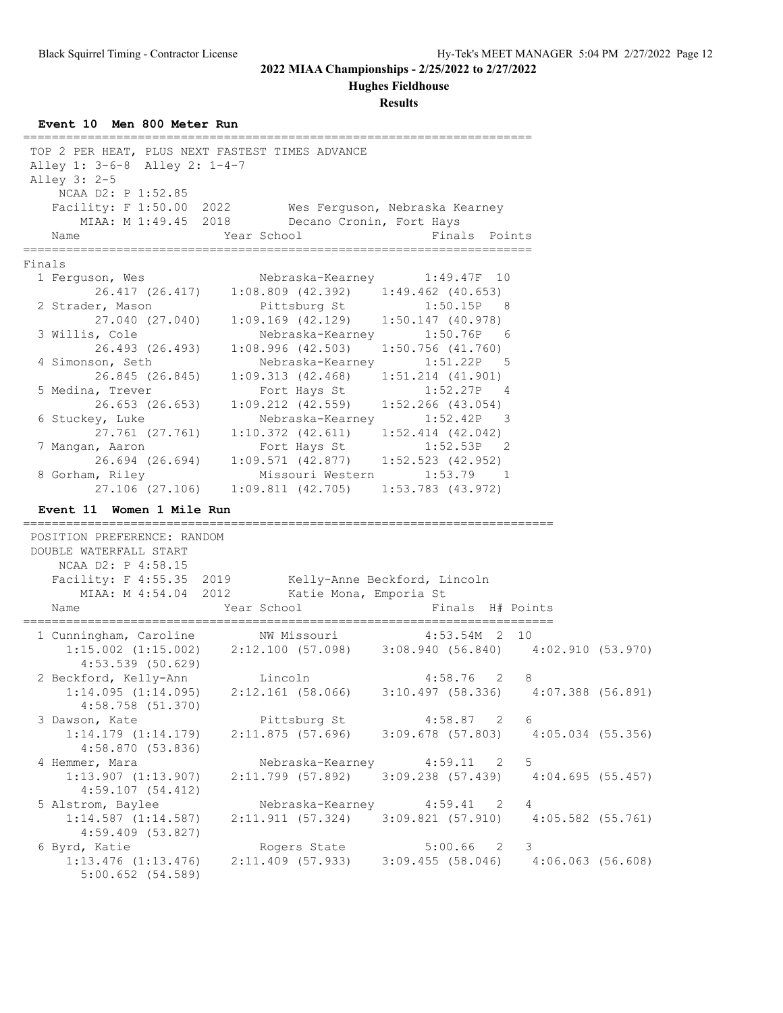#### **Hughes Fieldhouse**

**Results**

**Event 10 Men 800 Meter Run** ======================================================================= TOP 2 PER HEAT, PLUS NEXT FASTEST TIMES ADVANCE Alley 1: 3-6-8 Alley 2: 1-4-7 Alley 3: 2-5 NCAA D2: P 1:52.85<br>Facility: F 1:50.00 2022 Facility: F 1:50.00 2022 Wes Ferguson, Nebraska Kearney MIAA: M 1:49.45 2018 Decano Cronin, Fort Hays Name **The Year School** Finals Points ======================================================================= Finals 1 Ferguson, Wes Nebraska-Kearney 1:49.47F 10 26.417 (26.417) 1:08.809 (42.392) 1:49.462 (40.653) 2 Strader, Mason Pittsburg St 1:50.15P 8<br>27.040 (27.040) 1:09.169 (42.129) 1:50.147 (40.978) 27.040 (27.040) 1:09.169 (42.129) 1:50.147 (40.978) 3 Willis, Cole Nebraska-Kearney 1:50.76P 6 26.493 (26.493) 1:08.996 (42.503) 1:50.756 (41.760) 4 Simonson, Seth Nebraska-Kearney 1:51.22P 5 26.845 (26.845) 1:09.313 (42.468) 1:51.214 (41.901) 5 Medina, Trever Fort Hays St 1:52.27P 4 26.653 (26.653) 1:09.212 (42.559) 1:52.266 (43.054) 6 Stuckey, Luke Nebraska-Kearney 1:52.42P 3 27.761 (27.761) 1:10.372 (42.611) 1:52.414 (42.042) 7 Mangan, Aaron Fort Hays St 1:52.53P 2 26.694 (26.694) 1:09.571 (42.877) 1:52.523 (42.952) 8 Gorham, Riley Missouri Western 1:53.79 1 27.106 (27.106) 1:09.811 (42.705) 1:53.783 (43.972) **Event 11 Women 1 Mile Run** ========================================================================== POSITION PREFERENCE: RANDOM DOUBLE WATERFALL START NCAA D2: P 4:58.15 Facility: F 4:55.35 2019 Kelly-Anne Beckford, Lincoln MIAA: M 4:54.04 2012 Katie Mona, Emporia St Name  $Year School$  Finals H# Points ========================================================================== 1 Cunningham, Caroline NW Missouri 4:53.54M 2 10 1:15.002 (1:15.002) 2:12.100 (57.098) 3:08.940 (56.840) 4:02.910 (53.970) 4:53.539 (50.629) 2 Beckford, Kelly-Ann Lincoln 4:58.76 2 8 1:14.095 (1:14.095) 2:12.161 (58.066) 3:10.497 (58.336) 4:07.388 (56.891) 4:58.758 (51.370) 3 Dawson, Kate Pittsburg St 4:58.87 2 6 1:14.179 (1:14.179) 2:11.875 (57.696) 3:09.678 (57.803) 4:05.034 (55.356) 4:58.870 (53.836) 4 Hemmer, Mara **Nebraska-Kearney** 4:59.11 2 5 1:13.907 (1:13.907) 2:11.799 (57.892) 3:09.238 (57.439) 4:04.695 (55.457) 4:59.107 (54.412) 5 Alstrom, Baylee Nebraska-Kearney 4:59.41 2 4 1:14.587 (1:14.587) 2:11.911 (57.324) 3:09.821 (57.910) 4:05.582 (55.761) 4:59.409 (53.827) 6 Byrd, Katie Rogers State 5:00.66 2 3 1:13.476 (1:13.476) 2:11.409 (57.933) 3:09.455 (58.046) 4:06.063 (56.608) 5:00.652 (54.589)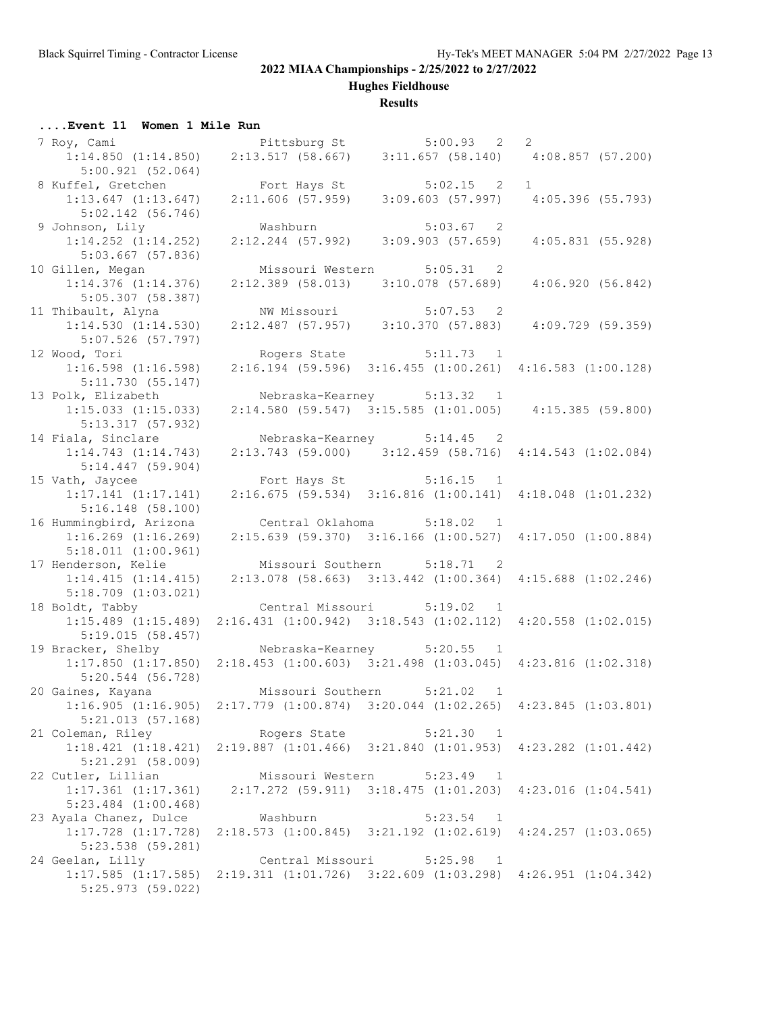**Hughes Fieldhouse**

## **Results**

## **....Event 11 Women 1 Mile Run**

| 7 Roy, Cami                                                                       |                                                                                             | Pittsburg St 5:00.93 2                                                            | 2                |
|-----------------------------------------------------------------------------------|---------------------------------------------------------------------------------------------|-----------------------------------------------------------------------------------|------------------|
| $1:14.850$ $(1:14.850)$<br>5:00.921(52.064)                                       |                                                                                             | $2:13.517$ (58.667) 3:11.657 (58.140) 4:08.857 (57.200)                           |                  |
| 8 Kuffel, Gretchen                                                                |                                                                                             | Fort Hays St 5:02.15 2 1<br>2:11.606 (57.959) 3:09.603 (57.997) 4:05.396 (55.793) |                  |
| $1:13.647$ $(1:13.647)$                                                           |                                                                                             |                                                                                   |                  |
| $5:02.142$ (56.746)<br>9 Johnson, Lily                                            | Washburn                                                                                    | 5:03.67 2                                                                         |                  |
| $1:14.252$ $(1:14.252)$                                                           |                                                                                             | $2:12.244$ (57.992) 3:09.903 (57.659)                                             | 4:05.831(55.928) |
| 5:03.667(57.836)                                                                  |                                                                                             |                                                                                   |                  |
| 10 Gillen, Megan                                                                  |                                                                                             | Missouri Western 5:05.31 2                                                        |                  |
| $1:14.376$ $(1:14.376)$                                                           |                                                                                             | $2:12.389$ (58.013) 3:10.078 (57.689)                                             | 4:06.920(56.842) |
| $5:05.307$ (58.387)                                                               |                                                                                             |                                                                                   |                  |
| 11 Thibault, Alyna                                                                | NW Missouri                                                                                 | $5:07.53$ 2                                                                       |                  |
| 1:14.530(1:14.530)                                                                |                                                                                             | $2:12.487$ (57.957) 3:10.370 (57.883)                                             | 4:09.729(59.359) |
| 5:07.526 (57.797)                                                                 |                                                                                             |                                                                                   |                  |
| 12 Wood, Tori                                                                     |                                                                                             | Rogers State 5:11.73 1                                                            |                  |
| $1:16.598$ $(1:16.598)$                                                           |                                                                                             | $2:16.194$ (59.596) 3:16.455 (1:00.261) 4:16.583 (1:00.128)                       |                  |
| 5:11.730(55.147)<br>13 Polk, Elizabeth                                            |                                                                                             | Nebraska-Kearney 5:13.32 1                                                        |                  |
| $1:15.033$ $(1:15.033)$                                                           |                                                                                             | $2:14.580$ (59.547) $3:15.585$ (1:01.005) $4:15.385$ (59.800)                     |                  |
| 5:13.317 (57.932)                                                                 |                                                                                             |                                                                                   |                  |
| 14 Fiala, Sinclare                                                                |                                                                                             | Nebraska-Kearney 5:14.45 2                                                        |                  |
| $1:14.743$ $(1:14.743)$                                                           |                                                                                             | $2:13.743$ (59.000) 3:12.459 (58.716) 4:14.543 (1:02.084)                         |                  |
| $5:14.447$ (59.904)                                                               |                                                                                             |                                                                                   |                  |
| 15 Vath, Jaycee                                                                   |                                                                                             | Fort Hays St 5:16.15 1                                                            |                  |
| $1:17.141$ $(1:17.141)$                                                           |                                                                                             | $2:16.675$ (59.534) $3:16.816$ (1:00.141) $4:18.048$ (1:01.232)                   |                  |
| 5:16.148(58.100)                                                                  |                                                                                             |                                                                                   |                  |
| 16 Hummingbird, Arizona                                                           |                                                                                             | Central Oklahoma 5:18.02 1                                                        |                  |
| $1:16.269$ $(1:16.269)$<br>$5:18.011$ $(1:00.961)$                                |                                                                                             | 2:15.639 (59.370) 3:16.166 (1:00.527) 4:17.050 (1:00.884)                         |                  |
| 17 Henderson, Kelie                                                               | Missouri Southern 5:18.71 2                                                                 |                                                                                   |                  |
| 1:14.415(1:14.415)                                                                |                                                                                             | 2:13.078 (58.663) 3:13.442 (1:00.364) 4:15.688 (1:02.246)                         |                  |
| $5:18.709$ $(1:03.021)$                                                           |                                                                                             |                                                                                   |                  |
| 18 Boldt, Tabby                                                                   |                                                                                             | Central Missouri 5:19.02 1                                                        |                  |
| $1:15.489$ $(1:15.489)$                                                           |                                                                                             | 2:16.431 (1:00.942) 3:18.543 (1:02.112) 4:20.558 (1:02.015)                       |                  |
| 5:19.015(58.457)                                                                  |                                                                                             |                                                                                   |                  |
| 19 Bracker, Shelby                                                                |                                                                                             | Nebraska-Kearney 5:20.55 1                                                        |                  |
| $5:20.544$ (56.728)                                                               | 1:17.850 (1:17.850) 2:18.453 (1:00.603) 3:21.498 (1:03.045) 4:23.816 (1:02.318)             |                                                                                   |                  |
| 20 Gaines, Kayana                                                                 | Missouri Southern                                                                           | 5:21.02 1                                                                         |                  |
| $1:16.905$ (1:16.905) 2:17.779 (1:00.874) 3:20.044 (1:02.265) 4:23.845 (1:03.801) |                                                                                             |                                                                                   |                  |
| 5:21.013(57.168)                                                                  |                                                                                             |                                                                                   |                  |
| 21 Coleman, Riley                                                                 | Rogers State                                                                                | 5:21.30 1                                                                         |                  |
|                                                                                   | 1:18.421 (1:18.421) 2:19.887 (1:01.466) 3:21.840 (1:01.953) 4:23.282 (1:01.442)             |                                                                                   |                  |
| $5:21.291$ (58.009)                                                               |                                                                                             |                                                                                   |                  |
| 22 Cutler, Lillian                                                                |                                                                                             | Missouri Western 5:23.49 1                                                        |                  |
| $1:17.361$ $(1:17.361)$                                                           |                                                                                             | 2:17.272 (59.911) 3:18.475 (1:01.203) 4:23.016 (1:04.541)                         |                  |
| $5:23.484$ $(1:00.468)$                                                           |                                                                                             |                                                                                   |                  |
| 23 Ayala Chanez, Dulce                                                            | Washburn<br>1:17.728 (1:17.728) 2:18.573 (1:00.845) 3:21.192 (1:02.619) 4:24.257 (1:03.065) | $5:23.54$ 1                                                                       |                  |
| 5:23.538 (59.281)                                                                 |                                                                                             |                                                                                   |                  |
| 24 Geelan, Lilly                                                                  | Central Missouri                                                                            | $5:25.98$ 1                                                                       |                  |
|                                                                                   | 1:17.585 (1:17.585) 2:19.311 (1:01.726) 3:22.609 (1:03.298) 4:26.951 (1:04.342)             |                                                                                   |                  |
| $5:25.973$ (59.022)                                                               |                                                                                             |                                                                                   |                  |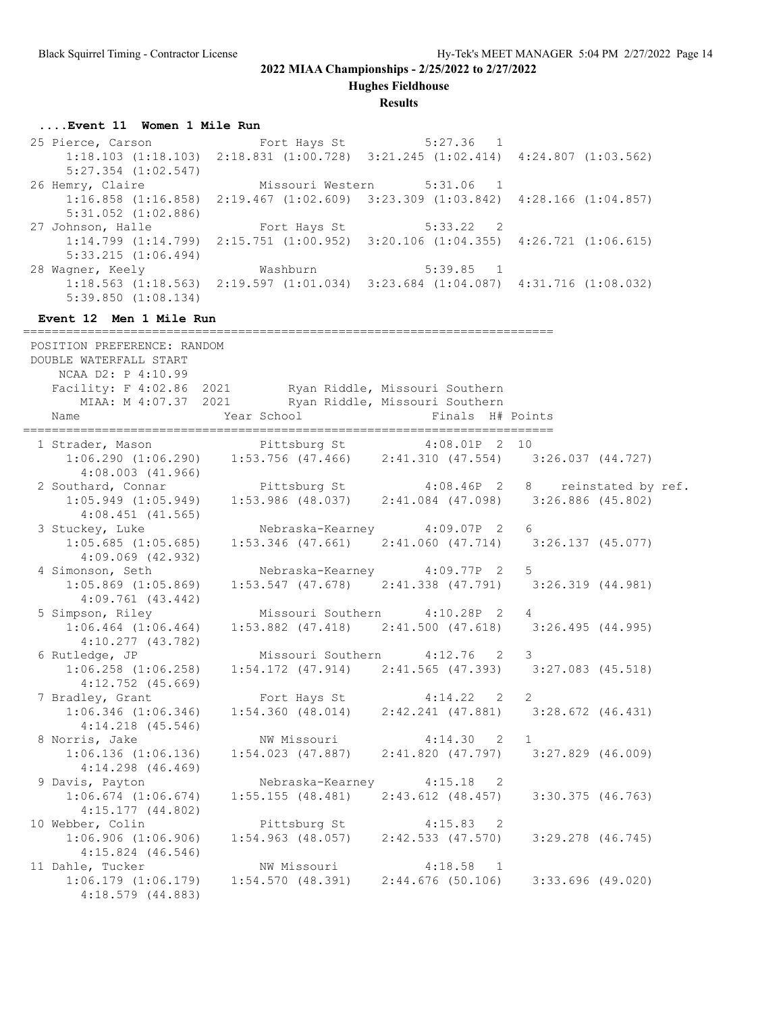**Hughes Fieldhouse**

#### **Results**

#### **....Event 11 Women 1 Mile Run**

25 Pierce, Carson Fort Hays St 5:27.36 1 1:18.103 (1:18.103) 2:18.831 (1:00.728) 3:21.245 (1:02.414) 4:24.807 (1:03.562) 5:27.354 (1:02.547) 26 Hemry, Claire Missouri Western 5:31.06 1 1:16.858 (1:16.858) 2:19.467 (1:02.609) 3:23.309 (1:03.842) 4:28.166 (1:04.857) 5:31.052 (1:02.886) 27 Johnson, Halle Fort Hays St 5:33.22 2 1:14.799 (1:14.799) 2:15.751 (1:00.952) 3:20.106 (1:04.355) 4:26.721 (1:06.615) 5:33.215 (1:06.494) 28 Wagner, Keely Mashburn 5:39.85 1 1:18.563 (1:18.563) 2:19.597 (1:01.034) 3:23.684 (1:04.087) 4:31.716 (1:08.032) 5:39.850 (1:08.134)

#### **Event 12 Men 1 Mile Run**

========================================================================== POSITION PREFERENCE: RANDOM DOUBLE WATERFALL START NCAA D2: P 4:10.99 Facility: F 4:02.86 2021 Ryan Riddle, Missouri Southern MIAA: M 4:07.37 2021 Ryan Riddle, Missouri Southern Name Year School Finals H# Points ========================================================================== 1 Strader, Mason **Pittsburg St** 4:08.01P 2 10 1:06.290 (1:06.290) 1:53.756 (47.466) 2:41.310 (47.554) 3:26.037 (44.727) 4:08.003 (41.966) 2 Southard, Connar **Pittsburg St**  $4:08.46P$  2 8 reinstated by ref. 1:05.949 (1:05.949) 1:53.986 (48.037) 2:41.084 (47.098) 3:26.886 (45.802) 4:08.451 (41.565) 3 Stuckey, Luke Nebraska-Kearney 4:09.07P 2 6 1:05.685 (1:05.685) 1:53.346 (47.661) 2:41.060 (47.714) 3:26.137 (45.077) 4:09.069 (42.932) 4 Simonson, Seth Nebraska-Kearney 4:09.77P 2 5 1:05.869 (1:05.869) 1:53.547 (47.678) 2:41.338 (47.791) 3:26.319 (44.981) 4:09.761 (43.442) 5 Simpson, Riley Missouri Southern 4:10.28P 2 4 1:06.464 (1:06.464) 1:53.882 (47.418) 2:41.500 (47.618) 3:26.495 (44.995) 4:10.277 (43.782)<br>6 Rutledge, JP Missouri Southern 4:12.76 2 3 1:06.258 (1:06.258) 1:54.172 (47.914) 2:41.565 (47.393) 3:27.083 (45.518) 4:12.752 (45.669) 7 Bradley, Grant **Fort Hays St** 4:14.22 2 2 1:06.346 (1:06.346) 1:54.360 (48.014) 2:42.241 (47.881) 3:28.672 (46.431) 4:14.218 (45.546) 8 Norris, Jake NW Missouri 4:14.30 2 1 1:06.136 (1:06.136) 1:54.023 (47.887) 2:41.820 (47.797) 3:27.829 (46.009) 4:14.298 (46.469) 9 Davis, Payton **Nebraska-Kearney** 4:15.18 2 1:06.674 (1:06.674) 1:55.155 (48.481) 2:43.612 (48.457) 3:30.375 (46.763) 4:15.177 (44.802) 10 Webber, Colin **Pittsburg St** 4:15.83 2 1:06.906 (1:06.906) 1:54.963 (48.057) 2:42.533 (47.570) 3:29.278 (46.745) 4:15.824 (46.546) 11 Dahle, Tucker NW Missouri 4:18.58 1 1:06.179 (1:06.179) 1:54.570 (48.391) 2:44.676 (50.106) 3:33.696 (49.020) 4:18.579 (44.883)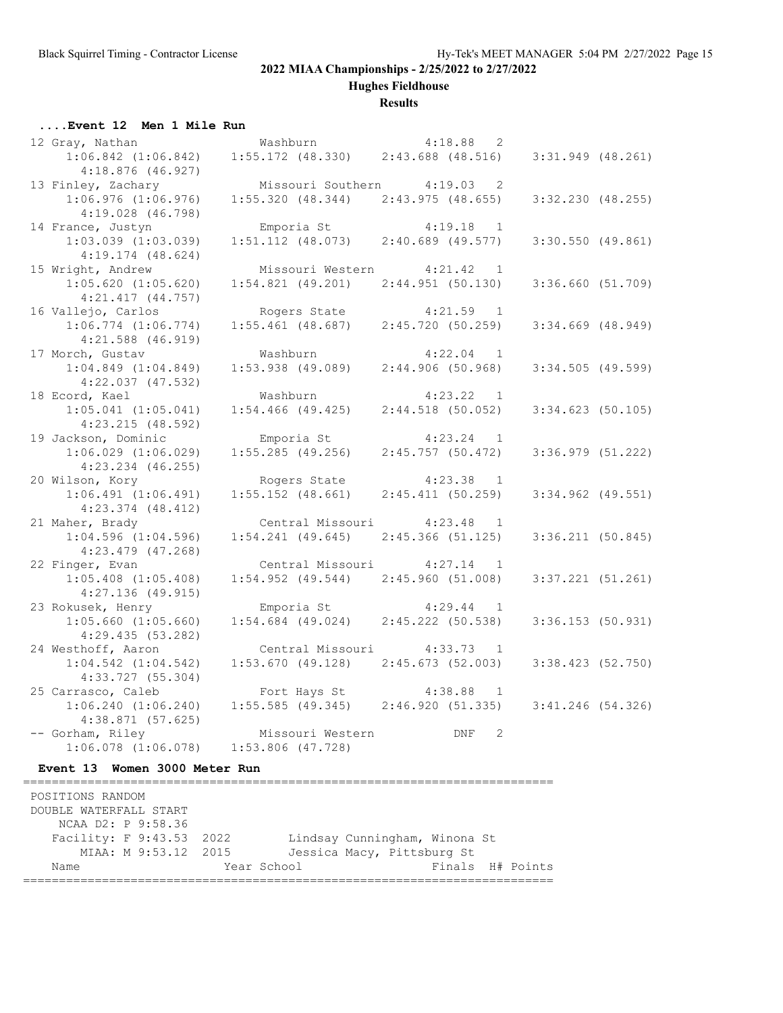**Hughes Fieldhouse**

#### **Results**

### **....Event 12 Men 1 Mile Run**

| 12 Gray, Nathan         | Washburn            |                                         |             | 4:18.88 2           |                       |  |
|-------------------------|---------------------|-----------------------------------------|-------------|---------------------|-----------------------|--|
| $1:06.842$ $(1:06.842)$ |                     | $1:55.172$ (48.330) $2:43.688$ (48.516) |             |                     | $3:31.949$ (48.261)   |  |
| $4:18.876$ (46.927)     |                     |                                         |             |                     |                       |  |
| 13 Finley, Zachary      |                     | Missouri Southern 4:19.03 2             |             |                     |                       |  |
| $1:06.976$ $(1:06.976)$ |                     | $1:55.320$ (48.344) 2:43.975 (48.655)   |             |                     | $3:32.230$ $(48.255)$ |  |
| $4:19.028$ $(46.798)$   |                     |                                         |             |                     |                       |  |
| 14 France, Justyn       |                     | Emporia St                              | $4:19.18$ 1 |                     |                       |  |
| $1:03.039$ $(1:03.039)$ |                     | $1:51.112$ (48.073) $2:40.689$ (49.577) |             |                     | $3:30.550$ (49.861)   |  |
| $4:19.174$ $(48.624)$   |                     |                                         |             |                     |                       |  |
| 15 Wright, Andrew       |                     | Missouri Western 4:21.42                |             | $\overline{1}$      |                       |  |
| $1:05.620$ $(1:05.620)$ |                     | $1:54.821$ (49.201) $2:44.951$ (50.130) |             |                     | 3:36.660(51.709)      |  |
| $4:21.417$ $(44.757)$   |                     |                                         |             |                     |                       |  |
| 16 Vallejo, Carlos      |                     | Rogers State                            | $4:21.59$ 1 |                     |                       |  |
| $1:06.774$ $(1:06.774)$ |                     | $1:55.461$ (48.687) $2:45.720$ (50.259) |             |                     | $3:34.669$ $(48.949)$ |  |
| $4:21.588$ $(46.919)$   |                     |                                         |             |                     |                       |  |
| 17 Morch, Gustav        | Washburn            |                                         |             | 4:22.04<br>$\sim$ 1 |                       |  |
| $1:04.849$ $(1:04.849)$ |                     | $1:53.938$ (49.089)                     |             | 2:44.906(50.968)    | $3:34.505$ (49.599)   |  |
| $4:22.037$ $(47.532)$   |                     |                                         |             |                     |                       |  |
| 18 Ecord, Kael          | Washburn            |                                         |             | 4:23.22 1           |                       |  |
| $1:05.041$ $(1:05.041)$ |                     | $1:54.466$ (49.425)                     |             | $2:44.518$ (50.052) | $3:34.623$ (50.105)   |  |
| 4:23.215(48.592)        |                     |                                         |             |                     |                       |  |
| 19 Jackson, Dominic     | Emporia St          |                                         | $4:23.24$ 1 |                     |                       |  |
| $1:06.029$ $(1:06.029)$ | $1:55.285$ (49.256) |                                         |             | 2:45.757(50.472)    | $3:36.979$ $(51.222)$ |  |
| $4:23.234$ $(46.255)$   |                     |                                         |             |                     |                       |  |
| 20 Wilson, Kory         |                     | Rogers State                            |             | $4:23.38$ 1         |                       |  |
| $1:06.491$ $(1:06.491)$ |                     | $1:55.152$ $(48.661)$                   |             | 2:45.411(50.259)    | $3:34.962$ (49.551)   |  |
| $4:23.374$ $(48.412)$   |                     |                                         |             |                     |                       |  |
| 21 Maher, Brady         |                     | Central Missouri 4:23.48 1              |             |                     |                       |  |
| $1:04.596$ $(1:04.596)$ |                     | $1:54.241$ (49.645) $2:45.366$ (51.125) |             |                     | 3:36.211(50.845)      |  |
| $4:23.479$ $(47.268)$   |                     |                                         |             |                     |                       |  |
| 22 Finger, Evan         |                     | Central Missouri 4:27.14 1              |             |                     |                       |  |
| $1:05.408$ $(1:05.408)$ |                     | $1:54.952$ (49.544) $2:45.960$ (51.008) |             |                     | $3:37.221$ $(51.261)$ |  |
| $4:27.136$ (49.915)     |                     |                                         |             |                     |                       |  |
| 23 Rokusek, Henry       |                     | Emporia St                              |             | $4:29.44$ 1         |                       |  |
| $1:05.660$ $(1:05.660)$ |                     | $1:54.684$ (49.024)                     |             | 2:45.222(50.538)    | $3:36.153$ (50.931)   |  |
| 4:29.435 (53.282)       |                     |                                         |             |                     |                       |  |
| 24 Westhoff, Aaron      |                     | Central Missouri 4:33.73 1              |             |                     |                       |  |
| $1:04.542$ $(1:04.542)$ |                     | $1:53.670$ (49.128) $2:45.673$ (52.003) |             |                     | 3:38.423 (52.750)     |  |
| 4:33.727(55.304)        |                     |                                         |             |                     |                       |  |
| 25 Carrasco, Caleb      |                     | Fort Hays St 4:38.88                    |             | $\overline{1}$      |                       |  |
| $1:06.240$ $(1:06.240)$ |                     | $1:55.585$ (49.345) $2:46.920$ (51.335) |             |                     | $3:41.246$ (54.326)   |  |
| 4:38.871(57.625)        |                     |                                         |             |                     |                       |  |
| -- Gorham, Riley        |                     | Missouri Western                        |             | DNF<br>2            |                       |  |
| $1:06.078$ $(1:06.078)$ | $1:53.806$ (47.728) |                                         |             |                     |                       |  |

### **Event 13 Women 3000 Meter Run**

========================================================================== POSITIONS RANDOM DOUBLE WATERFALL START NCAA D2: P 9:58.36 Facility: F 9:43.53 2022 Lindsay Cunningham, Winona St MIAA: M 9:53.12 2015 Jessica Macy, Pittsburg St Name  $Year School$  Finals H# Points ==========================================================================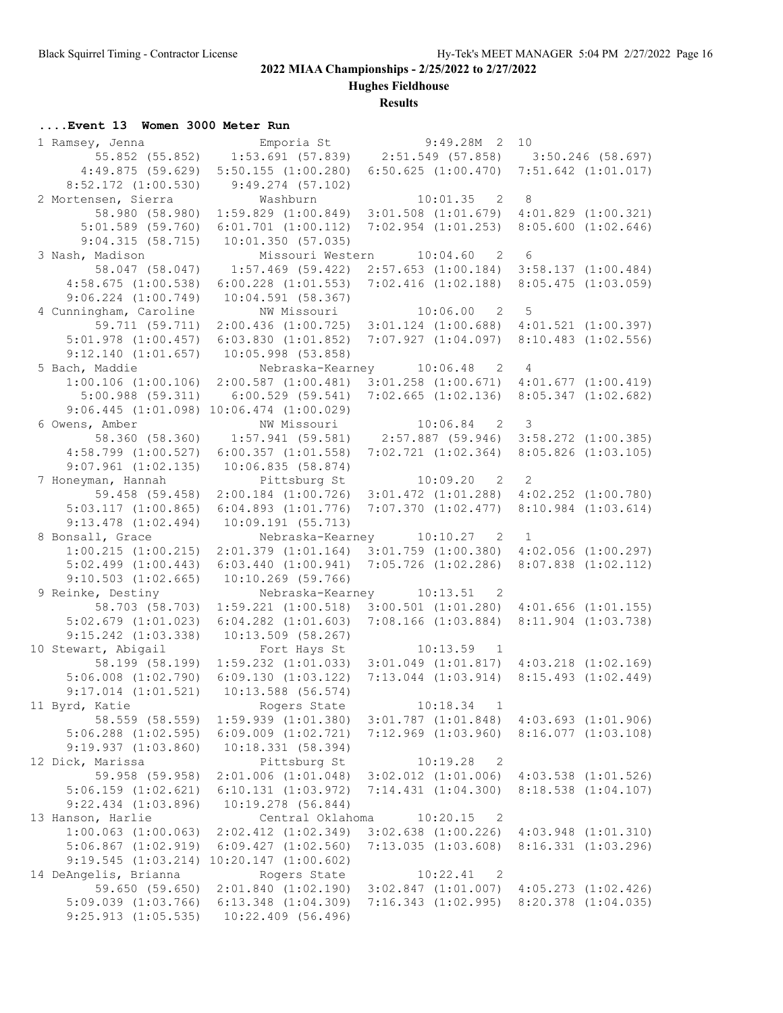**Hughes Fieldhouse**

## **Results**

## **....Event 13 Women 3000 Meter Run**

| 1 Ramsey, Jenna (2008) Emporiant St 9:49.28M 2 |                                                                          |                                                                         | 10                      |
|------------------------------------------------|--------------------------------------------------------------------------|-------------------------------------------------------------------------|-------------------------|
|                                                | $-55.852$ (55.852) 1:53.691 (57.839) 2:51.549 (57.858) 3:50.246 (58.697) |                                                                         |                         |
| 4:49.875(59.629)                               | $5:50.155$ $(1:00.280)$                                                  | $6:50.625$ $(1:00.470)$                                                 | $7:51.642$ $(1:01.017)$ |
| $8:52.172$ $(1:00.530)$                        | 9:49.274(57.102)                                                         |                                                                         |                         |
| 2 Mortensen, Sierra                            | Washburn                                                                 | $10:01.35$ 2                                                            | 8 <sup>8</sup>          |
| 58.980 (58.980)                                |                                                                          | 1:59.829 (1:00.849) 3:01.508 (1:01.679) 4:01.829 (1:00.321)             |                         |
| $5:01.589$ (59.760)                            | $6:01.701$ $(1:00.112)$                                                  | $7:02.954$ $(1:01.253)$ $8:05.600$ $(1:02.646)$                         |                         |
| 9:04.315(58.715)                               | 10:01.350(57.035)                                                        |                                                                         |                         |
| 3 Nash, Madison                                |                                                                          | Missouri Western 10:04.60 2 6                                           |                         |
| 58.047 (58.047)                                | $1:57.469$ (59.422)                                                      | 2:57.653 (1:00.184) 3:58.137 (1:00.484)                                 |                         |
| 4:58.675(1:00.538)                             | $6:00.228$ $(1:01.553)$                                                  | $7:02.416$ $(1:02.188)$ $8:05.475$ $(1:03.059)$                         |                         |
| $9:06.224$ $(1:00.749)$                        | 10:04.591(58.367)                                                        |                                                                         |                         |
| 4 Cunningham, Caroline                         |                                                                          | NW Missouri 10:06.00 2 5                                                |                         |
| 59.711 (59.711)                                |                                                                          | $2:00.436$ (1:00.725) $3:01.124$ (1:00.688) $4:01.521$ (1:00.397)       |                         |
|                                                | $5:01.978$ $(1:00.457)$ $6:03.830$ $(1:01.852)$ $7:07.927$ $(1:04.097)$  |                                                                         | $8:10.483$ $(1:02.556)$ |
| 9:12.140(1:01.657)                             | 10:05.998 (53.858)                                                       |                                                                         |                         |
| 5 Bach, Maddie                                 |                                                                          | Nebraska-Kearney 10:06.48 2 4                                           |                         |
| $1:00.106$ $(1:00.106)$                        | 2:00.587(1:00.481)                                                       | $3:01.258$ $(1:00.671)$ $4:01.677$ $(1:00.419)$                         |                         |
| 5:00.988(59.311)                               | 6:00.529(59.541)                                                         | 7:02.665 (1:02.136) 8:05.347 (1:02.682)                                 |                         |
|                                                | $9:06.445$ $(1:01.098)$ $10:06.474$ $(1:00.029)$                         |                                                                         |                         |
| 6 Owens, Amber                                 |                                                                          | NW Missouri 10:06.84 2 3                                                |                         |
| 58.360 (58.360)                                | $1:57.941$ (59.581) $2:57.887$ (59.946) $3:58.272$ (1:00.385)            |                                                                         |                         |
| $4:58.799$ $(1:00.527)$                        | $6:00.357$ $(1:01.558)$                                                  | 7:02.721 (1:02.364) 8:05.826 (1:03.105)                                 |                         |
| $9:07.961$ $(1:02.135)$                        | 10:06.835(58.874)                                                        |                                                                         |                         |
| 7 Honeyman, Hannah                             |                                                                          | Pittsburg St 10:09.20 2 2                                               |                         |
| 59.458 (59.458)                                |                                                                          | 2:00.184 (1:00.726) 3:01.472 (1:01.288) 4:02.252 (1:00.780)             |                         |
| 5:03.117(1:00.865)                             | $6:04.893$ $(1:01.776)$                                                  | 7:07.370(1:02.477)                                                      | $8:10.984$ $(1:03.614)$ |
| $9:13.478$ $(1:02.494)$                        | 10:09.191 (55.713)                                                       |                                                                         |                         |
| 8 Bonsall, Grace                               |                                                                          | Nebraska-Kearney 10:10.27 2 1                                           |                         |
| $1:00.215$ $(1:00.215)$                        | $2:01.379$ $(1:01.164)$                                                  | $3:01.759$ $(1:00.380)$ $4:02.056$ $(1:00.297)$                         |                         |
| $5:02.499$ $(1:00.443)$                        | $6:03.440$ $(1:00.941)$                                                  | 7:05.726 (1:02.286) 8:07.838 (1:02.112)                                 |                         |
| $9:10.503$ $(1:02.665)$                        | $10:10.269$ (59.766)                                                     |                                                                         |                         |
| 9 Reinke, Destiny                              |                                                                          | Nebraska-Kearney 10:13.51<br>$\overline{\phantom{0}}^2$                 |                         |
| 58.703 (58.703)                                | $1:59.221$ $(1:00.518)$                                                  | $3:00.501$ $(1:01.280)$ $4:01.656$ $(1:01.155)$                         |                         |
| $5:02.679$ $(1:01.023)$                        | $6:04.282$ $(1:01.603)$                                                  | $7:08.166$ $(1:03.884)$                                                 | 8:11.904 (1:03.738)     |
| $9:15.242$ $(1:03.338)$                        | $10:13.509$ (58.267)                                                     |                                                                         |                         |
| 10 Stewart, Abigail                            | Fort Hays St                                                             | $10:13.59$ 1                                                            |                         |
| 58.199 (58.199)                                |                                                                          | $1:59.232$ $(1:01.033)$ $3:01.049$ $(1:01.817)$ $4:03.218$ $(1:02.169)$ |                         |
| $5:06.008$ $(1:02.790)$                        | 6:09.130(1:03.122)                                                       | $7:13.044$ $(1:03.914)$                                                 | 8:15.493(1:02.449)      |
| $9:17.014$ $(1:01.521)$                        | $10:13.588$ (56.574)                                                     |                                                                         |                         |
| 11 Byrd, Katie                                 | Rogers State                                                             | 10:18.34<br>$\mathbf{1}$                                                |                         |
| 58.559 (58.559)                                | $1:59.939$ $(1:01.380)$                                                  | $3:01.787$ $(1:01.848)$                                                 | $4:03.693$ $(1:01.906)$ |
| $5:06.288$ $(1:02.595)$                        | $6:09.009$ $(1:02.721)$                                                  | $7:12.969$ $(1:03.960)$                                                 | 8:16.077(1:03.108)      |
| 9:19.937(1:03.860)                             | 10:18.331(58.394)                                                        |                                                                         |                         |
| 12 Dick, Marissa                               | Pittsburg St                                                             | 10:19.28<br>$\overline{\phantom{0}}^2$                                  |                         |
| 59.958 (59.958)                                | $2:01.006$ $(1:01.048)$                                                  | $3:02.012$ $(1:01.006)$                                                 | $4:03.538$ $(1:01.526)$ |
| $5:06.159$ $(1:02.621)$                        | $6:10.131$ $(1:03.972)$                                                  | 7:14.431(1:04.300)                                                      | 8:18.538(1:04.107)      |
| $9:22.434$ $(1:03.896)$                        | $10:19.278$ (56.844)                                                     |                                                                         |                         |
| 13 Hanson, Harlie                              | Central Oklahoma                                                         | 10:20.15<br>$\overline{\phantom{0}}^2$                                  |                         |
| $1:00.063$ $(1:00.063)$                        | $2:02.412$ $(1:02.349)$                                                  | $3:02.638$ $(1:00.226)$ $4:03.948$ $(1:01.310)$                         |                         |
| $5:06.867$ $(1:02.919)$                        | $6:09.427$ $(1:02.560)$                                                  | 7:13.035(1:03.608)                                                      | 8:16.331(1:03.296)      |
|                                                | $9:19.545$ $(1:03.214)$ $10:20.147$ $(1:00.602)$                         |                                                                         |                         |
| 14 DeAngelis, Brianna                          | Rogers State                                                             | 10:22.41<br>$\overline{\phantom{0}}^2$                                  |                         |
| 59.650 (59.650)                                | $2:01.840$ $(1:02.190)$                                                  | $3:02.847$ $(1:01.007)$                                                 | $4:05.273$ $(1:02.426)$ |
| $5:09.039$ $(1:03.766)$                        | $6:13.348$ $(1:04.309)$                                                  | 7:16.343 (1:02.995) 8:20.378 (1:04.035)                                 |                         |
| $9:25.913$ $(1:05.535)$                        | 10:22.409 (56.496)                                                       |                                                                         |                         |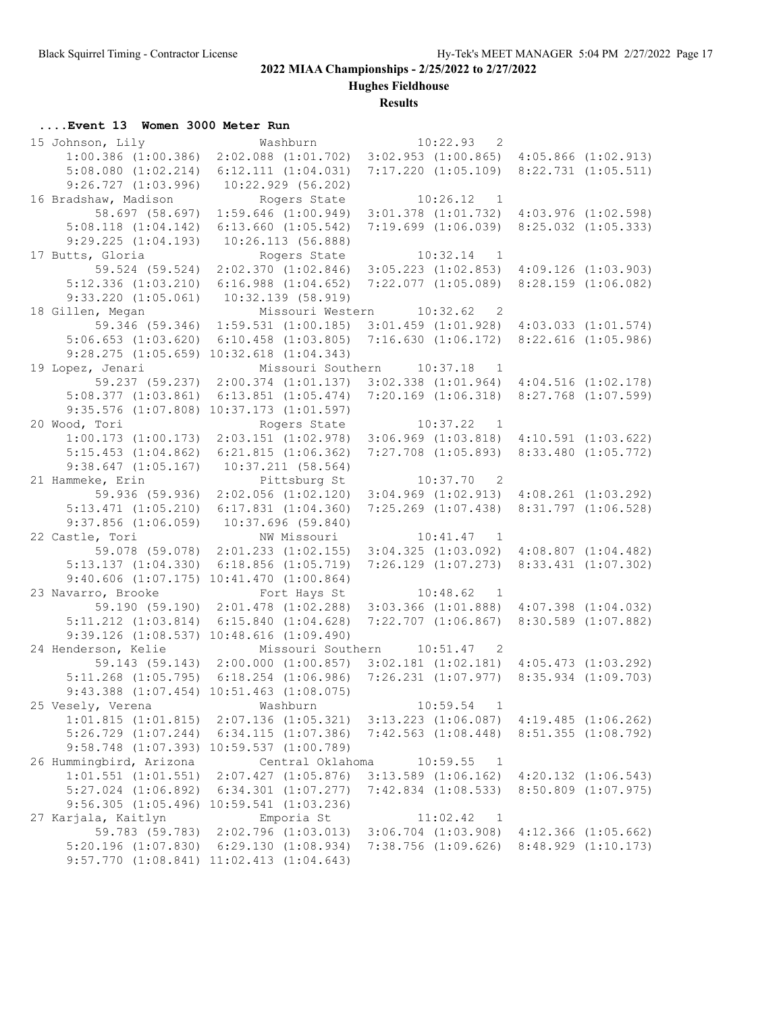**Hughes Fieldhouse**

## **Results**

## **....Event 13 Women 3000 Meter Run**

| 15 Johnson, Lily        | Washburn                                                                    | $10:22.93$ 2                                    |                                                 |
|-------------------------|-----------------------------------------------------------------------------|-------------------------------------------------|-------------------------------------------------|
| $1:00.386$ $(1:00.386)$ | $2:02.088$ $(1:01.702)$                                                     | $3:02.953$ $(1:00.865)$                         | $4:05.866$ $(1:02.913)$                         |
| $5:08.080$ $(1:02.214)$ | $6:12.111$ $(1:04.031)$                                                     | $7:17.220$ $(1:05.109)$                         | $8:22.731$ $(1:05.511)$                         |
| $9:26.727$ $(1:03.996)$ | $10:22.929$ (56.202)                                                        |                                                 |                                                 |
| 16 Bradshaw, Madison    | Rogers State                                                                | 10:26.12<br>$\overline{1}$                      |                                                 |
| 58.697 (58.697)         | $1:59.646$ $(1:00.949)$                                                     | $3:01.378$ $(1:01.732)$ $4:03.976$ $(1:02.598)$ |                                                 |
| $5:08.118$ $(1:04.142)$ | $6:13.660$ $(1:05.542)$                                                     |                                                 | $7:19.699$ $(1:06.039)$ $8:25.032$ $(1:05.333)$ |
| $9:29.225$ $(1:04.193)$ | 10:26.113(56.888)                                                           |                                                 |                                                 |
| 17 Butts, Gloria        | Rogers State                                                                | 10:32.14<br>$\overline{1}$                      |                                                 |
| 59.524 (59.524)         | $2:02.370$ $(1:02.846)$                                                     | $3:05.223$ $(1:02.853)$                         | $4:09.126$ $(1:03.903)$                         |
| $5:12.336$ $(1:03.210)$ | $6:16.988$ $(1:04.652)$                                                     | 7:22.077(1:05.089)                              | $8:28.159$ $(1:06.082)$                         |
| $9:33.220$ $(1:05.061)$ | 10:32.139 (58.919)                                                          |                                                 |                                                 |
| 18 Gillen, Megan        |                                                                             | Missouri Western 10:32.62 2                     |                                                 |
|                         | 59.346 (59.346) 1:59.531 (1:00.185)                                         | $3:01.459$ $(1:01.928)$                         | $4:03.033$ $(1:01.574)$                         |
|                         | $6:10.458$ $(1:03.805)$                                                     | 7:16.630(1:06.172)                              |                                                 |
| 5:06.653(1:03.620)      |                                                                             |                                                 | $8:22.616$ $(1:05.986)$                         |
|                         | $9:28.275$ $(1:05.659)$ $10:32.618$ $(1:04.343)$                            |                                                 |                                                 |
| 19 Lopez, Jenari        |                                                                             | Missouri Southern 10:37.18<br>$\overline{1}$    |                                                 |
|                         | 59.237 (59.237) 2:00.374 (1:01.137)                                         | $3:02.338$ $(1:01.964)$ $4:04.516$ $(1:02.178)$ |                                                 |
|                         | $5:08.377$ $(1:03.861)$ $6:13.851$ $(1:05.474)$                             | 7:20.169 (1:06.318) 8:27.768 (1:07.599)         |                                                 |
|                         | $9:35.576$ $(1:07.808)$ $10:37.173$ $(1:01.597)$                            |                                                 |                                                 |
| 20 Wood, Tori           | Rogers State                                                                | 10:37.22<br>$\blacksquare$                      |                                                 |
| $1:00.173$ $(1:00.173)$ |                                                                             | $2:03.151$ $(1:02.978)$ $3:06.969$ $(1:03.818)$ | $4:10.591$ $(1:03.622)$                         |
| $5:15.453$ $(1:04.862)$ | $6:21.815$ $(1:06.362)$                                                     | $7:27.708$ $(1:05.893)$                         | $8:33.480$ $(1:05.772)$                         |
| $9:38.647$ $(1:05.167)$ | 10:37.211(58.564)                                                           |                                                 |                                                 |
| 21 Hammeke, Erin        | Pittsburg St                                                                | $10:37.70$ 2                                    |                                                 |
| 59.936 (59.936)         | $2:02.056$ $(1:02.120)$                                                     | $3:04.969$ $(1:02.913)$                         | $4:08.261$ $(1:03.292)$                         |
| 5:13.471(1:05.210)      | $6:17.831$ $(1:04.360)$                                                     | $7:25.269$ $(1:07.438)$                         | 8:31.797 (1:06.528)                             |
| $9:37.856$ $(1:06.059)$ | 10:37.696 (59.840)                                                          |                                                 |                                                 |
| 22 Castle, Tori         | NW Missouri                                                                 | $10:41.47$ 1                                    |                                                 |
|                         | 59.078 (59.078) 2:01.233 (1:02.155) 3:04.325 (1:03.092) 4:08.807 (1:04.482) |                                                 |                                                 |
| $5:13.137$ $(1:04.330)$ | 6:18.856(1:05.719)                                                          |                                                 | $7:26.129$ $(1:07.273)$ $8:33.431$ $(1:07.302)$ |
|                         | $9:40.606$ $(1:07.175)$ $10:41.470$ $(1:00.864)$                            |                                                 |                                                 |
| 23 Navarro, Brooke      | Fort Hays St                                                                | 10:48.62<br>$\blacksquare$                      |                                                 |
|                         | 59.190 (59.190) 2:01.478 (1:02.288)                                         | $3:03.366$ $(1:01.888)$                         | $4:07.398$ $(1:04.032)$                         |
| $5:11.212$ $(1:03.814)$ | $6:15.840$ $(1:04.628)$                                                     | $7:22.707$ $(1:06.867)$                         | 8:30.589 (1:07.882)                             |
|                         | 9:39.126 (1:08.537) 10:48.616 (1:09.490)                                    |                                                 |                                                 |
| 24 Henderson, Kelie     |                                                                             | Missouri Southern 10:51.47 2                    |                                                 |
|                         | 59.143 (59.143) 2:00.000 (1:00.857)                                         |                                                 | $3:02.181$ $(1:02.181)$ $4:05.473$ $(1:03.292)$ |
|                         | $5:11.268$ $(1:05.795)$ $6:18.254$ $(1:06.986)$                             | $7:26.231$ $(1:07.977)$                         | $8:35.934$ $(1:09.703)$                         |
|                         | $9:43.388$ $(1:07.454)$ $10:51.463$ $(1:08.075)$                            |                                                 |                                                 |
| 25 Vesely, Verena       | Washburn                                                                    | 10:59.54<br>$\mathbf{1}$                        |                                                 |
| 1:01.815(1:01.815)      | $2:07.136$ $(1:05.321)$                                                     | $3:13.223$ $(1:06.087)$                         | 4:19.485(1:06.262)                              |
| $5:26.729$ $(1:07.244)$ | $6:34.115$ $(1:07.386)$                                                     | $7:42.563$ $(1:08.448)$                         | 8:51.355(1:08.792)                              |
|                         | 9:58.748 (1:07.393) 10:59.537 (1:00.789)                                    |                                                 |                                                 |
| 26 Hummingbird, Arizona | Central Oklahoma                                                            | 10:59.55<br>1                                   |                                                 |
| $1:01.551$ $(1:01.551)$ | $2:07.427$ $(1:05.876)$                                                     | $3:13.589$ $(1:06.162)$                         | $4:20.132$ $(1:06.543)$                         |
| $5:27.024$ $(1:06.892)$ | $6:34.301$ $(1:07.277)$                                                     | $7:42.834$ $(1:08.533)$                         | $8:50.809$ $(1:07.975)$                         |
|                         | $9:56.305$ $(1:05.496)$ $10:59.541$ $(1:03.236)$                            |                                                 |                                                 |
| 27 Karjala, Kaitlyn     | Emporia St                                                                  | 11:02.42<br>$\overline{1}$                      |                                                 |
| 59.783 (59.783)         | 2:02.796(1:03.013)                                                          |                                                 | $3:06.704$ $(1:03.908)$ $4:12.366$ $(1:05.662)$ |
| 5:20.196(1:07.830)      | 6:29.130(1:08.934)                                                          | $7:38.756$ $(1:09.626)$ $8:48.929$ $(1:10.173)$ |                                                 |
|                         | $9:57.770$ $(1:08.841)$ $11:02.413$ $(1:04.643)$                            |                                                 |                                                 |
|                         |                                                                             |                                                 |                                                 |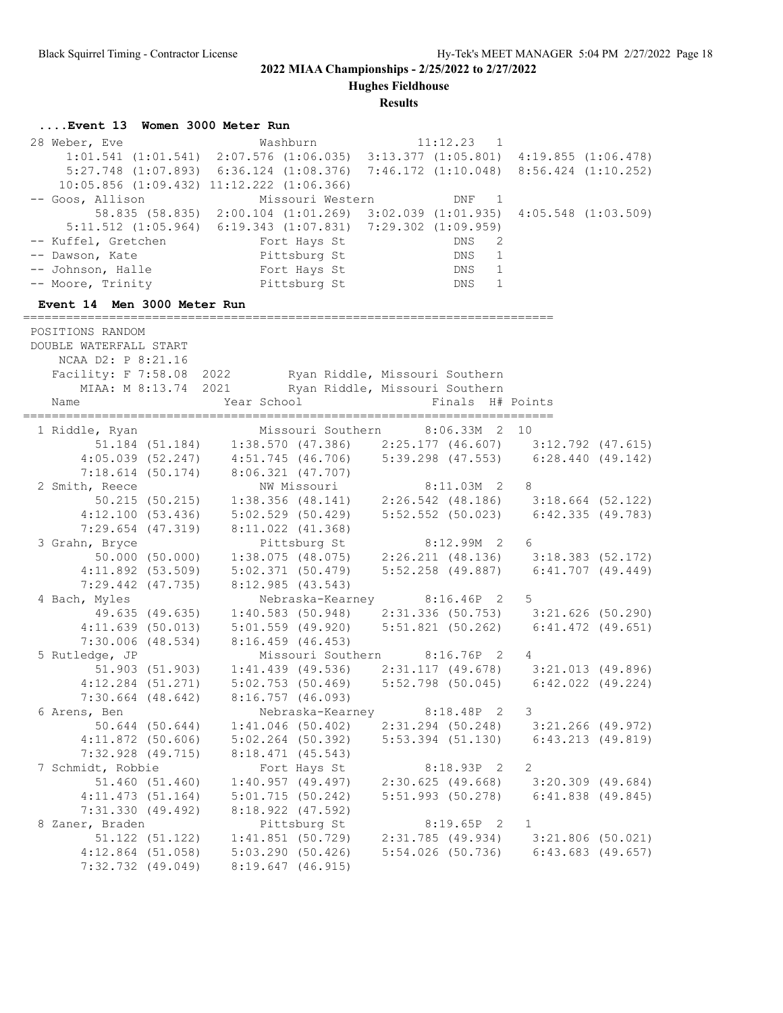**Hughes Fieldhouse**

**Results**

### **....Event 13 Women 3000 Meter Run**

28 Weber, Eve Washburn 11:12.23 1 1:01.541 (1:01.541) 2:07.576 (1:06.035) 3:13.377 (1:05.801) 4:19.855 (1:06.478) 5:27.748 (1:07.893) 6:36.124 (1:08.376) 7:46.172 (1:10.048) 8:56.424 (1:10.252) 10:05.856 (1:09.432) 11:12.222 (1:06.366) -- Goos, Allison Missouri Western DNF 1 58.835 (58.835) 2:00.104 (1:01.269) 3:02.039 (1:01.935) 4:05.548 (1:03.509) 5:11.512 (1:05.964) 6:19.343 (1:07.831) 7:29.302 (1:09.959) -- Kuffel, Gretchen Fort Hays St DNS 2 -- Dawson, Kate and Pittsburg St DNS 1 -- Johnson, Halle Tort Hays St DNS 1 -- Moore, Trinity **Pittsburg St CONS** 1 **Event 14 Men 3000 Meter Run** ========================================================================== POSITIONS RANDOM DOUBLE WATERFALL START NCAA D2: P 8:21.16 Facility: F 7:58.08 2022 Ryan Riddle, Missouri Southern MIAA: M 8:13.74 2021 Ryan Riddle, Missouri Southern Name Year School Finals H# Points ========================================================================== 1 Riddle, Ryan Missouri Southern 8:06.33M 2 10 51.184 (51.184) 1:38.570 (47.386) 2:25.177 (46.607) 3:12.792 (47.615) 4:05.039 (52.247) 4:51.745 (46.706) 5:39.298 (47.553) 6:28.440 (49.142) 7:18.614 (50.174) 8:06.321 (47.707) 2 Smith, Reece NW Missouri 8:11.03M 2 8 50.215 (50.215) 1:38.356 (48.141) 2:26.542 (48.186) 3:18.664 (52.122) 4:12.100 (53.436) 5:02.529 (50.429) 5:52.552 (50.023) 6:42.335 (49.783) 7:29.654 (47.319) 8:11.022 (41.368) 3 Grahn, Bryce Pittsburg St 8:12.99M 2 6 50.000 (50.000) 1:38.075 (48.075) 2:26.211 (48.136) 3:18.383 (52.172) 4:11.892 (53.509) 5:02.371 (50.479) 5:52.258 (49.887) 6:41.707 (49.449) 7:29.442 (47.735) 8:12.985 (43.543) 4 Bach, Myles Nebraska-Kearney 8:16.46P 2 5 49.635 (49.635) 1:40.583 (50.948) 2:31.336 (50.753) 3:21.626 (50.290) 4:11.639 (50.013) 5:01.559 (49.920) 5:51.821 (50.262) 6:41.472 (49.651) 7:30.006 (48.534) 8:16.459 (46.453) 5 Rutledge, JP Missouri Southern 8:16.76P 2 4 51.903 (51.903) 1:41.439 (49.536) 2:31.117 (49.678) 3:21.013 (49.896) 4:12.284 (51.271) 5:02.753 (50.469) 5:52.798 (50.045) 6:42.022 (49.224) 7:30.664 (48.642) 8:16.757 (46.093) 6 Arens, Ben Nebraska-Kearney 8:18.48P 2 3 50.644 (50.644) 1:41.046 (50.402) 2:31.294 (50.248) 3:21.266 (49.972) 4:11.872 (50.606) 5:02.264 (50.392) 5:53.394 (51.130) 6:43.213 (49.819) 7:32.928 (49.715) 8:18.471 (45.543) 7 Schmidt, Robbie Fort Hays St 8:18.93P 2 2 51.460 (51.460) 1:40.957 (49.497) 2:30.625 (49.668) 3:20.309 (49.684) 4:11.473 (51.164) 5:01.715 (50.242) 5:51.993 (50.278) 6:41.838 (49.845) 7:31.330 (49.492) 8:18.922 (47.592) 8 Zaner, Braden Pittsburg St 8:19.65P 2 1 51.122 (51.122) 1:41.851 (50.729) 2:31.785 (49.934) 3:21.806 (50.021) 4:12.864 (51.058) 5:03.290 (50.426) 5:54.026 (50.736) 6:43.683 (49.657) 7:32.732 (49.049) 8:19.647 (46.915)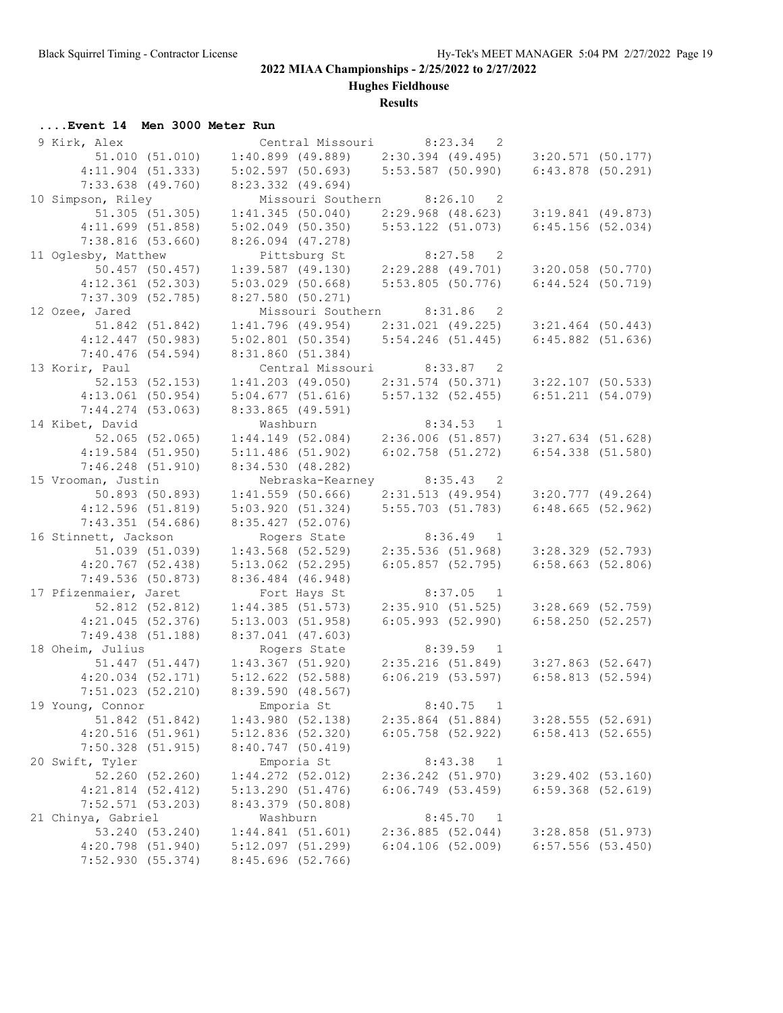**Hughes Fieldhouse**

### **Results**

## **....Event 14 Men 3000 Meter Run**

| 9 Kirk, Alex                        |                                                       | Central Missouri 8:23.34 2                 |                       |
|-------------------------------------|-------------------------------------------------------|--------------------------------------------|-----------------------|
| 51.010(51.010)                      | $1:40.899$ (49.889) $2:30.394$ (49.495)               |                                            | $3:20.571$ (50.177)   |
| $4:11.904$ (51.333)                 | 5:02.597(50.693)                                      | $5:53.587$ (50.990)                        | $6:43.878$ (50.291)   |
| $7:33.638$ $(49.760)$               | $8:23.332$ $(49.694)$                                 |                                            |                       |
| 10 Simpson, Riley                   | Missouri Southern 8:26.10                             | $\overline{\phantom{0}}^2$                 |                       |
| 51.305 (51.305)                     | 1:41.345(50.040)                                      | 2:29.968 (48.623)                          | $3:19.841$ (49.873)   |
| 4:11.699(51.858)                    | $5:02.049$ (50.350)                                   | $5:53.122$ (51.073)                        | 6:45.156(52.034)      |
| 7:38.816(53.660)                    | $8:26.094$ (47.278)                                   |                                            |                       |
| 11 Oglesby, Matthew                 | Pittsburg St                                          | $8:27.58$ 2                                |                       |
| 50.457 (50.457)                     | $1:39.587$ (49.130) $2:29.288$ (49.701)               |                                            | $3:20.058$ (50.770)   |
| $4:12.361$ (52.303)                 | $5:03.029$ $(50.668)$                                 | 5:53.805 (50.776)                          | 6:44.524(50.719)      |
| 7:37.309 (52.785)                   | $8:27.580$ (50.271)                                   |                                            |                       |
| 12 Ozee, Jared                      | Missouri Southern 8:31.86 2                           |                                            |                       |
| 51.842 (51.842)                     | $1:41.796$ (49.954) $2:31.021$ (49.225)               |                                            | $3:21.464$ (50.443)   |
| $4:12.447$ (50.983)                 | $5:02.801$ (50.354)                                   | 5:54.246(51.445)                           | $6:45.882$ (51.636)   |
| 7:40.476(54.594)                    | 8:31.860 (51.384)                                     |                                            |                       |
| 13 Korir, Paul                      |                                                       | Central Missouri 8:33.87 2                 |                       |
| 52.153 (52.153)                     | $1:41.203$ (49.050)                                   | 2:31.574 (50.371)                          | $3:22.107$ (50.533)   |
| $4:13.061$ (50.954)                 | 5:04.677(51.616)                                      | $5:57.132$ (52.455)                        | 6:51.211(54.079)      |
| 7:44.274 (53.063)                   | $8:33.865$ (49.591)                                   |                                            |                       |
| 14 Kibet, David                     | Washburn                                              | $8:34.53$ 1                                |                       |
| 52.065 (52.065)                     | $1:44.149$ (52.084) $2:36.006$ (51.857)               |                                            | $3:27.634$ (51.628)   |
| $4:19.584$ (51.950)                 | 5:11.486(51.902)                                      | 6:02.758(51.272)                           | $6:54.338$ $(51.580)$ |
| $7:46.248$ (51.910)                 | 8:34.530 (48.282)                                     |                                            |                       |
| 15 Vrooman, Justin                  |                                                       | Nebraska-Kearney 8:35.43 2                 |                       |
| 50.893 (50.893)                     | $1:41.559$ (50.666) $2:31.513$ (49.954)               |                                            | $3:20.777$ (49.264)   |
| 4:12.596(51.819)                    | 5:03.920(51.324)                                      | $5:55.703$ (51.783)                        | 6:48.665(52.962)      |
| 7:43.351(54.686)                    | 8:35.427(52.076)                                      |                                            |                       |
| 16 Stinnett, Jackson                | Rogers State                                          | $8:36.49$ 1                                |                       |
| 51.039 (51.039)                     | $1:43.568$ (52.529)                                   | 2:35.536 (51.968)                          | $3:28.329$ (52.793)   |
| $4:20.767$ (52.438)                 | $5:13.062$ (52.295)                                   | $6:05.857$ (52.795)                        | 6:58.663(52.806)      |
| 7:49.536(50.873)                    | 8:36.484 (46.948)                                     |                                            |                       |
| 17 Pfizenmaier, Jaret               | Fort Hays St                                          | $8:37.05$ 1                                |                       |
| 52.812 (52.812)                     | 1:44.385(51.573)                                      | 2:35.910 (51.525)                          | $3:28.669$ (52.759)   |
| $4:21.045$ (52.376)                 | 5:13.003(51.958)                                      | 6:05.993(52.990)                           | 6:58.250(52.257)      |
| 7:49.438(51.188)                    | $8:37.041$ (47.603)                                   |                                            |                       |
| 18 Oheim, Julius                    | Rogers State<br>$1:43.367$ (51.920) 2:35.216 (51.849) | $8:39.59$ 1                                |                       |
| 51.447 (51.447)                     |                                                       |                                            | $3:27.863$ (52.647)   |
| $4:20.034$ $(52.171)$               | $5:12.622$ (52.588)                                   | $6:06.219$ (53.597)                        | $6:58.813$ (52.594)   |
| $7:51.023$ (52.210)                 | 8:39.590 (48.567)                                     |                                            |                       |
| 19 Young, Connor                    | Emporia St                                            | 8:40.75<br>$\mathbf{1}$                    | 3:28.555(52.691)      |
| 51.842 (51.842)<br>4:20.516(51.961) | 1:43.980(52.138)<br>$5:12.836$ (52.320)               | $2:35.864$ (51.884)<br>$6:05.758$ (52.922) | $6:58.413$ (52.655)   |
|                                     | $8:40.747$ (50.419)                                   |                                            |                       |
| 7:50.328(51.915)<br>20 Swift, Tyler | Emporia St                                            | 8:43.38                                    |                       |
| 52.260 (52.260)                     | $1:44.272$ (52.012)                                   | 1<br>$2:36.242$ $(51.970)$                 | $3:29.402$ (53.160)   |
| $4:21.814$ $(52.412)$               | 5:13.290(51.476)                                      | 6:06.749(53.459)                           | $6:59.368$ $(52.619)$ |
| 7:52.571 (53.203)                   | 8:43.379 (50.808)                                     |                                            |                       |
| 21 Chinya, Gabriel                  | Washburn                                              | 8:45.70<br>$\overline{1}$                  |                       |
| 53.240 (53.240)                     | 1:44.841(51.601)                                      | 2:36.885(52.044)                           | $3:28.858$ (51.973)   |
| 4:20.798 (51.940)                   | 5:12.097(51.299)                                      | 6:04.106(52.009)                           | $6:57.556$ (53.450)   |
| 7:52.930 (55.374)                   | $8:45.696$ (52.766)                                   |                                            |                       |
|                                     |                                                       |                                            |                       |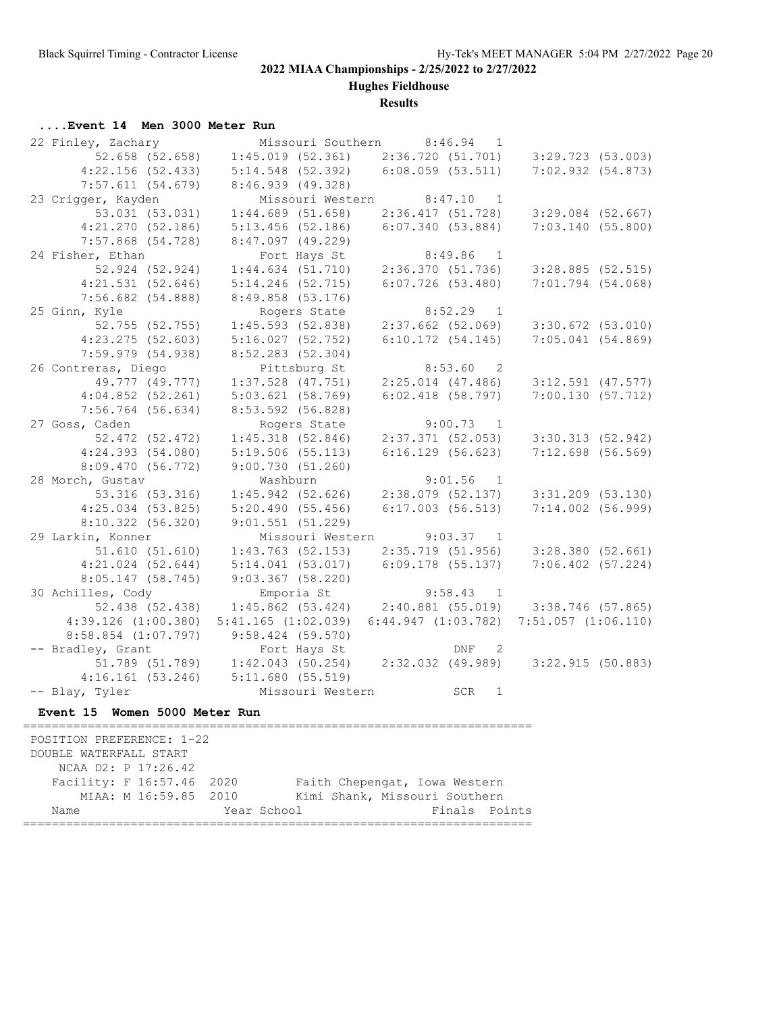**Hughes Fieldhouse**

**Results**

## **....Event 14 Men 3000 Meter Run**

| 22 Finley, Zachary            |                    |                       | Missouri Southern 8:46.94<br>$\mathbf{1}$       |                       |  |
|-------------------------------|--------------------|-----------------------|-------------------------------------------------|-----------------------|--|
| 52.658 (52.658)               |                    | 1:45.019(52.361)      | 2:36.720(51.701)                                | $3:29.723$ (53.003)   |  |
| 4:22.156(52.433)              |                    | $5:14.548$ (52.392)   | $6:08.059$ $(53.511)$                           | 7:02.932 (54.873)     |  |
| 7:57.611(54.679)              |                    | 8:46.939 (49.328)     |                                                 |                       |  |
| 23 Crigger, Kayden            |                    | Missouri Western      | 8:47.10<br>$\overline{1}$                       |                       |  |
| 53.031 (53.031)               |                    | $1:44.689$ (51.658)   | 2:36.417(51.728)                                | $3:29.084$ (52.667)   |  |
| 4:21.270(52.186)              |                    | $5:13.456$ (52.186)   | 6:07.340(53.884)                                | 7:03.140(55.800)      |  |
| 7:57.868 (54.728)             |                    | $8:47.097$ (49.229)   |                                                 |                       |  |
| 24 Fisher, Ethan              |                    | Fort Hays St          | 8:49.86<br>$\overline{1}$                       |                       |  |
| 52.924 (52.924)               |                    | 1:44.634(51.710)      | 2:36.370(51.736)                                | $3:28.885$ (52.515)   |  |
| 4:21.531(52.646)              |                    | $5:14.246$ (52.715)   | $6:07.726$ (53.480)                             | $7:01.794$ (54.068)   |  |
| $7:56.682$ (54.888)           |                    | $8:49.858$ (53.176)   |                                                 |                       |  |
| 25 Ginn, Kyle                 |                    | Rogers State          | $8:52.29$ 1                                     |                       |  |
| 52.755 (52.755)               |                    | 1:45.593(52.838)      | $2:37.662$ (52.069)                             | $3:30.672$ $(53.010)$ |  |
| $4:23.275$ (52.603)           |                    | 5:16.027(52.752)      | 6:10.172(54.145)                                | $7:05.041$ (54.869)   |  |
| $7:59.979$ $(54.938)$         |                    | 8:52.283 (52.304)     |                                                 |                       |  |
| 26 Contreras, Diego           |                    | Pittsburg St          | 8:53.60<br>$\overline{2}$                       |                       |  |
| 49.777 (49.777)               |                    | $1:37.528$ $(47.751)$ | $2:25.014$ $(47.486)$                           | $3:12.591$ $(47.577)$ |  |
| 4:04.852(52.261)              |                    | 5:03.621(58.769)      | $6:02.418$ (58.797)                             | 7:00.130(57.712)      |  |
| $7:56.764$ (56.634)           |                    | 8:53.592 (56.828)     |                                                 |                       |  |
| 27 Goss, Caden                |                    | Rogers State          | 9:00.73<br>$\overline{1}$                       |                       |  |
| 52.472 (52.472)               |                    | 1:45.318(52.846)      | $2:37.371$ (52.053)                             | 3:30.313(52.942)      |  |
| 4:24.393(54.080)              |                    | 5:19.506(55.113)      | 6:16.129(56.623)                                | $7:12.698$ (56.569)   |  |
| 8:09.470 (56.772)             |                    | 9:00.730(51.260)      |                                                 |                       |  |
| 28 Morch, Gustav              | Washburn           |                       | 9:01.56<br>$\overline{1}$                       |                       |  |
| 53.316 (53.316)               |                    | 1:45.942(52.626)      | $2:38.079$ (52.137)                             | $3:31.209$ (53.130)   |  |
| $4:25.034$ (53.825)           |                    | 5:20.490(55.456)      | 6:17.003(56.513)                                | 7:14.002 (56.999)     |  |
| 8:10.322 (56.320)             |                    | 9:01.551(51.229)      |                                                 |                       |  |
| 29 Larkin, Konner             |                    | Missouri Western      | $9:03.37$ 1                                     |                       |  |
| 51.610(51.610)                |                    | $1:43.763$ (52.153)   | 2:35.719(51.956)                                | 3:28.380(52.661)      |  |
| $4:21.024$ (52.644)           |                    | 5:14.041(53.017)      | $6:09.178$ (55.137)                             | $7:06.402$ (57.224)   |  |
| 8:05.147(58.745)              |                    | $9:03.367$ (58.220)   |                                                 |                       |  |
| 30 Achilles, Cody             |                    | Emporia St            | 9:58.43<br>$\overline{1}$                       |                       |  |
| 52.438 (52.438)               |                    |                       | $1:45.862$ (53.424) $2:40.881$ (55.019)         | 3:38.746 (57.865)     |  |
| $4:39.126$ $(1:00.380)$       | 5:41.165(1:02.039) |                       | $6:44.947$ $(1:03.782)$ $7:51.057$ $(1:06.110)$ |                       |  |
| $8:58.854$ $(1:07.797)$       |                    | $9:58.424$ (59.570)   |                                                 |                       |  |
| -- Bradley, Grant             |                    | Fort Hays St          | DNF<br>$\overline{\phantom{0}}$                 |                       |  |
| 51.789 (51.789)               |                    | $1:42.043$ (50.254)   | 2:32.032 (49.989)                               | 3:22.915 (50.883)     |  |
| 4:16.161(53.246)              |                    | 5:11.680(55.519)      |                                                 |                       |  |
| -- Blay, Tyler                |                    | Missouri Western      | SCR<br>1                                        |                       |  |
| Event 15 Women 5000 Meter Run |                    |                       |                                                 |                       |  |
| ============================= |                    |                       |                                                 |                       |  |
| POSITION PREFERENCE: 1-22     |                    |                       |                                                 |                       |  |
| DOUBLE WATERFALL START        |                    |                       |                                                 |                       |  |
| NCAA D2: P 17:26.42           |                    |                       |                                                 |                       |  |
| Facility: F 16:57.46          | 2020               |                       | Faith Chepengat, Iowa Western                   |                       |  |
| MIAA: M 16:59.85              | 2010               |                       | Kimi Shank, Missouri Southern                   |                       |  |

Name Year School Finals Points =======================================================================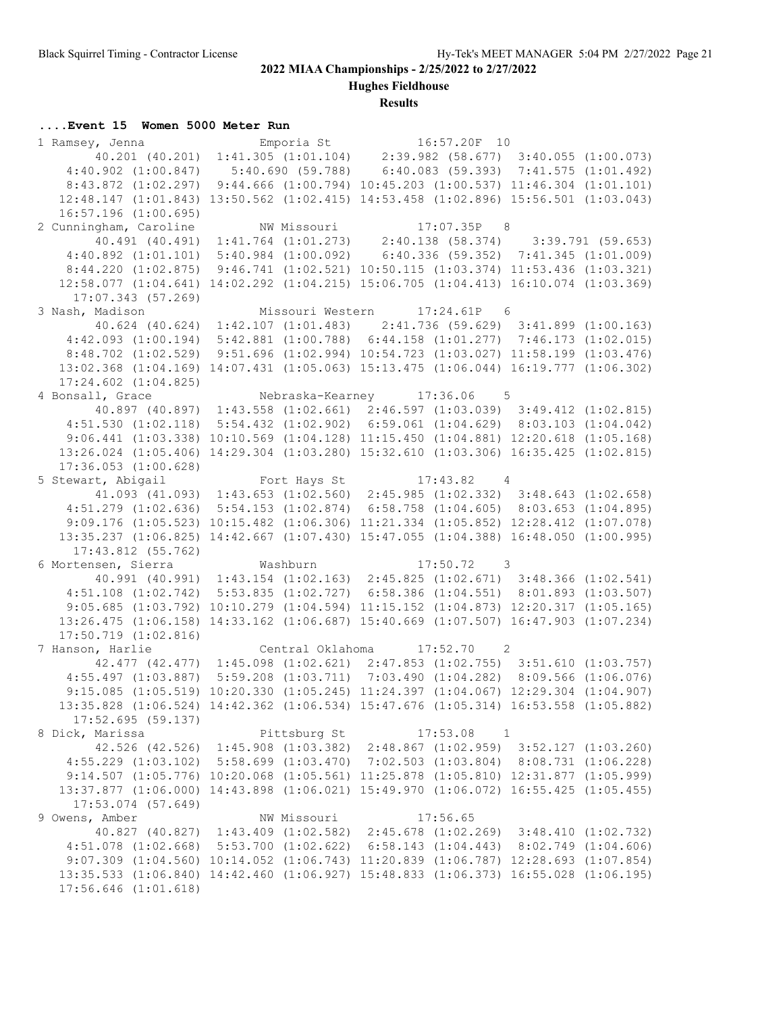**Hughes Fieldhouse**

#### **Results**

#### **....Event 15 Women 5000 Meter Run**

 1 Ramsey, Jenna Emporia St 16:57.20F 10 40.201 (40.201) 1:41.305 (1:01.104) 2:39.982 (58.677) 3:40.055 (1:00.073) 4:40.902 (1:00.847) 5:40.690 (59.788) 6:40.083 (59.393) 7:41.575 (1:01.492) 8:43.872 (1:02.297) 9:44.666 (1:00.794) 10:45.203 (1:00.537) 11:46.304 (1:01.101) 12:48.147 (1:01.843) 13:50.562 (1:02.415) 14:53.458 (1:02.896) 15:56.501 (1:03.043) 16:57.196 (1:00.695) 2 Cunningham, Caroline MW Missouri 17:07.35P 8 40.491 (40.491) 1:41.764 (1:01.273) 2:40.138 (58.374) 3:39.791 (59.653) 4:40.892 (1:01.101) 5:40.984 (1:00.092) 6:40.336 (59.352) 7:41.345 (1:01.009) 8:44.220 (1:02.875) 9:46.741 (1:02.521) 10:50.115 (1:03.374) 11:53.436 (1:03.321) 12:58.077 (1:04.641) 14:02.292 (1:04.215) 15:06.705 (1:04.413) 16:10.074 (1:03.369) 17:07.343 (57.269) 3 Nash, Madison Missouri Western 17:24.61P 6 40.624 (40.624) 1:42.107 (1:01.483) 2:41.736 (59.629) 3:41.899 (1:00.163) 4:42.093 (1:00.194) 5:42.881 (1:00.788) 6:44.158 (1:01.277) 7:46.173 (1:02.015) 8:48.702 (1:02.529) 9:51.696 (1:02.994) 10:54.723 (1:03.027) 11:58.199 (1:03.476) 13:02.368 (1:04.169) 14:07.431 (1:05.063) 15:13.475 (1:06.044) 16:19.777 (1:06.302) 17:24.602 (1:04.825) 4 Bonsall, Grace Nebraska-Kearney 17:36.06 5 40.897 (40.897) 1:43.558 (1:02.661) 2:46.597 (1:03.039) 3:49.412 (1:02.815) 4:51.530 (1:02.118) 5:54.432 (1:02.902) 6:59.061 (1:04.629) 8:03.103 (1:04.042) 9:06.441 (1:03.338) 10:10.569 (1:04.128) 11:15.450 (1:04.881) 12:20.618 (1:05.168) 13:26.024 (1:05.406) 14:29.304 (1:03.280) 15:32.610 (1:03.306) 16:35.425 (1:02.815) 17:36.053 (1:00.628) 5 Stewart, Abigail 6 Fort Hays St 17:43.82 4 41.093 (41.093) 1:43.653 (1:02.560) 2:45.985 (1:02.332) 3:48.643 (1:02.658) 4:51.279 (1:02.636) 5:54.153 (1:02.874) 6:58.758 (1:04.605) 8:03.653 (1:04.895) 9:09.176 (1:05.523) 10:15.482 (1:06.306) 11:21.334 (1:05.852) 12:28.412 (1:07.078) 13:35.237 (1:06.825) 14:42.667 (1:07.430) 15:47.055 (1:04.388) 16:48.050 (1:00.995) 17:43.812 (55.762) 6 Mortensen, Sierra Washburn 17:50.72 3 40.991 (40.991) 1:43.154 (1:02.163) 2:45.825 (1:02.671) 3:48.366 (1:02.541) 4:51.108 (1:02.742) 5:53.835 (1:02.727) 6:58.386 (1:04.551) 8:01.893 (1:03.507) 9:05.685 (1:03.792) 10:10.279 (1:04.594) 11:15.152 (1:04.873) 12:20.317 (1:05.165) 13:26.475 (1:06.158) 14:33.162 (1:06.687) 15:40.669 (1:07.507) 16:47.903 (1:07.234) 17:50.719 (1:02.816) 7 Hanson, Harlie Central Oklahoma 17:52.70 2 42.477 (42.477) 1:45.098 (1:02.621) 2:47.853 (1:02.755) 3:51.610 (1:03.757) 4:55.497 (1:03.887) 5:59.208 (1:03.711) 7:03.490 (1:04.282) 8:09.566 (1:06.076) 9:15.085 (1:05.519) 10:20.330 (1:05.245) 11:24.397 (1:04.067) 12:29.304 (1:04.907) 13:35.828 (1:06.524) 14:42.362 (1:06.534) 15:47.676 (1:05.314) 16:53.558 (1:05.882) 17:52.695 (59.137) 8 Dick, Marissa Pittsburg St 17:53.08 1 42.526 (42.526) 1:45.908 (1:03.382) 2:48.867 (1:02.959) 3:52.127 (1:03.260) 4:55.229 (1:03.102) 5:58.699 (1:03.470) 7:02.503 (1:03.804) 8:08.731 (1:06.228) 9:14.507 (1:05.776) 10:20.068 (1:05.561) 11:25.878 (1:05.810) 12:31.877 (1:05.999) 13:37.877 (1:06.000) 14:43.898 (1:06.021) 15:49.970 (1:06.072) 16:55.425 (1:05.455) 17:53.074 (57.649) 9 Owens, Amber NW Missouri 17:56.65 40.827 (40.827) 1:43.409 (1:02.582) 2:45.678 (1:02.269) 3:48.410 (1:02.732) 4:51.078 (1:02.668) 5:53.700 (1:02.622) 6:58.143 (1:04.443) 8:02.749 (1:04.606) 9:07.309 (1:04.560) 10:14.052 (1:06.743) 11:20.839 (1:06.787) 12:28.693 (1:07.854) 13:35.533 (1:06.840) 14:42.460 (1:06.927) 15:48.833 (1:06.373) 16:55.028 (1:06.195) 17:56.646 (1:01.618)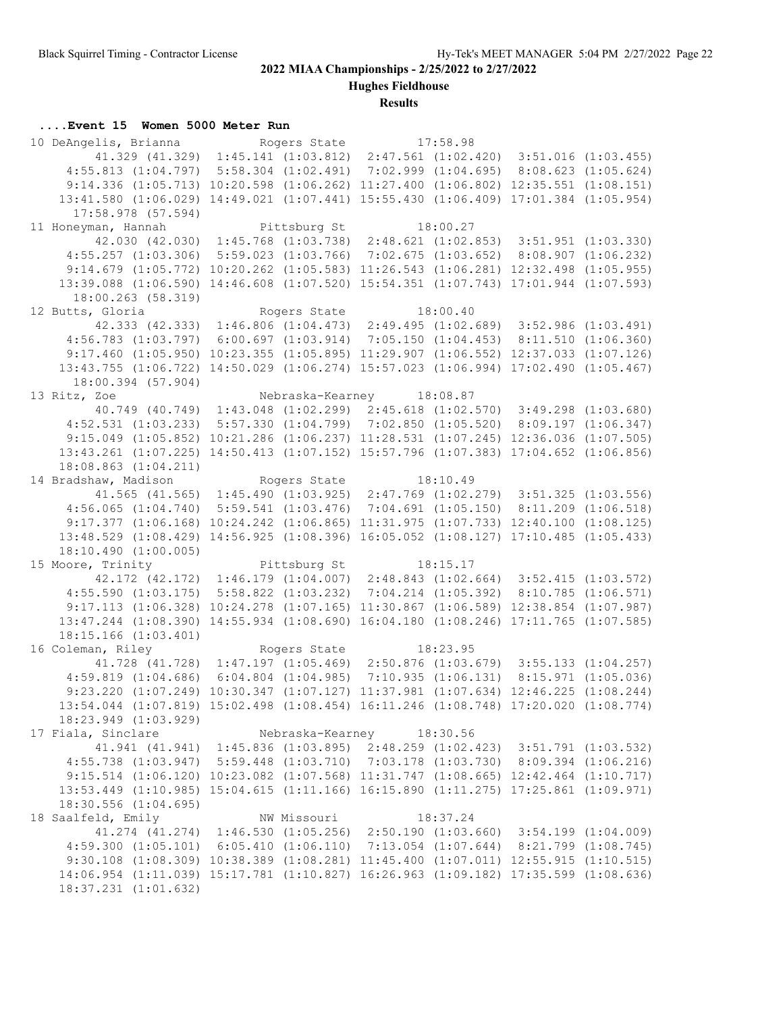**Hughes Fieldhouse**

**Results**

### **....Event 15 Women 5000 Meter Run**

10 DeAngelis, Brianna Rogers State 17:58.98 41.329 (41.329) 1:45.141 (1:03.812) 2:47.561 (1:02.420) 3:51.016 (1:03.455) 4:55.813 (1:04.797) 5:58.304 (1:02.491) 7:02.999 (1:04.695) 8:08.623 (1:05.624) 9:14.336 (1:05.713) 10:20.598 (1:06.262) 11:27.400 (1:06.802) 12:35.551 (1:08.151) 13:41.580 (1:06.029) 14:49.021 (1:07.441) 15:55.430 (1:06.409) 17:01.384 (1:05.954) 17:58.978 (57.594) 11 Honeyman, Hannah Pittsburg St 18:00.27 42.030 (42.030) 1:45.768 (1:03.738) 2:48.621 (1:02.853) 3:51.951 (1:03.330) 4:55.257 (1:03.306) 5:59.023 (1:03.766) 7:02.675 (1:03.652) 8:08.907 (1:06.232) 9:14.679 (1:05.772) 10:20.262 (1:05.583) 11:26.543 (1:06.281) 12:32.498 (1:05.955) 13:39.088 (1:06.590) 14:46.608 (1:07.520) 15:54.351 (1:07.743) 17:01.944 (1:07.593) 18:00.263 (58.319) 12 Butts, Gloria Rogers State 18:00.40 42.333 (42.333) 1:46.806 (1:04.473) 2:49.495 (1:02.689) 3:52.986 (1:03.491) 4:56.783 (1:03.797) 6:00.697 (1:03.914) 7:05.150 (1:04.453) 8:11.510 (1:06.360) 9:17.460 (1:05.950) 10:23.355 (1:05.895) 11:29.907 (1:06.552) 12:37.033 (1:07.126) 13:43.755 (1:06.722) 14:50.029 (1:06.274) 15:57.023 (1:06.994) 17:02.490 (1:05.467) 18:00.394 (57.904) 13 Ritz, Zoe Nebraska-Kearney 18:08.87 40.749 (40.749) 1:43.048 (1:02.299) 2:45.618 (1:02.570) 3:49.298 (1:03.680) 4:52.531 (1:03.233) 5:57.330 (1:04.799) 7:02.850 (1:05.520) 8:09.197 (1:06.347) 9:15.049 (1:05.852) 10:21.286 (1:06.237) 11:28.531 (1:07.245) 12:36.036 (1:07.505) 13:43.261 (1:07.225) 14:50.413 (1:07.152) 15:57.796 (1:07.383) 17:04.652 (1:06.856) 18:08.863 (1:04.211) 14 Bradshaw, Madison Rogers State 18:10.49 41.565 (41.565) 1:45.490 (1:03.925) 2:47.769 (1:02.279) 3:51.325 (1:03.556) 4:56.065 (1:04.740) 5:59.541 (1:03.476) 7:04.691 (1:05.150) 8:11.209 (1:06.518) 9:17.377 (1:06.168) 10:24.242 (1:06.865) 11:31.975 (1:07.733) 12:40.100 (1:08.125) 13:48.529 (1:08.429) 14:56.925 (1:08.396) 16:05.052 (1:08.127) 17:10.485 (1:05.433) 18:10.490 (1:00.005) 15 Moore, Trinity **Pittsburg St** 18:15.17 42.172 (42.172) 1:46.179 (1:04.007) 2:48.843 (1:02.664) 3:52.415 (1:03.572) 4:55.590 (1:03.175) 5:58.822 (1:03.232) 7:04.214 (1:05.392) 8:10.785 (1:06.571) 9:17.113 (1:06.328) 10:24.278 (1:07.165) 11:30.867 (1:06.589) 12:38.854 (1:07.987) 13:47.244 (1:08.390) 14:55.934 (1:08.690) 16:04.180 (1:08.246) 17:11.765 (1:07.585) 18:15.166 (1:03.401) 16 Coleman, Riley Rogers State 18:23.95 41.728 (41.728) 1:47.197 (1:05.469) 2:50.876 (1:03.679) 3:55.133 (1:04.257) 4:59.819 (1:04.686) 6:04.804 (1:04.985) 7:10.935 (1:06.131) 8:15.971 (1:05.036) 9:23.220 (1:07.249) 10:30.347 (1:07.127) 11:37.981 (1:07.634) 12:46.225 (1:08.244) 13:54.044 (1:07.819) 15:02.498 (1:08.454) 16:11.246 (1:08.748) 17:20.020 (1:08.774) 18:23.949 (1:03.929) 17 Fiala, Sinclare Nebraska-Kearney 18:30.56 41.941 (41.941) 1:45.836 (1:03.895) 2:48.259 (1:02.423) 3:51.791 (1:03.532) 4:55.738 (1:03.947) 5:59.448 (1:03.710) 7:03.178 (1:03.730) 8:09.394 (1:06.216) 9:15.514 (1:06.120) 10:23.082 (1:07.568) 11:31.747 (1:08.665) 12:42.464 (1:10.717) 13:53.449 (1:10.985) 15:04.615 (1:11.166) 16:15.890 (1:11.275) 17:25.861 (1:09.971) 18:30.556 (1:04.695) 18 Saalfeld, Emily NW Missouri 18:37.24 41.274 (41.274) 1:46.530 (1:05.256) 2:50.190 (1:03.660) 3:54.199 (1:04.009) 4:59.300 (1:05.101) 6:05.410 (1:06.110) 7:13.054 (1:07.644) 8:21.799 (1:08.745) 9:30.108 (1:08.309) 10:38.389 (1:08.281) 11:45.400 (1:07.011) 12:55.915 (1:10.515) 14:06.954 (1:11.039) 15:17.781 (1:10.827) 16:26.963 (1:09.182) 17:35.599 (1:08.636) 18:37.231 (1:01.632)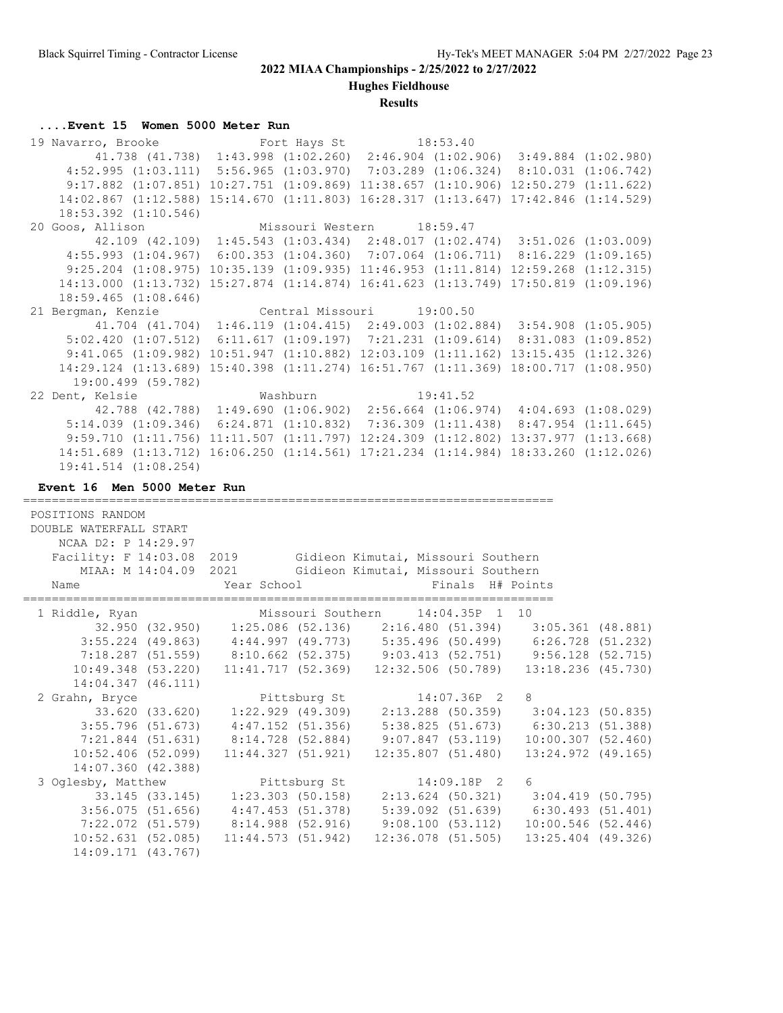**Hughes Fieldhouse**

#### **Results**

#### **....Event 15 Women 5000 Meter Run**

19 Navarro, Brooke Fort Hays St 18:53.40 41.738 (41.738) 1:43.998 (1:02.260) 2:46.904 (1:02.906) 3:49.884 (1:02.980) 4:52.995 (1:03.111) 5:56.965 (1:03.970) 7:03.289 (1:06.324) 8:10.031 (1:06.742) 9:17.882 (1:07.851) 10:27.751 (1:09.869) 11:38.657 (1:10.906) 12:50.279 (1:11.622) 14:02.867 (1:12.588) 15:14.670 (1:11.803) 16:28.317 (1:13.647) 17:42.846 (1:14.529) 18:53.392 (1:10.546) 20 Goos, Allison Missouri Western 18:59.47 42.109 (42.109) 1:45.543 (1:03.434) 2:48.017 (1:02.474) 3:51.026 (1:03.009) 4:55.993 (1:04.967) 6:00.353 (1:04.360) 7:07.064 (1:06.711) 8:16.229 (1:09.165) 9:25.204 (1:08.975) 10:35.139 (1:09.935) 11:46.953 (1:11.814) 12:59.268 (1:12.315) 14:13.000 (1:13.732) 15:27.874 (1:14.874) 16:41.623 (1:13.749) 17:50.819 (1:09.196) 18:59.465 (1:08.646) 21 Bergman, Kenzie Central Missouri 19:00.50 41.704 (41.704) 1:46.119 (1:04.415) 2:49.003 (1:02.884) 3:54.908 (1:05.905) 5:02.420 (1:07.512) 6:11.617 (1:09.197) 7:21.231 (1:09.614) 8:31.083 (1:09.852) 9:41.065 (1:09.982) 10:51.947 (1:10.882) 12:03.109 (1:11.162) 13:15.435 (1:12.326) 14:29.124 (1:13.689) 15:40.398 (1:11.274) 16:51.767 (1:11.369) 18:00.717 (1:08.950) 19:00.499 (59.782) 22 Dent, Kelsie Washburn 19:41.52 42.788 (42.788) 1:49.690 (1:06.902) 2:56.664 (1:06.974) 4:04.693 (1:08.029) 5:14.039 (1:09.346) 6:24.871 (1:10.832) 7:36.309 (1:11.438) 8:47.954 (1:11.645) 9:59.710 (1:11.756) 11:11.507 (1:11.797) 12:24.309 (1:12.802) 13:37.977 (1:13.668) 14:51.689 (1:13.712) 16:06.250 (1:14.561) 17:21.234 (1:14.984) 18:33.260 (1:12.026) 19:41.514 (1:08.254) **Event 16 Men 5000 Meter Run** ========================================================================== POSITIONS RANDOM DOUBLE WATERFALL START NCAA D2: P 14:29.97 Facility: F 14:03.08 2019 Gidieon Kimutai, Missouri Southern MIAA: M 14:04.09 2021 Gidieon Kimutai, Missouri Southern Name Year School Finals H# Points ========================================================================== 1 Riddle, Ryan Missouri Southern 14:04.35P 1 10 32.950 (32.950) 1:25.086 (52.136) 2:16.480 (51.394) 3:05.361 (48.881) 3:55.224 (49.863) 4:44.997 (49.773) 5:35.496 (50.499) 6:26.728 (51.232) 7:18.287 (51.559) 8:10.662 (52.375) 9:03.413 (52.751) 9:56.128 (52.715) 10:49.348 (53.220) 11:41.717 (52.369) 12:32.506 (50.789) 13:18.236 (45.730) 14:04.347 (46.111) 2 Grahn, Bryce Pittsburg St 14:07.36P 2 8 33.620 (33.620) 1:22.929 (49.309) 2:13.288 (50.359) 3:04.123 (50.835) 3:55.796 (51.673) 4:47.152 (51.356) 5:38.825 (51.673) 6:30.213 (51.388) 7:21.844 (51.631) 8:14.728 (52.884) 9:07.847 (53.119) 10:00.307 (52.460) 10:52.406 (52.099) 11:44.327 (51.921) 12:35.807 (51.480) 13:24.972 (49.165) 14:07.360 (42.388) 3 Oglesby, Matthew Pittsburg St 14:09.18P 2 6 33.145 (33.145) 1:23.303 (50.158) 2:13.624 (50.321) 3:04.419 (50.795) 3:56.075 (51.656) 4:47.453 (51.378) 5:39.092 (51.639) 6:30.493 (51.401) 7:22.072 (51.579) 8:14.988 (52.916) 9:08.100 (53.112) 10:00.546 (52.446) 10:52.631 (52.085) 11:44.573 (51.942) 12:36.078 (51.505) 13:25.404 (49.326) 14:09.171 (43.767)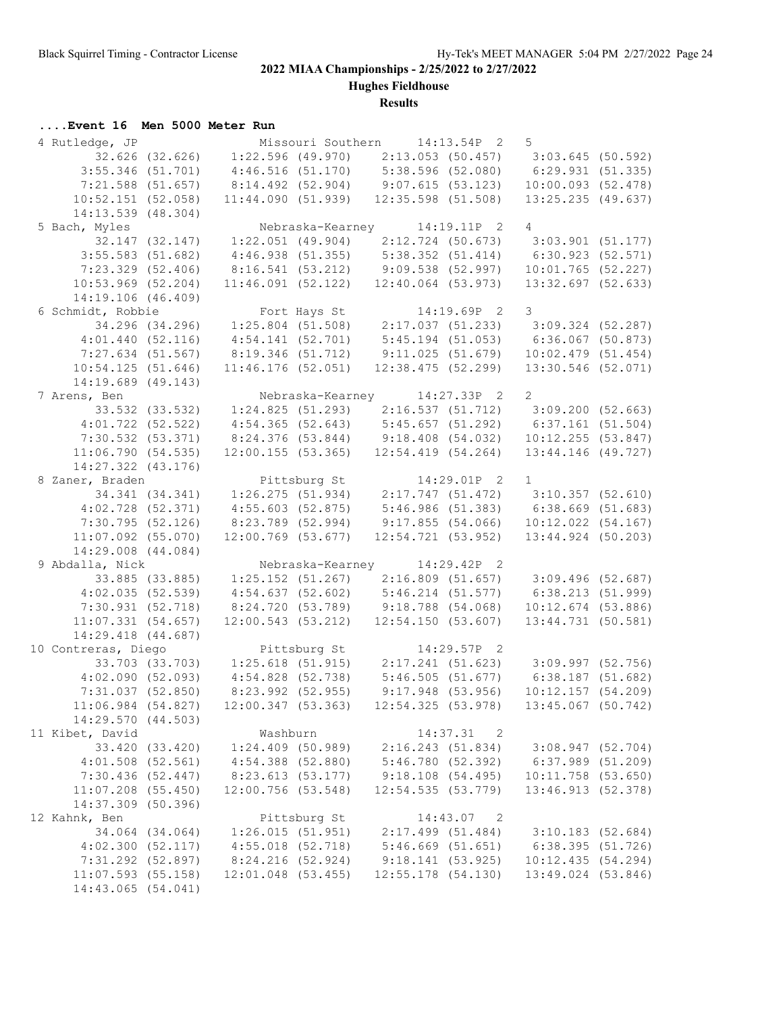**Hughes Fieldhouse**

## **Results**

## **....Event 16 Men 5000 Meter Run**

| 4 Rutledge, JP         |                 |                                                       |              | Missouri Southern 14:13.54P 2             | $5^{\circ}$                                                                           |  |
|------------------------|-----------------|-------------------------------------------------------|--------------|-------------------------------------------|---------------------------------------------------------------------------------------|--|
|                        |                 |                                                       |              |                                           | 32.626 (32.626) 1:22.596 (49.970) 2:13.053 (50.457) 3:03.645 (50.592)                 |  |
| $3:55.346$ (51.701)    |                 | $4:46.516$ (51.170) 5:38.596 (52.080)                 |              |                                           | 6:29.931(51.335)                                                                      |  |
| 7:21.588 (51.657)      |                 | 8:14.492 (52.904) 9:07.615 (53.123)                   |              |                                           | $10:00.093$ (52.478)                                                                  |  |
| 10:52.151(52.058)      |                 |                                                       |              | $11:44.090(51.939)$ $12:35.598(51.508)$   | $13:25.235$ (49.637)                                                                  |  |
| $14:13.539$ $(48.304)$ |                 |                                                       |              |                                           |                                                                                       |  |
| 5 Bach, Myles          |                 |                                                       |              | Nebraska-Kearney 14:19.11P 2 4            |                                                                                       |  |
|                        | 32.147 (32.147) | $1:22.051$ (49.904) $2:12.724$ (50.673)               |              |                                           | $3:03.901$ (51.177)                                                                   |  |
| $3:55.583$ (51.682)    |                 | $4:46.938$ (51.355) 5:38.352 (51.414)                 |              |                                           | 6:30.923(52.571)                                                                      |  |
| $7:23.329$ (52.406)    |                 | 8:16.541 (53.212) 9:09.538 (52.997)                   |              |                                           | $10:01.765$ (52.227)                                                                  |  |
| $10:53.969$ (52.204)   |                 |                                                       |              | $11:46.091$ (52.122) $12:40.064$ (53.973) | $13:32.697$ (52.633)                                                                  |  |
| 14:19.106 (46.409)     |                 |                                                       |              |                                           |                                                                                       |  |
| 6 Schmidt, Robbie      |                 |                                                       |              | Fort Hays St 14:19.69P 2                  | $\overline{\mathbf{3}}$                                                               |  |
|                        |                 | $34.296$ (34.296) 1:25.804 (51.508) 2:17.037 (51.233) |              |                                           | $3:09.324$ (52.287)                                                                   |  |
| 4:01.440(52.116)       |                 | 4:54.141(52.701)                                      |              | $5:45.194$ (51.053)                       | $6:36.067$ (50.873)                                                                   |  |
|                        |                 | 8:19.346 (51.712)                                     |              |                                           | $10:02.479$ (51.454)                                                                  |  |
| 7:27.634 (51.567)      |                 |                                                       |              | 9:11.025(51.679)                          |                                                                                       |  |
| 10:54.125(51.646)      |                 | $11:46.176$ (52.051)                                  |              | 12:38.475(52.299)                         | 13:30.546 (52.071)                                                                    |  |
| 14:19.689 (49.143)     |                 |                                                       |              |                                           |                                                                                       |  |
| 7 Arens, Ben           |                 |                                                       |              | Nebraska-Kearney 14:27.33P 2 2            |                                                                                       |  |
|                        |                 |                                                       |              |                                           | 33.532 (33.532) 1:24.825 (51.293) 2:16.537 (51.712) 3:09.200 (52.663)                 |  |
|                        |                 |                                                       |              |                                           | 4:01.722 (52.522) 4:54.365 (52.643) 5:45.657 (51.292) 6:37.161 (51.504)               |  |
| $7:30.532$ $(53.371)$  |                 | 8:24.376 (53.844) 9:18.408 (54.032)                   |              |                                           | 10:12.255(53.847)                                                                     |  |
| 11:06.790(54.535)      |                 |                                                       |              | $12:00.155$ (53.365) $12:54.419$ (54.264) | 13:44.146 (49.727)                                                                    |  |
| 14:27.322 (43.176)     |                 |                                                       |              |                                           |                                                                                       |  |
| 8 Zaner, Braden        |                 |                                                       |              | Pittsburg St 14:29.01P 2 1                |                                                                                       |  |
|                        |                 |                                                       |              |                                           | $34.341$ $(34.341)$ $1:26.275$ $(51.934)$ $2:17.747$ $(51.472)$ $3:10.357$ $(52.610)$ |  |
|                        |                 | $4:02.728$ (52.371) $4:55.603$ (52.875)               |              |                                           | $5:46.986(51.383)$ $6:38.669(51.683)$                                                 |  |
| 7:30.795 (52.126)      |                 | 8:23.789 (52.994)                                     |              | $9:17.855$ (54.066)                       | 10:12.022(54.167)                                                                     |  |
| $11:07.092$ (55.070)   |                 | $12:00.769$ (53.677)                                  |              | 12:54.721(53.952)                         | 13:44.924 (50.203)                                                                    |  |
| 14:29.008 (44.084)     |                 |                                                       |              |                                           |                                                                                       |  |
| 9 Abdalla, Nick        |                 |                                                       |              | Nebraska-Kearney 14:29.42P 2              |                                                                                       |  |
|                        |                 |                                                       |              |                                           | 33.885 (33.885) 1:25.152 (51.267) 2:16.809 (51.657) 3:09.496 (52.687)                 |  |
| 4:02.035(52.539)       |                 | $4:54.637$ (52.602) $5:46.214$ (51.577)               |              |                                           | 6:38.213(51.999)                                                                      |  |
| 7:30.931 (52.718)      |                 | 8:24.720 (53.789) 9:18.788 (54.068)                   |              |                                           | $10:12.674$ (53.886)                                                                  |  |
| 11:07.331(54.657)      |                 |                                                       |              | 12:00.543 (53.212) 12:54.150 (53.607)     | 13:44.731 (50.581)                                                                    |  |
| 14:29.418 (44.687)     |                 |                                                       |              |                                           |                                                                                       |  |
| 10 Contreras, Diego    |                 |                                                       |              | Pittsburg St 14:29.57P 2                  |                                                                                       |  |
|                        |                 |                                                       |              |                                           | $33.703$ (33.703) 1:25.618 (51.915) 2:17.241 (51.623) 3:09.997 (52.756)               |  |
|                        |                 |                                                       |              |                                           | 4:02.090 (52.093) 4:54.828 (52.738) 5:46.505 (51.677) 6:38.187 (51.682)               |  |
| 7:31.037 (52.850)      |                 | 8:23.992 (52.955)                                     |              | $9:17.948$ (53.956)                       | 10:12.157(54.209)                                                                     |  |
| $11:06.984$ (54.827)   |                 | 12:00.347(53.363)                                     |              | 12:54.325(53.978)                         | $13:45.067$ (50.742)                                                                  |  |
| 14:29.570 (44.503)     |                 |                                                       |              |                                           |                                                                                       |  |
| 11 Kibet, David        |                 | Washburn                                              |              | 14:37.31 2                                |                                                                                       |  |
|                        | 33.420 (33.420) | $1:24.409$ (50.989)                                   |              | 2:16.243(51.834)                          | 3:08.947(52.704)                                                                      |  |
| $4:01.508$ $(52.561)$  |                 | $4:54.388$ (52.880)                                   |              | 5:46.780(52.392)                          | 6:37.989(51.209)                                                                      |  |
| 7:30.436 (52.447)      |                 | 8:23.613 (53.177)                                     |              | 9:18.108(54.495)                          | $10:11.758$ (53.650)                                                                  |  |
| $11:07.208$ (55.450)   |                 | $12:00.756$ (53.548)                                  |              | 12:54.535(53.779)                         | 13:46.913 (52.378)                                                                    |  |
| 14:37.309 (50.396)     |                 |                                                       |              |                                           |                                                                                       |  |
| 12 Kahnk, Ben          |                 |                                                       | Pittsburg St | $14:43.07$ 2                              |                                                                                       |  |
|                        | 34.064 (34.064) | 1:26.015(51.951)                                      |              | $2:17.499$ (51.484)                       | $3:10.183$ (52.684)                                                                   |  |
| 4:02.300(52.117)       |                 | $4:55.018$ (52.718)                                   |              | 5:46.669(51.651)                          | 6:38.395 (51.726)                                                                     |  |
| 7:31.292 (52.897)      |                 | 8:24.216 (52.924)                                     |              | 9:18.141(53.925)                          | 10:12.435(54.294)                                                                     |  |
| $11:07.593$ (55.158)   |                 | $12:01.048$ (53.455)                                  |              | $12:55.178$ (54.130)                      | 13:49.024 (53.846)                                                                    |  |
| 14:43.065 (54.041)     |                 |                                                       |              |                                           |                                                                                       |  |
|                        |                 |                                                       |              |                                           |                                                                                       |  |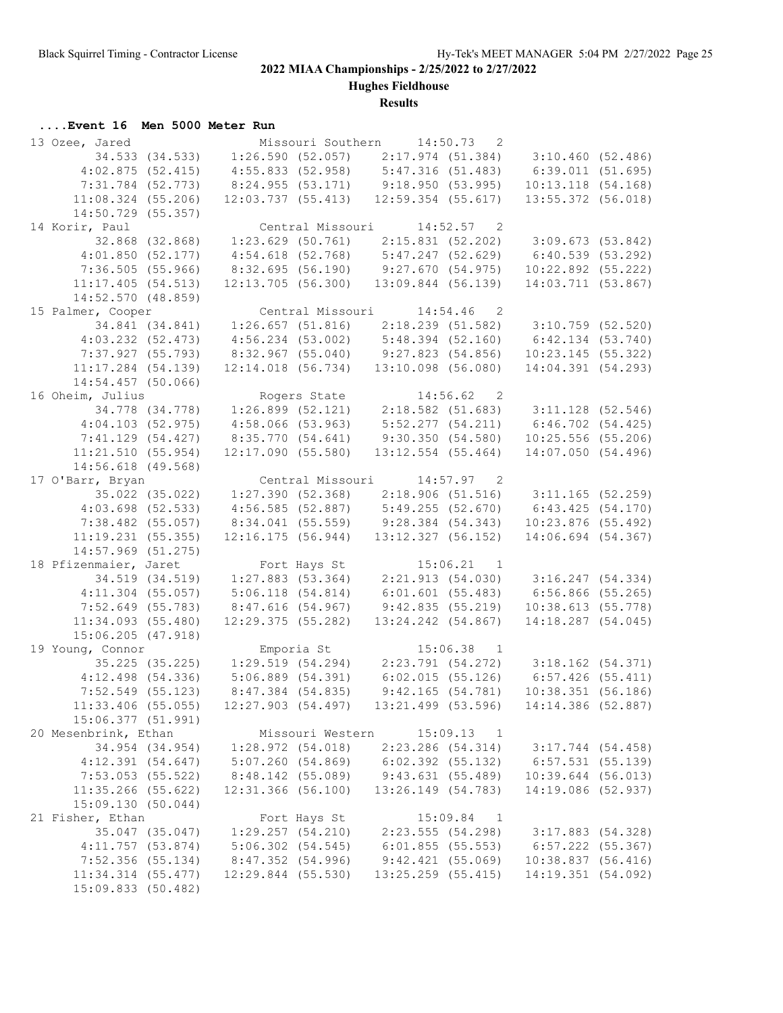**Hughes Fieldhouse**

## **Results**

## **....Event 16 Men 5000 Meter Run**

| 13 Ozee, Jared         |                 |                                   |                  | Missouri Southern 14:50.73 2              |                            |                                                                         |  |
|------------------------|-----------------|-----------------------------------|------------------|-------------------------------------------|----------------------------|-------------------------------------------------------------------------|--|
|                        |                 |                                   |                  |                                           |                            | 34.533 (34.533) 1:26.590 (52.057) 2:17.974 (51.384) 3:10.460 (52.486)   |  |
| 4:02.875(52.415)       |                 |                                   |                  | $4:55.833$ (52.958) $5:47.316$ (51.483)   |                            | 6:39.011(51.695)                                                        |  |
| 7:31.784 (52.773)      |                 |                                   |                  | 8:24.955 (53.171) 9:18.950 (53.995)       |                            | 10:13.118(54.168)                                                       |  |
| $11:08.324$ (55.206)   |                 |                                   |                  | 12:03.737 (55.413) 12:59.354 (55.617)     |                            | 13:55.372 (56.018)                                                      |  |
| 14:50.729 (55.357)     |                 |                                   |                  |                                           |                            |                                                                         |  |
| 14 Korir, Paul         |                 |                                   |                  | Central Missouri 14:52.57 2               |                            |                                                                         |  |
|                        | 32.868 (32.868) |                                   |                  |                                           |                            | $1:23.629$ (50.761) $2:15.831$ (52.202) $3:09.673$ (53.842)             |  |
| 4:01.850(52.177)       |                 |                                   |                  | $4:54.618$ (52.768) $5:47.247$ (52.629)   |                            | 6:40.539(53.292)                                                        |  |
| 7:36.505(55.966)       |                 |                                   |                  | 8:32.695 (56.190) 9:27.670 (54.975)       |                            | $10:22.892$ (55.222)                                                    |  |
| 11:17.405(54.513)      |                 |                                   |                  | $12:13.705$ (56.300) $13:09.844$ (56.139) |                            | 14:03.711 (53.867)                                                      |  |
| 14:52.570(48.859)      |                 |                                   |                  |                                           |                            |                                                                         |  |
| 15 Palmer, Cooper      |                 |                                   |                  | Central Missouri 14:54.46 2               |                            |                                                                         |  |
| 34.841 (34.841)        |                 |                                   |                  |                                           |                            | $1:26.657$ (51.816) $2:18.239$ (51.582) $3:10.759$ (52.520)             |  |
| $4:03.232$ $(52.473)$  |                 |                                   |                  | $4:56.234$ (53.002) $5:48.394$ (52.160)   |                            | 6:42.134 (53.740)                                                       |  |
| 7:37.927 (55.793)      |                 |                                   |                  | 8:32.967 (55.040) 9:27.823 (54.856)       |                            | $10:23.145$ (55.322)                                                    |  |
| $11:17.284$ (54.139)   |                 |                                   |                  | $12:14.018$ (56.734) $13:10.098$ (56.080) |                            | 14:04.391 (54.293)                                                      |  |
| $14:54.457$ (50.066)   |                 |                                   |                  |                                           |                            |                                                                         |  |
| 16 Oheim, Julius       |                 |                                   |                  | Rogers State 14:56.62 2                   |                            |                                                                         |  |
|                        | 34.778 (34.778) |                                   |                  |                                           |                            | $1:26.899$ (52.121) 2:18.582 (51.683) 3:11.128 (52.546)                 |  |
| 4:04.103(52.975)       |                 | $4:58.066$ (53.963)               |                  |                                           |                            | 5:52.277 (54.211) 6:46.702 (54.425)                                     |  |
| 7:41.129 (54.427)      |                 | 8:35.770 (54.641)                 |                  | 9:30.350(54.580)                          |                            | $10:25.556$ (55.206)                                                    |  |
| 11:21.510(55.954)      |                 | 12:17.090(55.580)                 |                  | $13:12.554$ (55.464)                      |                            | 14:07.050(54.496)                                                       |  |
| $14:56.618$ (49.568)   |                 |                                   |                  |                                           |                            |                                                                         |  |
| 17 O'Barr, Bryan       |                 |                                   |                  | Central Missouri 14:57.97 2               |                            |                                                                         |  |
|                        |                 |                                   |                  |                                           |                            | 35.022 (35.022) 1:27.390 (52.368) 2:18.906 (51.516) 3:11.165 (52.259)   |  |
| $4:03.698$ (52.533)    |                 |                                   |                  |                                           |                            | 6:43.425(54.170)                                                        |  |
|                        |                 |                                   |                  | $4:56.585$ (52.887) $5:49.255$ (52.670)   |                            |                                                                         |  |
| 7:38.482 (55.057)      |                 |                                   |                  | 8:34.041 (55.559) 9:28.384 (54.343)       |                            | $10:23.876$ (55.492)                                                    |  |
| 11:19.231(55.355)      |                 | 12:16.175(56.944)                 |                  | $13:12.327$ (56.152)                      |                            | 14:06.694 (54.367)                                                      |  |
| $14:57.969$ (51.275)   |                 |                                   |                  |                                           |                            |                                                                         |  |
| 18 Pfizenmaier, Jaret  |                 |                                   |                  | Fort Hays St 15:06.21 1                   |                            |                                                                         |  |
|                        |                 | 34.519 (34.519) 1:27.883 (53.364) |                  |                                           |                            | 2:21.913 (54.030) 3:16.247 (54.334)                                     |  |
| $4:11.304$ (55.057)    |                 | 5:06.118(54.814)                  |                  |                                           |                            | $6:01.601$ (55.483) $6:56.866$ (55.265)                                 |  |
| 7:52.649 (55.783)      |                 | 8:47.616(54.967)                  |                  | 9:42.835(55.219)                          |                            | 10:38.613(55.778)                                                       |  |
| $11:34.093$ (55.480)   |                 | $12:29.375$ (55.282)              |                  | 13:24.242 (54.867)                        |                            | 14:18.287 (54.045)                                                      |  |
| $15:06.205$ $(47.918)$ |                 |                                   |                  | Emporia St 15:06.38 1                     |                            |                                                                         |  |
| 19 Young, Connor       |                 |                                   |                  |                                           |                            | $35.225$ (35.225) 1:29.519 (54.294) 2:23.791 (54.272) 3:18.162 (54.371) |  |
|                        |                 |                                   |                  |                                           |                            |                                                                         |  |
|                        |                 |                                   |                  |                                           |                            | 4:12.498 (54.336) 5:06.889 (54.391) 6:02.015 (55.126) 6:57.426 (55.411) |  |
| 7:52.549 (55.123)      |                 | 8:47.384 (54.835)                 |                  | 9:42.165(54.781)                          |                            | 10:38.351(56.186)                                                       |  |
| $11:33.406$ (55.055)   |                 | 12:27.903 (54.497)                |                  | 13:21.499 (53.596)                        |                            | 14:14.386 (52.887)                                                      |  |
| 15:06.377 (51.991)     |                 |                                   |                  |                                           |                            |                                                                         |  |
| 20 Mesenbrink, Ethan   |                 |                                   | Missouri Western |                                           | 15:09.13 1                 |                                                                         |  |
|                        | 34.954 (34.954) | 1:28.972(54.018)                  |                  | $2:23.286$ $(54.314)$                     |                            | $3:17.744$ (54.458)                                                     |  |
| 4:12.391(54.647)       |                 | 5:07.260(54.869)                  |                  | $6:02.392$ (55.132)                       |                            | $6:57.531$ (55.139)                                                     |  |
| 7:53.053 (55.522)      |                 | 8:48.142 (55.089)                 |                  | 9:43.631(55.489)                          |                            | $10:39.644$ (56.013)                                                    |  |
| $11:35.266$ (55.622)   |                 | $12:31.366$ (56.100)              |                  | 13:26.149 (54.783)                        |                            | 14:19.086 (52.937)                                                      |  |
| 15:09.130 (50.044)     |                 |                                   |                  |                                           |                            |                                                                         |  |
| 21 Fisher, Ethan       |                 |                                   | Fort Hays St     |                                           | 15:09.84<br>$\overline{1}$ |                                                                         |  |
|                        | 35.047 (35.047) | 1:29.257(54.210)                  |                  |                                           | 2:23.555(54.298)           | 3:17.883 (54.328)                                                       |  |
| 4:11.757(53.874)       |                 | $5:06.302$ $(54.545)$             |                  | 6:01.855(55.553)                          |                            | $6:57.222$ (55.367)                                                     |  |
| $7:52.356$ (55.134)    |                 | 8:47.352 (54.996)                 |                  | 9:42.421(55.069)                          |                            | 10:38.837(56.416)                                                       |  |
| $11:34.314$ (55.477)   |                 | $12:29.844$ (55.530)              |                  | 13:25.259 (55.415)                        |                            | 14:19.351(54.092)                                                       |  |
| 15:09.833 (50.482)     |                 |                                   |                  |                                           |                            |                                                                         |  |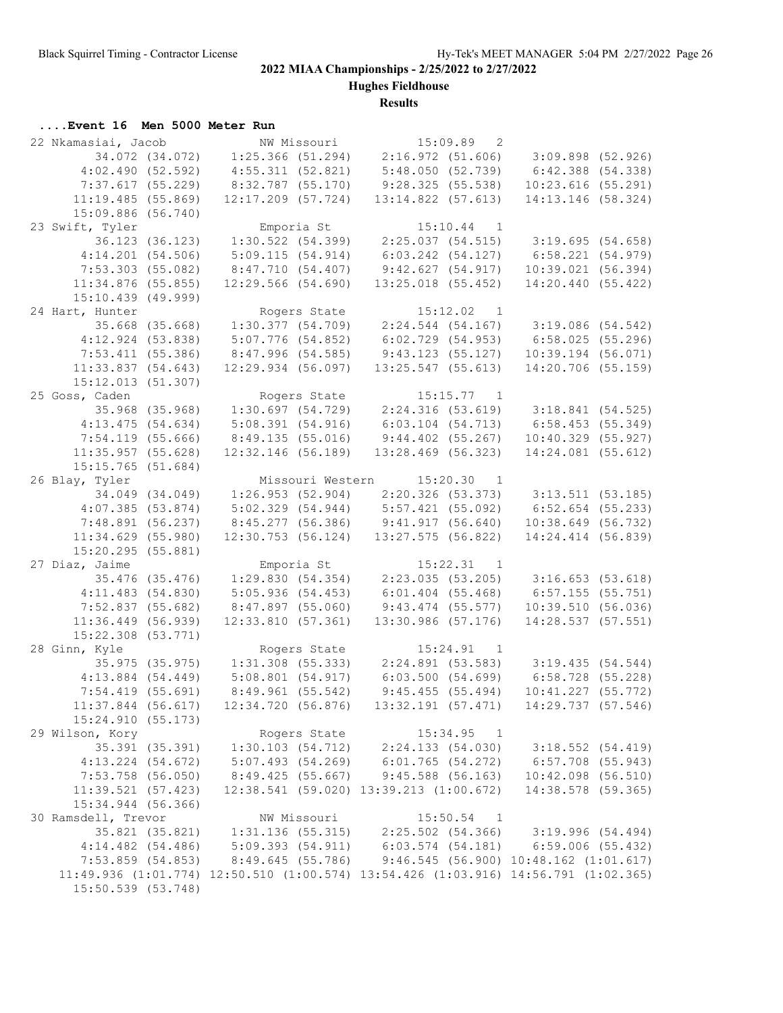**Hughes Fieldhouse**

## **Results**

## **....Event 16 Men 5000 Meter Run**

| 22 Nkamasiai, Jacob   |                 |                                                                                     |              | NW Missouri 15:09.89 2                                                     |                            |                                     |  |
|-----------------------|-----------------|-------------------------------------------------------------------------------------|--------------|----------------------------------------------------------------------------|----------------------------|-------------------------------------|--|
| 34.072 (34.072)       |                 |                                                                                     |              | $1:25.366$ (51.294) $2:16.972$ (51.606) $3:09.898$ (52.926)                |                            |                                     |  |
| 4:02.490(52.592)      |                 |                                                                                     |              | $4:55.311$ (52.821) $5:48.050$ (52.739)                                    |                            | 6:42.388 (54.338)                   |  |
| 7:37.617 (55.229)     |                 | 8:32.787 (55.170)                                                                   |              | 9:28.325(55.538)                                                           |                            | $10:23.616$ (55.291)                |  |
| 11:19.485(55.869)     |                 | $12:17.209$ (57.724)                                                                |              | $13:14.822$ (57.613)                                                       |                            | 14:13.146 (58.324)                  |  |
| 15:09.886 (56.740)    |                 |                                                                                     |              |                                                                            |                            |                                     |  |
| 23 Swift, Tyler       |                 |                                                                                     | Emporia St   |                                                                            | $15:10.44$ 1               |                                     |  |
|                       | 36.123 (36.123) |                                                                                     |              | $1:30.522$ (54.399) $2:25.037$ (54.515) $3:19.695$ (54.658)                |                            |                                     |  |
| 4:14.201(54.506)      |                 | 5:09.115(54.914)                                                                    |              | $6:03.242$ $(54.127)$                                                      |                            | 6:58.221(54.979)                    |  |
| $7:53.303$ (55.082)   |                 | 8:47.710 (54.407)                                                                   |              | 9:42.627(54.917)                                                           |                            | 10:39.021(56.394)                   |  |
| $11:34.876$ (55.855)  |                 |                                                                                     |              |                                                                            |                            |                                     |  |
|                       |                 | 12:29.566(54.690)                                                                   |              | $13:25.018$ (55.452)                                                       |                            | 14:20.440 (55.422)                  |  |
| $15:10.439$ (49.999)  |                 |                                                                                     |              |                                                                            |                            |                                     |  |
| 24 Hart, Hunter       |                 |                                                                                     |              | Rogers State 15:12.02 1                                                    |                            |                                     |  |
| 35.668 (35.668)       |                 |                                                                                     |              | $1:30.377$ (54.709) $2:24.544$ (54.167) $3:19.086$ (54.542)                |                            |                                     |  |
| 4:12.924(53.838)      |                 | 5:07.776 (54.852)                                                                   |              | $6:02.729$ $(54.953)$                                                      |                            | $6:58.025$ (55.296)                 |  |
| 7:53.411 (55.386)     |                 | 8:47.996 (54.585)                                                                   |              | 9:43.123 (55.127)                                                          |                            | $10:39.194$ (56.071)                |  |
| 11:33.837(54.643)     |                 | 12:29.934 (56.097)                                                                  |              | $13:25.547$ (55.613)                                                       |                            | 14:20.706 (55.159)                  |  |
| 15:12.013 (51.307)    |                 |                                                                                     |              |                                                                            |                            |                                     |  |
| 25 Goss, Caden        |                 |                                                                                     | Rogers State |                                                                            | $15:15.77$ 1               |                                     |  |
|                       | 35.968 (35.968) |                                                                                     |              | $1:30.697$ (54.729) $2:24.316$ (53.619) $3:18.841$ (54.525)                |                            |                                     |  |
| 4:13.475(54.634)      |                 | 5:08.391(54.916)                                                                    |              |                                                                            |                            | 6:03.104 (54.713) 6:58.453 (55.349) |  |
| $7:54.119$ (55.666)   |                 | 8:49.135 (55.016)                                                                   |              | $9:44.402$ (55.267)                                                        |                            | $10:40.329$ (55.927)                |  |
| 11:35.957(55.628)     |                 | $12:32.146$ (56.189)                                                                |              | $13:28.469$ (56.323)                                                       |                            | 14:24.081 (55.612)                  |  |
| $15:15.765$ (51.684)  |                 |                                                                                     |              |                                                                            |                            |                                     |  |
| 26 Blay, Tyler        |                 |                                                                                     |              | Missouri Western 15:20.30 1                                                |                            |                                     |  |
|                       |                 | 34.049 (34.049) 1:26.953 (52.904) 2:20.326 (53.373) 3:13.511 (53.185)               |              |                                                                            |                            |                                     |  |
| 4:07.385(53.874)      |                 |                                                                                     |              | 5:02.329 (54.944) 5:57.421 (55.092)                                        |                            | $6:52.654$ (55.233)                 |  |
| 7:48.891 (56.237)     |                 |                                                                                     |              | 8:45.277 (56.386) 9:41.917 (56.640)                                        |                            | 10:38.649 (56.732)                  |  |
| 11:34.629(55.980)     |                 | $12:30.753$ (56.124)                                                                |              | $13:27.575$ (56.822)                                                       |                            | 14:24.414 (56.839)                  |  |
| 15:20.295 (55.881)    |                 |                                                                                     |              |                                                                            |                            |                                     |  |
| 27 Diaz, Jaime        |                 |                                                                                     | Emporia St   |                                                                            | 15:22.31 1                 |                                     |  |
|                       | 35.476 (35.476) |                                                                                     |              | $1:29.830(54.354)$ $2:23.035(53.205)$ $3:16.653(53.618)$                   |                            |                                     |  |
| 4:11.483(54.830)      |                 | 5:05.936(54.453)                                                                    |              | $6:01.404$ (55.468)                                                        |                            | $6:57.155$ (55.751)                 |  |
| 7:52.837 (55.682)     |                 | 8:47.897 (55.060)                                                                   |              | $9:43.474$ (55.577)                                                        |                            | 10:39.510(56.036)                   |  |
| $11:36.449$ (56.939)  |                 | 12:33.810(57.361)                                                                   |              | $13:30.986$ (57.176)                                                       |                            | 14:28.537 (57.551)                  |  |
| 15:22.308 (53.771)    |                 |                                                                                     |              |                                                                            |                            |                                     |  |
| 28 Ginn, Kyle         |                 |                                                                                     | Rogers State |                                                                            | $15:24.91$ 1               |                                     |  |
|                       |                 | 35.975 (35.975) 1:31.308 (55.333) 2:24.891 (53.583) 3:19.435 (54.544)               |              |                                                                            |                            |                                     |  |
|                       |                 | $4:13.884$ (54.449) $5:08.801$ (54.917)                                             |              |                                                                            |                            | 6:03.500 (54.699) 6:58.728 (55.228) |  |
| $7:54.419$ (55.691)   |                 | $8:49.961$ (55.542)                                                                 |              | 9:45.455(55.494)                                                           |                            | $10:41.227$ (55.772)                |  |
| $11:37.844$ (56.617)  |                 | 12:34.720(56.876)                                                                   |              | $13:32.191$ (57.471)                                                       |                            | 14:29.737 (57.546)                  |  |
| 15:24.910 (55.173)    |                 |                                                                                     |              |                                                                            |                            |                                     |  |
| 29 Wilson, Kory       |                 |                                                                                     | Rogers State |                                                                            | $15:34.95$ 1               |                                     |  |
|                       | 35.391 (35.391) |                                                                                     |              | $1:30.103$ $(54.712)$ $2:24.133$ $(54.030)$ $3:18.552$ $(54.419)$          |                            |                                     |  |
| $4:13.224$ $(54.672)$ |                 |                                                                                     |              |                                                                            |                            | $6:57.708$ (55.943)                 |  |
| 7:53.758 (56.050)     |                 |                                                                                     |              | 5:07.493 (54.269) 6:01.765 (54.272)<br>8:49.425 (55.667) 9:45.588 (56.163) |                            | $10:42.098$ (56.510)                |  |
|                       |                 |                                                                                     |              |                                                                            |                            |                                     |  |
| 11:39.521(57.423)     |                 |                                                                                     |              | $12:38.541$ (59.020) $13:39.213$ (1:00.672)                                |                            | 14:38.578 (59.365)                  |  |
| 15:34.944 (56.366)    |                 |                                                                                     |              |                                                                            |                            |                                     |  |
| 30 Ramsdell, Trevor   |                 |                                                                                     | NW Missouri  |                                                                            | 15:50.54<br>$\overline{1}$ |                                     |  |
|                       |                 | 35.821 (35.821) 1:31.136 (55.315) 2:25.502 (54.366) 3:19.996 (54.494)               |              |                                                                            |                            |                                     |  |
| $4:14.482$ (54.486)   |                 |                                                                                     |              | 5:09.393 (54.911)   6:03.574 (54.181)   6:59.006 (55.432)                  |                            |                                     |  |
| $7:53.859$ (54.853)   |                 |                                                                                     |              | 8:49.645 (55.786) 9:46.545 (56.900) 10:48.162 (1:01.617)                   |                            |                                     |  |
|                       |                 | 11:49.936 (1:01.774) 12:50.510 (1:00.574) 13:54.426 (1:03.916) 14:56.791 (1:02.365) |              |                                                                            |                            |                                     |  |
| 15:50.539 (53.748)    |                 |                                                                                     |              |                                                                            |                            |                                     |  |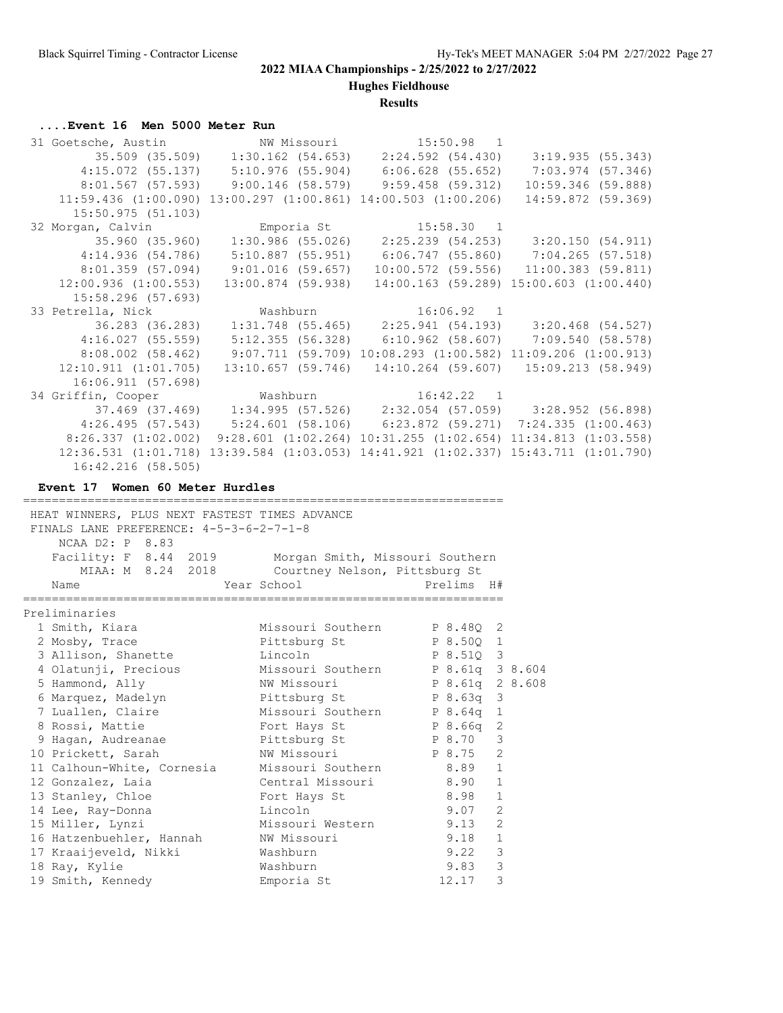**Hughes Fieldhouse**

### **Results**

## **....Event 16 Men 5000 Meter Run**

| 31 Goetsche, Austin MW Missouri 15:50.98 1                              |                                                                                                     |                      |
|-------------------------------------------------------------------------|-----------------------------------------------------------------------------------------------------|----------------------|
|                                                                         | $35.509$ (35.509) 1:30.162 (54.653) 2:24.592 (54.430) 3:19.935 (55.343)                             |                      |
| 4:15.072 (55.137) 5:10.976 (55.904) 6:06.628 (55.652) 7:03.974 (57.346) |                                                                                                     |                      |
|                                                                         | $8:01.567$ (57.593) 9:00.146 (58.579) 9:59.458 (59.312)                                             | $10:59.346$ (59.888) |
|                                                                         | $11:59.436$ (1:00.090) 13:00.297 (1:00.861) 14:00.503 (1:00.206)                                    | 14:59.872 (59.369)   |
| 15:50.975(51.103)                                                       |                                                                                                     |                      |
| 32 Morgan, Calvin <b>Emporia St</b> 15:58.30 1                          |                                                                                                     |                      |
| 35.960 (35.960)                                                         | $1:30.986$ (55.026) $2:25.239$ (54.253) $3:20.150$ (54.911)                                         |                      |
| 4:14.936(54.786)                                                        | 5:10.887 (55.951) 6:06.747 (55.860) 7:04.265 (57.518)                                               |                      |
|                                                                         | $8:01.359$ (57.094) $9:01.016$ (59.657) $10:00.572$ (59.556) $11:00.383$ (59.811)                   |                      |
| $12:00.936$ $(1:00.553)$                                                | $13:00.874$ (59.938) 14:00.163 (59.289) 15:00.603 (1:00.440)                                        |                      |
| 15:58.296 (57.693)                                                      |                                                                                                     |                      |
|                                                                         |                                                                                                     |                      |
| 33 Petrella, Nick Mashburn 16:06.92 1                                   |                                                                                                     |                      |
|                                                                         | 36.283 (36.283) 1:31.748 (55.465) 2:25.941 (54.193) 3:20.468 (54.527)                               |                      |
| 4:16.027 (55.559)                                                       | $5:12.355$ (56.328) 6:10.962 (58.607) 7:09.540 (58.578)                                             |                      |
| $8:08.002$ (58.462)                                                     | $9:07.711$ (59.709) 10:08.293 (1:00.582) 11:09.206 (1:00.913)                                       |                      |
| $12:10.911$ $(1:01.705)$                                                | $13:10.657$ (59.746) $14:10.264$ (59.607) $15:09.213$ (58.949)                                      |                      |
| 16:06.911(57.698)                                                       |                                                                                                     |                      |
|                                                                         |                                                                                                     |                      |
| 34 Griffin, Cooper Mashburn 16:42.22 1                                  | 37.469 (37.469) 1:34.995 (57.526) 2:32.054 (57.059) 3:28.952 (56.898)                               |                      |
|                                                                         | $4:26.495$ (57.543) 5:24.601 (58.106) 6:23.872 (59.271) 7:24.335 (1:00.463)                         |                      |
|                                                                         | $8:26.337$ (1:02.002) 9:28.601 (1:02.264) 10:31.255 (1:02.654) 11:34.813 (1:03.558)                 |                      |
|                                                                         | $12:36.531$ $(1:01.718)$ $13:39.584$ $(1:03.053)$ $14:41.921$ $(1:02.337)$ $15:43.711$ $(1:01.790)$ |                      |

## **Event 17 Women 60 Meter Hurdles**

| HEAT WINNERS, PLUS NEXT FASTEST TIMES ADVANCE          |                                 |                 |                |  |
|--------------------------------------------------------|---------------------------------|-----------------|----------------|--|
| FINALS LANE PREFERENCE: $4-5-3-6-2-7-1-8$              |                                 |                 |                |  |
| NCAA D2: P 8.83                                        |                                 |                 |                |  |
| Facility: F 8.44 2019                                  | Morgan Smith, Missouri Southern |                 |                |  |
| MIAA: M 8.24 2018                                      | Courtney Nelson, Pittsburg St   |                 |                |  |
| Name                                                   | Year School<br>Prelims H#       |                 |                |  |
|                                                        |                                 |                 |                |  |
| Preliminaries                                          |                                 |                 |                |  |
| 1 Smith, Kiara                                         | Missouri Southern B 8.480 2     |                 |                |  |
| 2 Mosby, Trace                                         | Pittsburg St                    | P 8.500 1       |                |  |
| 3 Allison, Shanette                                    | Lincoln                         | P 8.510 3       |                |  |
| 4 Olatunji, Precious Missouri Southern P 8.61q 3 8.604 |                                 |                 |                |  |
| 5 Hammond, Ally                                        | NW Missouri                     | P 8.61q 2 8.608 |                |  |
| 6 Marquez, Madelyn Bittsburg St B 8.63q 3              |                                 |                 |                |  |
| 7 Luallen, Claire 6 Missouri Southern P 8.64q 1        |                                 |                 |                |  |
| 8 Rossi, Mattie                                        | Fort Hays St P 8.66q            |                 | 2              |  |
| 9 Hagan, Audreanae between Pittsburg St B P 8.70       |                                 |                 | 3              |  |
| 10 Prickett, Sarah                                     | NW Missouri P 8.75              |                 | 2              |  |
| 11 Calhoun-White, Cornesia Missouri Southern 8.89      |                                 |                 | $\mathbf{1}$   |  |
| 12 Gonzalez, Laia                                      | Central Missouri 8.90           |                 | $\mathbf{1}$   |  |
| 13 Stanley, Chloe                                      | Fort Hays St                    | 8.98            | $\mathbf{1}$   |  |
| 14 Lee, Ray-Donna                                      | Lincoln                         | 9.07            | $\overline{2}$ |  |
| 15 Miller, Lynzi                                       | Missouri Western                | 9.13            | $\overline{2}$ |  |
| 16 Hatzenbuehler, Hannah NW Missouri                   |                                 | 9.18            | $\mathbf{1}$   |  |
| 17 Kraaijeveld, Nikki                                  | Washburn                        | 9.22            | 3              |  |
| 18 Ray, Kylie                                          | Washburn                        | 9.83            | 3              |  |
| 19 Smith, Kennedy                                      | Emporia St                      | 12.17           | 3              |  |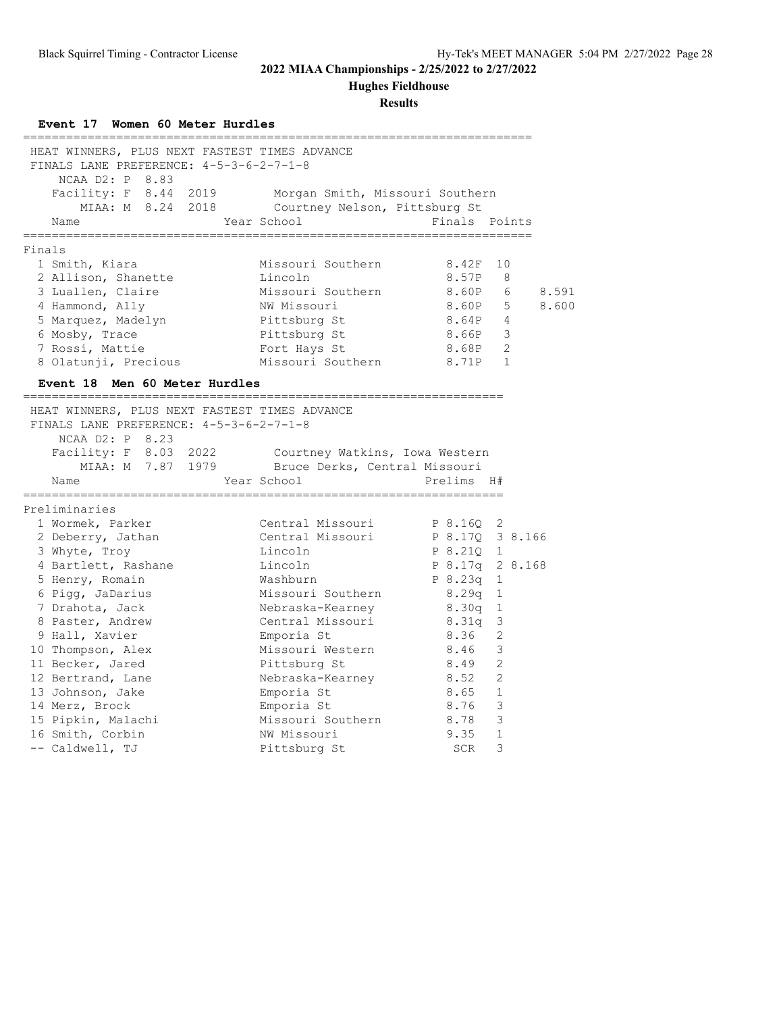**Hughes Fieldhouse**

| Event 17 Women 60 Meter Hurdles                                                                                                                                                                                                                                         |                                                 |                                  |       |
|-------------------------------------------------------------------------------------------------------------------------------------------------------------------------------------------------------------------------------------------------------------------------|-------------------------------------------------|----------------------------------|-------|
| HEAT WINNERS, PLUS NEXT FASTEST TIMES ADVANCE<br>FINALS LANE PREFERENCE: 4-5-3-6-2-7-1-8<br>NCAA D2: P 8.83                                                                                                                                                             |                                                 |                                  |       |
| Facility: F 8.44 2019 Morgan Smith, Missouri Southern                                                                                                                                                                                                                   |                                                 |                                  |       |
|                                                                                                                                                                                                                                                                         | MIAA: M 8.24 2018 Courtney Nelson, Pittsburg St |                                  |       |
| Name                                                                                                                                                                                                                                                                    | Year School                                     | Finals Points                    |       |
| Finals                                                                                                                                                                                                                                                                  |                                                 |                                  |       |
| 1 Smith, Kiara                                                                                                                                                                                                                                                          | Missouri Southern                               | 8.42F 10                         |       |
| 2 Allison, Shanette                                                                                                                                                                                                                                                     | Lincoln                                         | 8.57P<br>8                       |       |
| 3 Luallen, Claire                                                                                                                                                                                                                                                       | Missouri Southern 8.60P                         | 6                                | 8.591 |
| 4 Hammond, Ally                                                                                                                                                                                                                                                         | NW Missouri                                     | 8.60P 5                          | 8.600 |
| 5 Marquez, Madelyn                                                                                                                                                                                                                                                      | Pittsburg St                                    | 8.64P<br>$\overline{4}$          |       |
| 6 Mosby, Trace                                                                                                                                                                                                                                                          | Pittsburg St                                    | 8.66P<br>3                       |       |
| 7 Rossi, Mattie                                                                                                                                                                                                                                                         | Fort Hays St                                    | 2<br>8.68P                       |       |
| 8 Olatunji, Precious                                                                                                                                                                                                                                                    | Missouri Southern                               | 8.71P 1                          |       |
| Event 18 Men 60 Meter Hurdles<br>________________________________                                                                                                                                                                                                       |                                                 |                                  |       |
| HEAT WINNERS, PLUS NEXT FASTEST TIMES ADVANCE<br>FINALS LANE PREFERENCE: 4-5-3-6-2-7-1-8<br>NCAA D2: P 8.23<br>Facility: F 8.03 2022 Courtney Watkins, Iowa Western<br>MIAA: M 7.87 1979 Bruce Derks, Central Missouri<br>Name<br>=====================<br>:=========== | Year School                                     | Prelims H#<br>,,,,,,,,,,,,,,,,,, |       |
| Preliminaries                                                                                                                                                                                                                                                           |                                                 |                                  |       |
| 1 Wormek, Parker                                                                                                                                                                                                                                                        | Central Missouri                                | P 8.16Q 2                        |       |
| 2 Deberry, Jathan                                                                                                                                                                                                                                                       | Central Missouri P 8.17Q 3 8.166                |                                  |       |
| 3 Whyte, Troy                                                                                                                                                                                                                                                           | Lincoln                                         | P 8.210 1                        |       |
| 4 Bartlett, Rashane                                                                                                                                                                                                                                                     | Lincoln                                         | P 8.17q 2 8.168                  |       |
| 5 Henry, Romain                                                                                                                                                                                                                                                         | Washburn                                        | P 8.23q 1                        |       |
| 6 Pigg, JaDarius                                                                                                                                                                                                                                                        | Missouri Southern                               | 8.29q 1                          |       |
| 7 Drahota, Jack                                                                                                                                                                                                                                                         | Nebraska-Kearney                                | $8.30q$ 1                        |       |
| 8 Paster, Andrew                                                                                                                                                                                                                                                        | Central Missouri 8.31q 3                        |                                  |       |
| 9 Hall, Xavier                                                                                                                                                                                                                                                          | Emporia St                                      | 2<br>8.36                        |       |
| 10 Thompson, Alex                                                                                                                                                                                                                                                       | Missouri Western 8.46                           | -3                               |       |
| 11 Becker, Jared                                                                                                                                                                                                                                                        | Pittsburg St                                    | 8.49<br>-2                       |       |
| 12 Bertrand, Lane                                                                                                                                                                                                                                                       | Nebraska-Kearney                                | 8.52<br>2                        |       |
| 13 Johnson, Jake                                                                                                                                                                                                                                                        | Emporia St                                      | 8.65 1                           |       |
| 14 Merz, Brock                                                                                                                                                                                                                                                          | Emporia St                                      | $\overline{3}$<br>8.76           |       |
| 15 Pipkin, Malachi                                                                                                                                                                                                                                                      | Missouri Southern                               | 3<br>8.78                        |       |
| 16 Smith, Corbin                                                                                                                                                                                                                                                        | NW Missouri                                     | 9.35<br>$\mathbf{1}$             |       |
| -- Caldwell, TJ                                                                                                                                                                                                                                                         | Pittsburg St                                    | 3<br>SCR                         |       |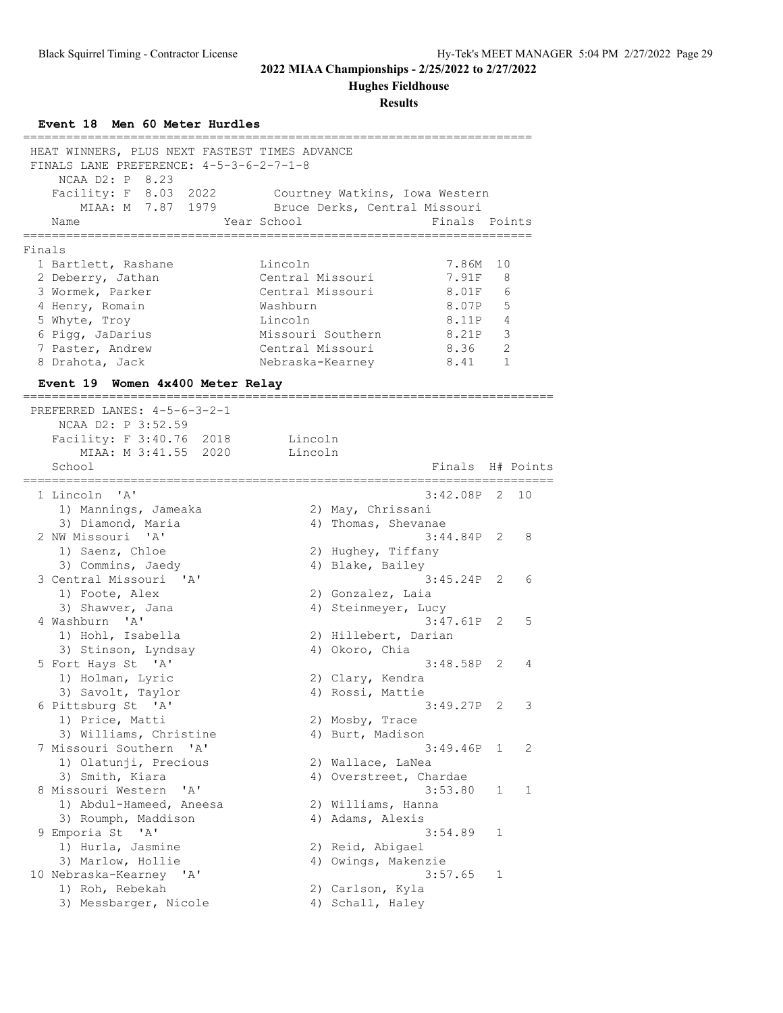**Hughes Fieldhouse**

| Event 18 Men 60 Meter Hurdles<br>-----------          |                   |                                          |                  |
|-------------------------------------------------------|-------------------|------------------------------------------|------------------|
| HEAT WINNERS, PLUS NEXT FASTEST TIMES ADVANCE         |                   |                                          |                  |
| FINALS LANE PREFERENCE: 4-5-3-6-2-7-1-8               |                   |                                          |                  |
| NCAA D2: P 8.23                                       |                   |                                          |                  |
| Facility: F 8.03 2022                                 |                   | Courtney Watkins, Iowa Western           |                  |
| MIAA: M 7.87 1979                                     |                   | Bruce Derks, Central Missouri            |                  |
| Name                                                  | Year School       | Finals Points                            |                  |
| -----------                                           | ---------------   |                                          |                  |
| Finals                                                | Lincoln           | 7.86M                                    |                  |
| 1 Bartlett, Rashane                                   | Central Missouri  | 7.91F                                    | 10<br>8          |
| 2 Deberry, Jathan<br>3 Wormek, Parker                 | Central Missouri  | 8.01F                                    | 6                |
| 4 Henry, Romain                                       | Washburn          | 8.07P                                    | 5                |
| 5 Whyte, Troy                                         | Lincoln           | 8.11P                                    | 4                |
| 6 Pigg, JaDarius                                      | Missouri Southern | 8.21P                                    | 3                |
| 7 Paster, Andrew                                      | Central Missouri  | 8.36                                     | $\overline{2}$   |
| 8 Drahota, Jack                                       | Nebraska-Kearney  | 8.41                                     | $\mathbf{1}$     |
| Event 19 Women 4x400 Meter Relay                      |                   |                                          |                  |
|                                                       |                   |                                          |                  |
| PREFERRED LANES: 4-5-6-3-2-1                          |                   |                                          |                  |
| NCAA D2: P 3:52.59                                    |                   |                                          |                  |
| Facility: F 3:40.76 2018                              | Lincoln           |                                          |                  |
| MIAA: M 3:41.55 2020                                  | Lincoln           |                                          |                  |
| School                                                |                   |                                          | Finals H# Points |
| :===========                                          |                   |                                          |                  |
| 1 Lincoln 'A'                                         |                   | 3:42.08P                                 | 2<br>10          |
| 1) Mannings, Jameaka<br>3) Diamond, Maria             |                   | 2) May, Chrissani<br>4) Thomas, Shevanae |                  |
| 2 NW Missouri 'A'                                     |                   | 3:44.84P                                 | 2<br>8           |
| 1) Saenz, Chloe                                       |                   | 2) Hughey, Tiffany                       |                  |
| 3) Commins, Jaedy                                     |                   | 4) Blake, Bailey                         |                  |
| 3 Central Missouri<br>$^{\prime}$ A $^{\prime}$       |                   | 3:45.24P                                 | 2<br>6           |
| 1) Foote, Alex                                        |                   | 2) Gonzalez, Laia                        |                  |
| 3) Shawver, Jana                                      |                   | 4) Steinmeyer, Lucy                      |                  |
| 4 Washburn 'A'                                        |                   | $3:47.61P$ 2                             | 5                |
| 1) Hohl, Isabella                                     |                   | 2) Hillebert, Darian                     |                  |
| 3) Stinson, Lyndsay                                   |                   | 4) Okoro, Chia                           |                  |
| 5 Fort Hays St 'A'                                    |                   | 3:48.58P                                 | 2<br>4           |
| 1) Holman, Lyric                                      |                   | 2) Clary, Kendra                         |                  |
| 3) Savolt, Taylor                                     |                   | 4) Rossi, Mattie                         |                  |
| 6 Pittsburg St 'A'                                    |                   | $3:49.27P$ 2                             | 3                |
| 1) Price, Matti                                       |                   | 2) Mosby, Trace                          |                  |
| 3) Williams, Christine                                |                   | 4) Burt, Madison                         |                  |
| 7 Missouri Southern 'A'                               |                   | 3:49.46P                                 | 2<br>1           |
| 1) Olatunji, Precious                                 |                   | 2) Wallace, LaNea                        |                  |
| 3) Smith, Kiara                                       |                   | 4) Overstreet, Chardae                   |                  |
| 8 Missouri Western<br>' A'<br>1) Abdul-Hameed, Aneesa |                   | 3:53.80                                  | 1<br>1           |
| 3) Roumph, Maddison                                   |                   | 2) Williams, Hanna<br>4) Adams, Alexis   |                  |
| 9 Emporia St<br>'A'                                   |                   | 3:54.89                                  | 1                |
| 1) Hurla, Jasmine                                     |                   | 2) Reid, Abigael                         |                  |
| 3) Marlow, Hollie                                     |                   | 4) Owings, Makenzie                      |                  |
| 10 Nebraska-Kearney 'A'                               |                   | 3:57.65                                  | 1                |
| 1) Roh, Rebekah                                       |                   | 2) Carlson, Kyla                         |                  |
| 3) Messbarger, Nicole                                 |                   | 4) Schall, Haley                         |                  |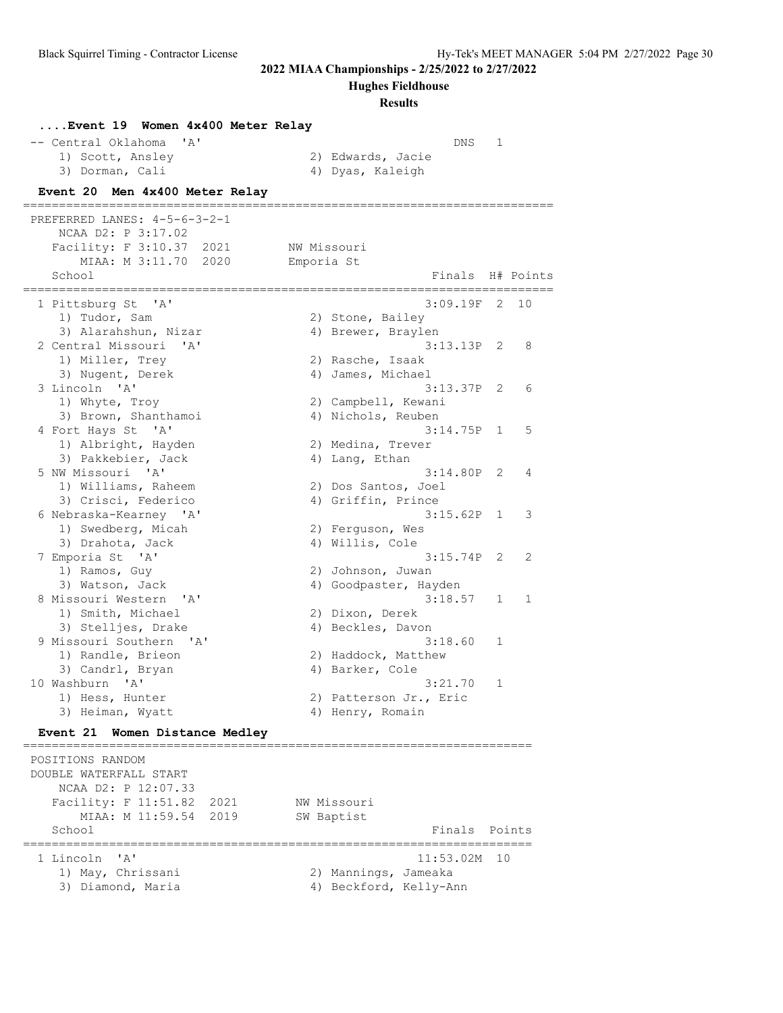**Hughes Fieldhouse**

| Event 19 Women 4x400 Meter Relay                                     |             |                                   |              |    |
|----------------------------------------------------------------------|-------------|-----------------------------------|--------------|----|
| -- Central Oklahoma<br>$^{\prime}$ A $^{\prime}$<br>1) Scott, Ansley |             | DNS<br>2) Edwards, Jacie          | 1            |    |
| 3) Dorman, Cali                                                      |             | 4) Dyas, Kaleigh                  |              |    |
| Event 20 Men 4x400 Meter Relay                                       |             |                                   |              |    |
| PREFERRED LANES: 4-5-6-3-2-1                                         |             |                                   |              |    |
| NCAA D2: P 3:17.02                                                   |             |                                   |              |    |
| Facility: F 3:10.37<br>2021                                          | NW Missouri |                                   |              |    |
| MIAA: M 3:11.70 2020                                                 | Emporia St  |                                   |              |    |
| School<br>:==========<br>----------                                  |             | Finals H# Points                  |              |    |
| 1 Pittsburg St 'A'                                                   |             | $3:09.19F$ 2                      |              | 10 |
| 1) Tudor, Sam                                                        |             | 2) Stone, Bailey                  |              |    |
| 3) Alarahshun, Nizar                                                 |             | 4) Brewer, Braylen                |              |    |
| 2 Central Missouri<br>$^{\prime}$ A $^{\prime}$                      |             | $3:13.13P$ 2                      |              | 8  |
| 1) Miller, Trey                                                      |             | 2) Rasche, Isaak                  |              |    |
| 3) Nugent, Derek                                                     |             | 4) James, Michael                 |              |    |
| 3 Lincoln 'A'                                                        |             | $3:13.37P$ 2                      |              | 6  |
| 1) Whyte, Troy                                                       |             | 2) Campbell, Kewani               |              |    |
| 3) Brown, Shanthamoi                                                 |             | 4) Nichols, Reuben                |              |    |
| 4 Fort Hays St 'A'                                                   |             | 3:14.75P                          | $\mathbf{1}$ | 5  |
| 1) Albright, Hayden                                                  |             | 2) Medina, Trever                 |              |    |
| 3) Pakkebier, Jack                                                   |             | 4) Lang, Ethan                    |              |    |
| 5 NW Missouri 'A'                                                    |             | 3:14.80P                          | 2            | 4  |
| 1) Williams, Raheem                                                  |             | 2) Dos Santos, Joel               |              |    |
| 3) Crisci, Federico                                                  |             | 4) Griffin, Prince                |              |    |
| 6 Nebraska-Kearney 'A'                                               |             | 3:15.62P                          | $\mathbf{1}$ | 3  |
| 1) Swedberg, Micah                                                   |             | 2) Ferguson, Wes                  |              |    |
| 3) Drahota, Jack                                                     |             | 4) Willis, Cole                   |              |    |
| 7 Emporia St 'A'                                                     |             | 3:15.74P                          | 2            | 2  |
| 1) Ramos, Guy                                                        |             | 2) Johnson, Juwan                 |              |    |
| 3) Watson, Jack                                                      |             | 4) Goodpaster, Hayden             |              |    |
| 8 Missouri Western<br>$^{\prime}$ A $^{\prime}$                      |             | 3:18.57                           | 1            | 1  |
| 1) Smith, Michael                                                    |             | 2) Dixon, Derek                   |              |    |
| 3) Stelljes, Drake                                                   |             | 4) Beckles, Davon                 |              |    |
| 9 Missouri Southern<br>$^{\prime}$ A $^{\prime}$                     |             | 3:18.60                           | 1            |    |
| 1) Randle, Brieon                                                    |             | 2) Haddock, Matthew               |              |    |
| 3) Candrl, Bryan                                                     |             | 4) Barker, Cole                   |              |    |
| 10 Washburn 'A'<br>1) Hess, Hunter                                   |             | 3:21.70<br>2) Patterson Jr., Eric | 1            |    |
| 3) Heiman, Wyatt                                                     |             | 4) Henry, Romain                  |              |    |
| <b>Event 21</b><br>Women Distance Medley                             |             |                                   |              |    |
| POSITIONS RANDOM                                                     |             |                                   |              |    |
| DOUBLE WATERFALL START                                               |             |                                   |              |    |
| NCAA D2: P 12:07.33                                                  |             |                                   |              |    |
| Facility: F 11:51.82<br>2021                                         |             | NW Missouri                       |              |    |
| MIAA: M 11:59.54<br>2019                                             |             | SW Baptist                        |              |    |
| School                                                               |             | Finals Points                     |              |    |
|                                                                      |             |                                   |              |    |

| 1 Lincoln 'A'     | $11:53.02M$ 10         |
|-------------------|------------------------|
| 1) May, Chrissani | 2) Mannings, Jameaka   |
| 3) Diamond, Maria | 4) Beckford, Kelly-Ann |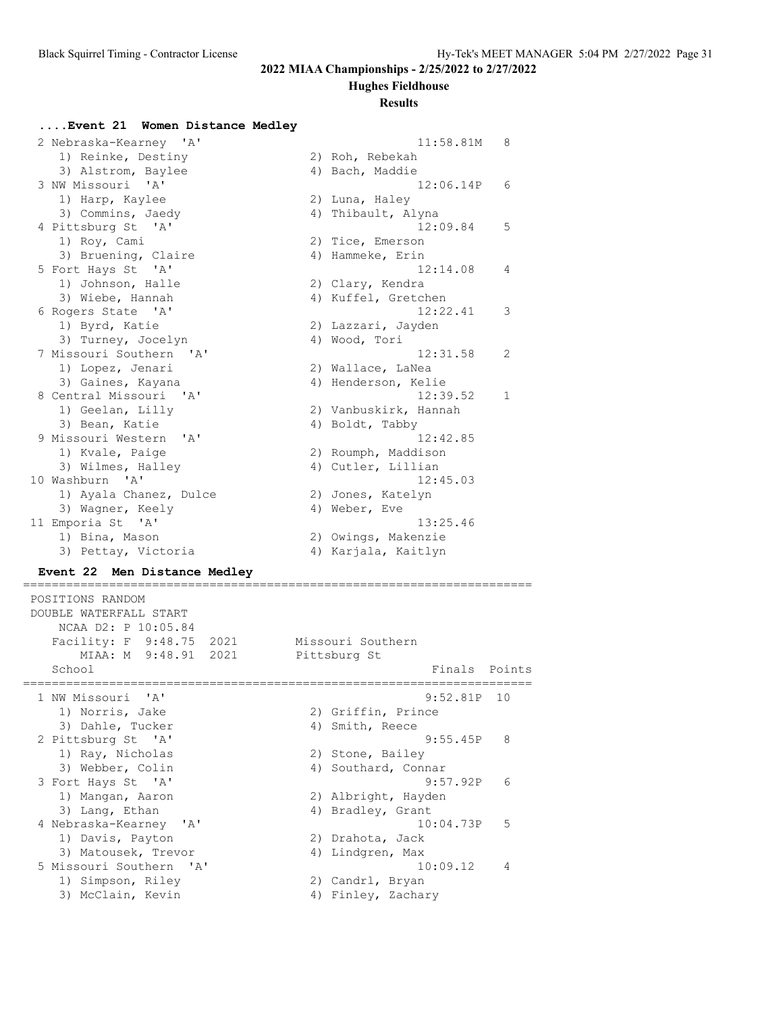#### **Hughes Fieldhouse**

#### **Results**

#### **....Event 21 Women Distance Medley**

| 2 Nebraska-Kearney 'A'  | 11:58.81M             | 8   |
|-------------------------|-----------------------|-----|
| 1) Reinke, Destiny      | 2) Roh, Rebekah       |     |
| 3) Alstrom, Baylee      | 4) Bach, Maddie       |     |
| 3 NW Missouri 'A'       | 12:06.14P             | - 6 |
| 1) Harp, Kaylee         | 2) Luna, Haley        |     |
| 3) Commins, Jaedy       | 4) Thibault, Alyna    |     |
| 4 Pittsburg St 'A'      | 12:09.84              | 5   |
| 1) Roy, Cami            | 2) Tice, Emerson      |     |
| 3) Bruening, Claire     | 4) Hammeke, Erin      |     |
| 5 Fort Hays St 'A'      | 12:14.08              | 4   |
| 1) Johnson, Halle       | 2) Clary, Kendra      |     |
| 3) Wiebe, Hannah        | 4) Kuffel, Gretchen   |     |
| 6 Rogers State 'A'      | 12:22.41              | 3   |
| 1) Byrd, Katie          | 2) Lazzari, Jayden    |     |
| 3) Turney, Jocelyn      | 4) Wood, Tori         |     |
| 7 Missouri Southern 'A' | 12:31.58              | 2   |
| 1) Lopez, Jenari        | 2) Wallace, LaNea     |     |
| 3) Gaines, Kayana       | 4) Henderson, Kelie   |     |
| 8 Central Missouri 'A'  | 12:39.52              | 1   |
| 1) Geelan, Lilly        | 2) Vanbuskirk, Hannah |     |
| 3) Bean, Katie          | 4) Boldt, Tabby       |     |
| 9 Missouri Western 'A'  | 12:42.85              |     |
| 1) Kvale, Paige         | 2) Roumph, Maddison   |     |
| 3) Wilmes, Halley       | 4) Cutler, Lillian    |     |
| 10 Washburn 'A'         | 12:45.03              |     |
| 1) Ayala Chanez, Dulce  | 2) Jones, Katelyn     |     |
| 3) Wagner, Keely        | 4) Weber, Eve         |     |
| 11 Emporia St 'A'       | 13:25.46              |     |
| 1) Bina, Mason          | 2) Owings, Makenzie   |     |
| 3) Pettay, Victoria     | 4) Karjala, Kaitlyn   |     |

### **Event 22 Men Distance Medley**

```
=======================================================================
 POSITIONS RANDOM
 DOUBLE WATERFALL START
   NCAA D2: P 10:05.84
Facility: F 9:48.75 2021 Missouri Southern
 MIAA: M 9:48.91 2021 Pittsburg St
  School Finals Points
=======================================================================
 1 NW Missouri 'A' 9:52.81P 10
 1) Norris, Jake 2) Griffin, Prince
3) Dahle, Tucker (4) Smith, Reece
 2 Pittsburg St 'A' 9:55.45P 8
1) Ray, Nicholas 2) Stone, Bailey
3) Webber, Colin 19, 2008, 401 Southard, Connar
 3 Fort Hays St 'A' 9:57.92P 6
 1) Mangan, Aaron 2) Albright, Hayden
3) Lang, Ethan 1988 (4) Bradley, Grant
 4 Nebraska-Kearney 'A' 10:04.73P 5
1) Davis, Payton 2) Drahota, Jack
3) Matousek, Trevor (4) Andgren, Max
 5 Missouri Southern 'A' 10:09.12 4
1) Simpson, Riley 2) Candrl, Bryan
3) McClain, Kevin (4) Finley, Zachary
```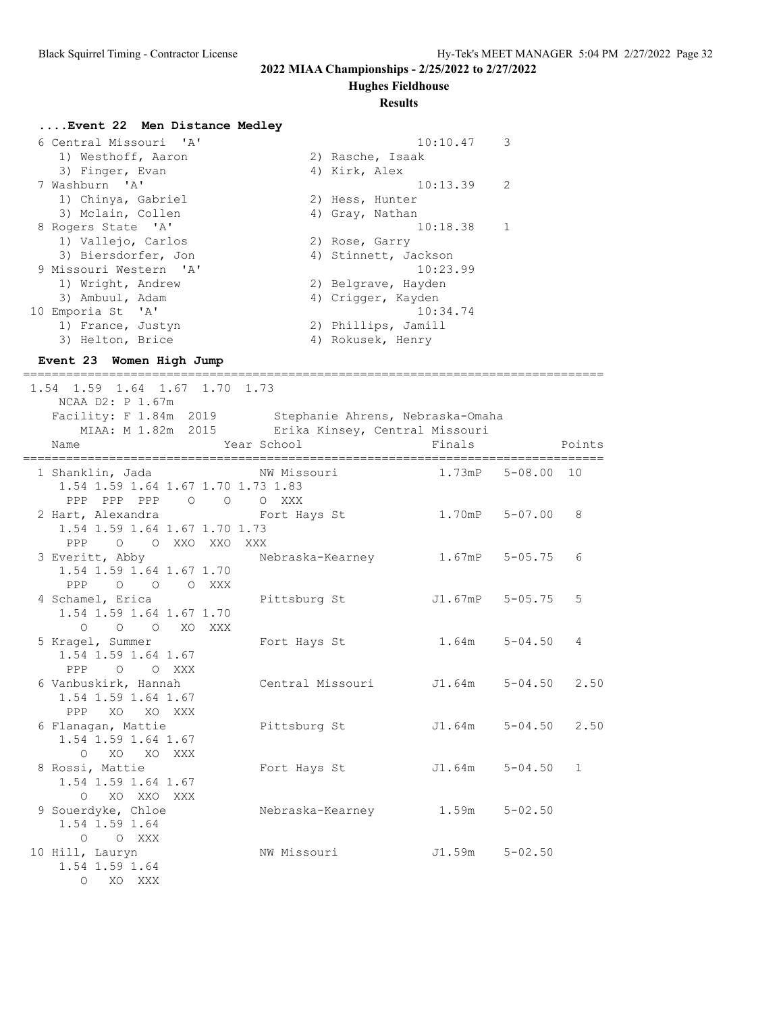**Hughes Fieldhouse**

#### **Results**

#### **....Event 22 Men Distance Medley**

| 6 Central Missouri 'A' | 10:10.47             | 3            |
|------------------------|----------------------|--------------|
| 1) Westhoff, Aaron     | 2) Rasche, Isaak     |              |
| 3) Finger, Evan        | 4) Kirk, Alex        |              |
| 7 Washburn 'A'         | 10:13.39             | 2            |
| 1) Chinya, Gabriel     | 2) Hess, Hunter      |              |
| 3) Mclain, Collen      | 4) Gray, Nathan      |              |
| 8 Rogers State 'A'     | 10:18.38             | $\mathbf{1}$ |
| 1) Vallejo, Carlos     | 2) Rose, Garry       |              |
| 3) Biersdorfer, Jon    | 4) Stinnett, Jackson |              |
| 9 Missouri Western 'A' | 10:23.99             |              |
| 1) Wright, Andrew      | 2) Belgrave, Hayden  |              |
| 3) Ambuul, Adam        | 4) Crigger, Kayden   |              |
| 10 Emporia St 'A'      | 10:34.74             |              |
| 1) France, Justyn      | 2) Phillips, Jamill  |              |
| 3) Helton, Brice       | 4) Rokusek, Henry    |              |

#### **Event 23 Women High Jump**

 1.54 1.59 1.64 1.67 1.70 1.73 NCAA D2: P 1.67m Facility: F 1.84m 2019 Stephanie Ahrens, Nebraska-Omaha MIAA: M 1.82m 2015 Erika Kinsey, Central Missouri Name The Year School The Finals Points ================================================================================= 1 Shanklin, Jada NW Missouri 1.73mP 5-08.00 10 1.54 1.59 1.64 1.67 1.70 1.73 1.83 PPP PPP PPP O O O XXX 2 Hart, Alexandra Fort Hays St 1.70mP 5-07.00 8 1.54 1.59 1.64 1.67 1.70 1.73 PPP O O XXO XXO XXX 3 Everitt, Abby Nebraska-Kearney 1.67mP 5-05.75 6 1.54 1.59 1.64 1.67 1.70 PPP O O O XXX<br>4 Schamel, Erica Pittsburg St  $J1.67$ mP 5-05.75 5 1.54 1.59 1.64 1.67 1.70 O O O XO XXX<br>5 Kragel, Summer Fort Hays St 1.64m 5-04.50 4 1.54 1.59 1.64 1.67 PPP O O XXX<br>6 Vanbuskirk, Hannah Central Missouri J1.64m 5-04.50 2.50 1.54 1.59 1.64 1.67 PPP XO XO XXX 6 Flanagan, Mattie Pittsburg St J1.64m 5-04.50 2.50 1.54 1.59 1.64 1.67 O XO XO XXX 8 Rossi, Mattie Fort Hays St J1.64m 5-04.50 1 1.54 1.59 1.64 1.67 O XO XXO XXX 9 Souerdyke, Chloe Mebraska-Kearney 1.59m 5-02.50 1.54 1.59 1.64 O O XXX 10 Hill, Lauryn NW Missouri J1.59m 5-02.50 1.54 1.59 1.64 O XO XXX

=================================================================================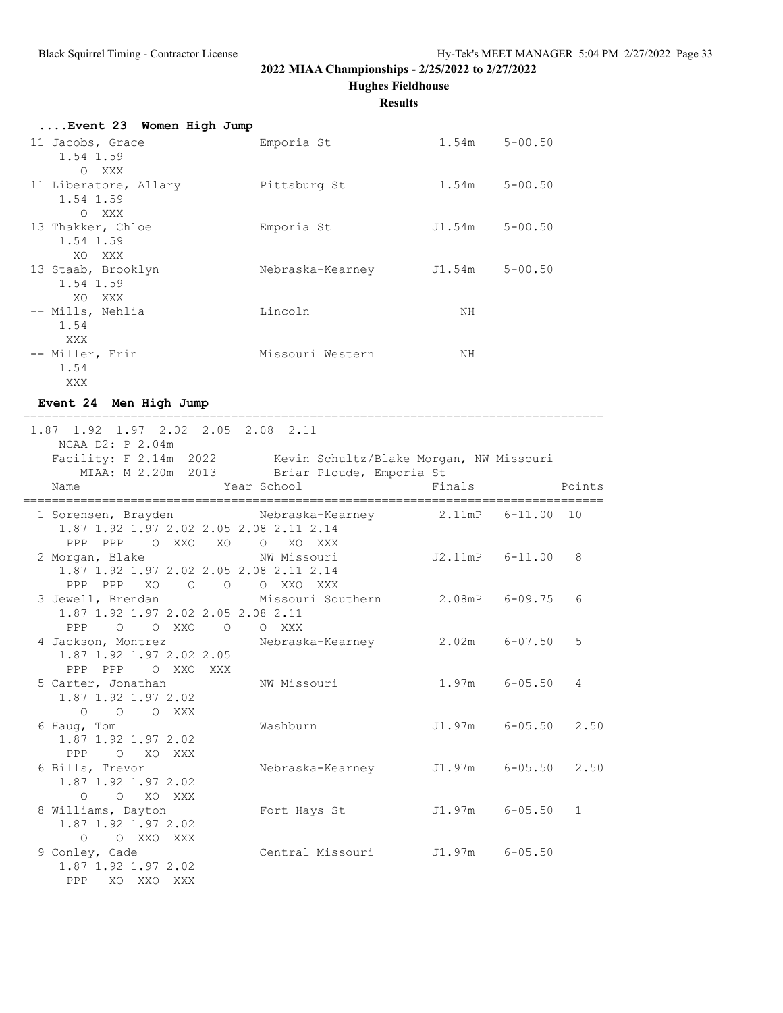**Hughes Fieldhouse**

**Results**

| Event 23 Women High Jump |                  |        |             |
|--------------------------|------------------|--------|-------------|
| 11 Jacobs, Grace         | Emporia St       | 1.54m  | $5 - 00.50$ |
| 1.54 1.59                |                  |        |             |
| O XXX                    |                  |        |             |
| 11 Liberatore, Allary    | Pittsburg St     | 1.54m  | $5 - 00.50$ |
| 1.54 1.59                |                  |        |             |
| O XXX                    |                  |        |             |
| 13 Thakker, Chloe        | Emporia St       | J1.54m | $5 - 00.50$ |
| 1.54 1.59                |                  |        |             |
| XO XXX                   |                  |        |             |
| 13 Staab, Brooklyn       | Nebraska-Kearney | J1.54m | $5 - 00.50$ |
| 1.54 1.59                |                  |        |             |
| XO XXX                   |                  |        |             |
| -- Mills, Nehlia         | Lincoln          | NΗ     |             |
| 1.54                     |                  |        |             |
| XXX                      |                  |        |             |
| -- Miller, Erin          | Missouri Western | NΗ     |             |
| 1.54                     |                  |        |             |
| XXX                      |                  |        |             |

## **Event 24 Men High Jump**

=================================================================================

| 1.87 1.92 1.97 2.02 2.05 2.08 2.11                                                                 |                                                                |                     |              |
|----------------------------------------------------------------------------------------------------|----------------------------------------------------------------|---------------------|--------------|
| NCAA D2: P 2.04m                                                                                   | Facility: F 2.14m 2022 Kevin Schultz/Blake Morgan, NW Missouri |                     |              |
|                                                                                                    | MIAA: M 2.20m 2013 Briar Ploude, Emporia St                    |                     |              |
| Name                                                                                               | Year School                                                    | Finals              | Points       |
| 1.87 1.92 1.97 2.02 2.05 2.08 2.11 2.14<br>PPP PPP OXXO XO OXO XXX                                 | 1 Sorensen, Brayden Mebraska-Kearney 2.11mP 6-11.00 10         |                     |              |
| 2 Morgan, Blake NW Missouri<br>1.87 1.92 1.97 2.02 2.05 2.08 2.11 2.14<br>PPP PPP XO O O O XXO XXX |                                                                | J2.11mP 6-11.00 8   |              |
| 1.87 1.92 1.97 2.02 2.05 2.08 2.11<br>PPP 0 0 XXO 0 0 XXX                                          | 3 Jewell, Brendan Missouri Southern 2.08mP 6-09.75             |                     | 6            |
| 1.87 1.92 1.97 2.02 2.05<br>PPP PPP O XXO XXX                                                      | 4 Jackson, Montrez Mebraska-Kearney 2.02m 6-07.50              |                     | 5            |
| 5 Carter, Jonathan MW Missouri<br>1.87 1.92 1.97 2.02<br>O O O XXX                                 |                                                                | $1.97m$ 6-05.50 4   |              |
| 6 Haug, Tom<br>1.87 1.92 1.97 2.02<br>PPP O XO XXX                                                 | Washburn                                                       | J1.97m 6-05.50 2.50 |              |
| 6 Bills, Trevor<br>1.87 1.92 1.97 2.02<br>O O XO XXX                                               | Nebraska-Kearney J1.97m 6-05.50 2.50                           |                     |              |
| 8 Williams, Dayton<br>1.87 1.92 1.97 2.02<br>O O XXO XXX                                           | Fort Hays St 51.97m 6-05.50                                    |                     | $\mathbf{1}$ |
| 9 Conley, Cade<br>1.87 1.92 1.97 2.02<br>PPP XO XXO XXX                                            | Central Missouri J1.97m 6-05.50                                |                     |              |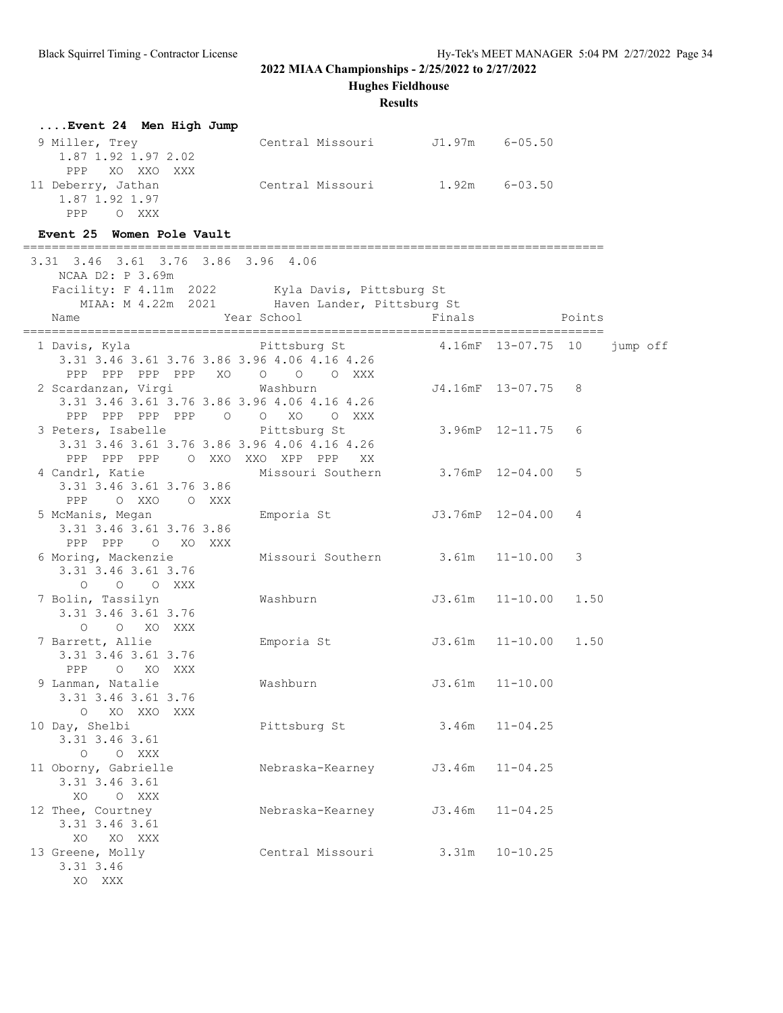**Hughes Fieldhouse**

| Event 24 Men High Jump                                                                                                              |                                                              |                            |                     |        |          |  |
|-------------------------------------------------------------------------------------------------------------------------------------|--------------------------------------------------------------|----------------------------|---------------------|--------|----------|--|
| 9 Miller, Trey<br>1.87 1.92 1.97 2.02                                                                                               | Central Missouri J1.97m 6-05.50                              |                            |                     |        |          |  |
| PPP XO XXO XXX<br>11 Deberry, Jathan<br>1.87 1.92 1.97<br>PPP OXXX                                                                  | Central Missouri 1.92m 6-03.50                               |                            |                     |        |          |  |
| Event 25 Women Pole Vault                                                                                                           |                                                              |                            |                     |        |          |  |
| 3.31 3.46 3.61 3.76 3.86 3.96 4.06<br>NCAA D2: P 3.69m                                                                              |                                                              |                            |                     |        |          |  |
| Facility: F 4.11m 2022 Kyla Davis, Pittsburg St                                                                                     |                                                              |                            |                     |        |          |  |
| Name                                                                                                                                | MIAA: M 4.22m 2021 Haven Lander, Pittsburg St<br>Year School | Finals                     |                     | Points |          |  |
|                                                                                                                                     |                                                              |                            |                     |        |          |  |
| 1 Davis, Kyla           Pittsburg St       4.16mF 13-07.75 10<br>3.31 3.46 3.61 3.76 3.86 3.96 4.06 4.16 4.26<br>PPP PPP PPP PPP XO | $\begin{matrix} 0 & 0 & 0 & \text{XXX} \end{matrix}$         |                            |                     |        | jump off |  |
| 2 Scardanzan, Virgi<br>3.31 3.46 3.61 3.76 3.86 3.96 4.06 4.16 4.26                                                                 | Washburn                                                     |                            | J4.16mF 13-07.75 8  |        |          |  |
| PPP PPP PPP PPP 0 0 XO 0 XXX<br>3 Peters, Isabelle<br>3.31 3.46 3.61 3.76 3.86 3.96 4.06 4.16 4.26                                  | Pittsburg St                                                 |                            | 3.96mP 12-11.75 6   |        |          |  |
| PPP PPP PPP O XXO XXO XPP PPP<br>4 Candrl, Katie Missouri Southern 3.76mP 12-04.00<br>3.31 3.46 3.61 3.76 3.86                      | XX                                                           |                            |                     | 5      |          |  |
| PPP OXXO OXXX<br>5 McManis, Megan<br>3.31 3.46 3.61 3.76 3.86<br>PPP PPP 0 XO XXX                                                   | Emporia St                                                   | J3.76mP 12-04.00 4         |                     |        |          |  |
| 6 Moring, Mackenzie<br>3.31 3.46 3.61 3.76<br>O O O XXX                                                                             | Missouri Southern 3.61m 11-10.00                             |                            |                     | 3      |          |  |
| 7 Bolin, Tassilyn<br>3.31 3.46 3.61 3.76<br>O O XO XXX                                                                              | Washburn                                                     | $J3.61m$ $11-10.00$ $1.50$ |                     |        |          |  |
| 7 Barrett, Allie<br>3.31 3.46 3.61 3.76<br>PPP O XO XXX                                                                             | Emporia St 53.61m 11-10.00 1.50                              |                            |                     |        |          |  |
| 9 Lanman, Natalie<br>3.31 3.46 3.61 3.76<br>$\circ$<br>XO XXO XXX                                                                   | Washburn                                                     |                            | $J3.61m$ $11-10.00$ |        |          |  |
| 10 Day, Shelbi<br>3.31 3.46 3.61<br>O O XXX                                                                                         | Pittsburg St                                                 | 3.46m                      | $11 - 04.25$        |        |          |  |
| 11 Oborny, Gabrielle<br>3.31 3.46 3.61<br>XO O XXX                                                                                  | Nebraska-Kearney                                             | J3.46m                     | $11 - 04.25$        |        |          |  |
| 12 Thee, Courtney<br>3.31 3.46 3.61<br>XO XO XXX                                                                                    | Nebraska-Kearney                                             | J3.46m                     | $11 - 04.25$        |        |          |  |
| 13 Greene, Molly<br>3.31 3.46<br>XO XXX                                                                                             | Central Missouri                                             |                            | $3.31m$ $10-10.25$  |        |          |  |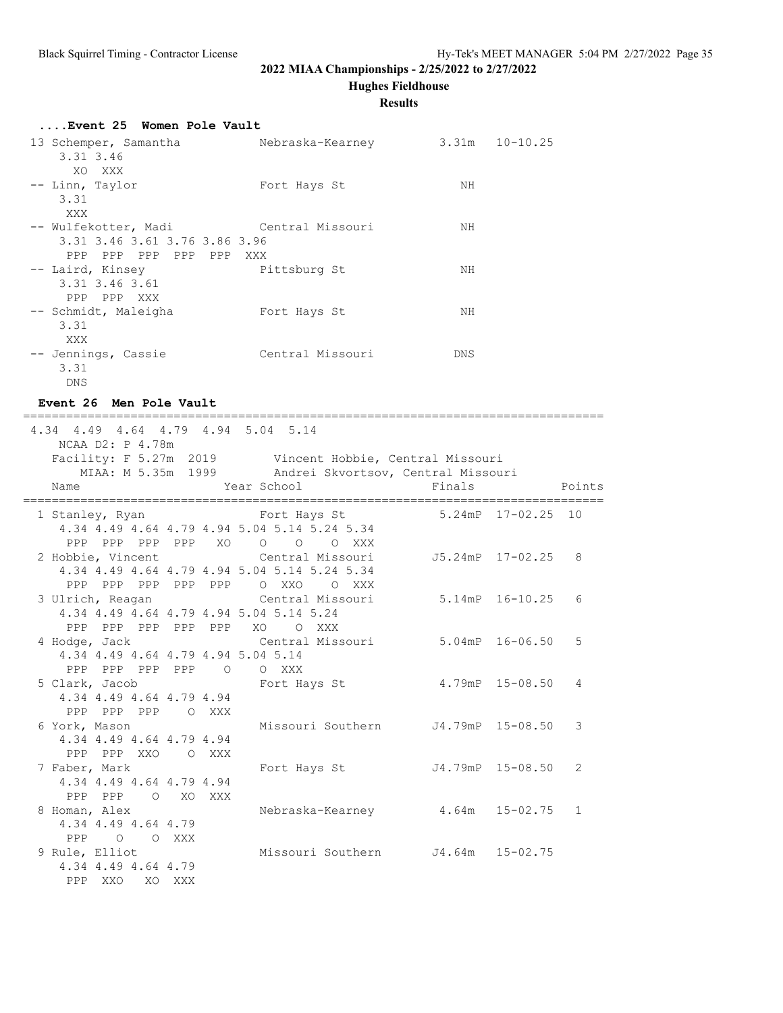**Hughes Fieldhouse**

#### **Results**

| Event 25 Women Pole Vault                   |                                 |     |  |
|---------------------------------------------|---------------------------------|-----|--|
| 13 Schemper, Samantha<br>3.31 3.46          | Nebraska-Kearney 3.31m 10-10.25 |     |  |
| XO XXX                                      |                                 |     |  |
| -- Linn, Taylor<br>3.31                     | Fort Hays St                    | NH  |  |
| XXX                                         |                                 |     |  |
| -- Wulfekotter, Madi       Central Missouri |                                 | NΗ  |  |
| 3.31 3.46 3.61 3.76 3.86 3.96               |                                 |     |  |
| PPP PPP PPP PPP PPP XXX                     |                                 |     |  |
| -- Laird, Kinsey                            | Pittsburg St                    | NH  |  |
| 3.31 3.46 3.61                              |                                 |     |  |
| PPP PPP XXX                                 |                                 |     |  |
| -- Schmidt, Maleigha                        | Fort Hays St                    | NH  |  |
| 3.31                                        |                                 |     |  |
| XXX                                         |                                 |     |  |
| -- Jennings, Cassie                         | Central Missouri                | DNS |  |
| 3.31                                        |                                 |     |  |
| DNS                                         |                                 |     |  |
|                                             |                                 |     |  |

### **Event 26 Men Pole Vault**

 4.34 4.49 4.64 4.79 4.94 5.04 5.14 NCAA D2: P 4.78m Facility: F 5.27m 2019 Vincent Hobbie, Central Missouri MIAA: M 5.35m 1999 Andrei Skvortsov, Central Missouri Name Year School Finals Points ================================================================================= 1 Stanley, Ryan Fort Hays St 5.24mP 17-02.25 10 4.34 4.49 4.64 4.79 4.94 5.04 5.14 5.24 5.34 PPP PPP PPP PPP XO O O O XXX 2 Hobbie, Vincent Central Missouri J5.24mP 17-02.25 8 4.34 4.49 4.64 4.79 4.94 5.04 5.14 5.24 5.34 PPP PPP PPP PPP PPP O XXO O XXX 3 Ulrich, Reagan Central Missouri 5.14mP 16-10.25 6 4.34 4.49 4.64 4.79 4.94 5.04 5.14 5.24 PPP PPP PPP PPP PPP XO O XXX 4 Hodge, Jack Central Missouri 5.04mP 16-06.50 5 4.34 4.49 4.64 4.79 4.94 5.04 5.14 PPP PPP PPP PPP O O XXX 5 Clark, Jacob Fort Hays St 4.79mP 15-08.50 4 4.34 4.49 4.64 4.79 4.94 PPP PPP PPP O XXX 6 York, Mason Missouri Southern J4.79mP 15-08.50 3 4.34 4.49 4.64 4.79 4.94 PPP PPP XXO O XXX 7 Faber, Mark Fort Hays St J4.79mP 15-08.50 2 4.34 4.49 4.64 4.79 4.94 PPP PPP O XO XXX 8 Homan, Alex Nebraska-Kearney 4.64m 15-02.75 1 4.34 4.49 4.64 4.79 PPP O O XXX 9 Rule, Elliot Missouri Southern J4.64m 15-02.75 4.34 4.49 4.64 4.79 PPP XXO XO XXX

=================================================================================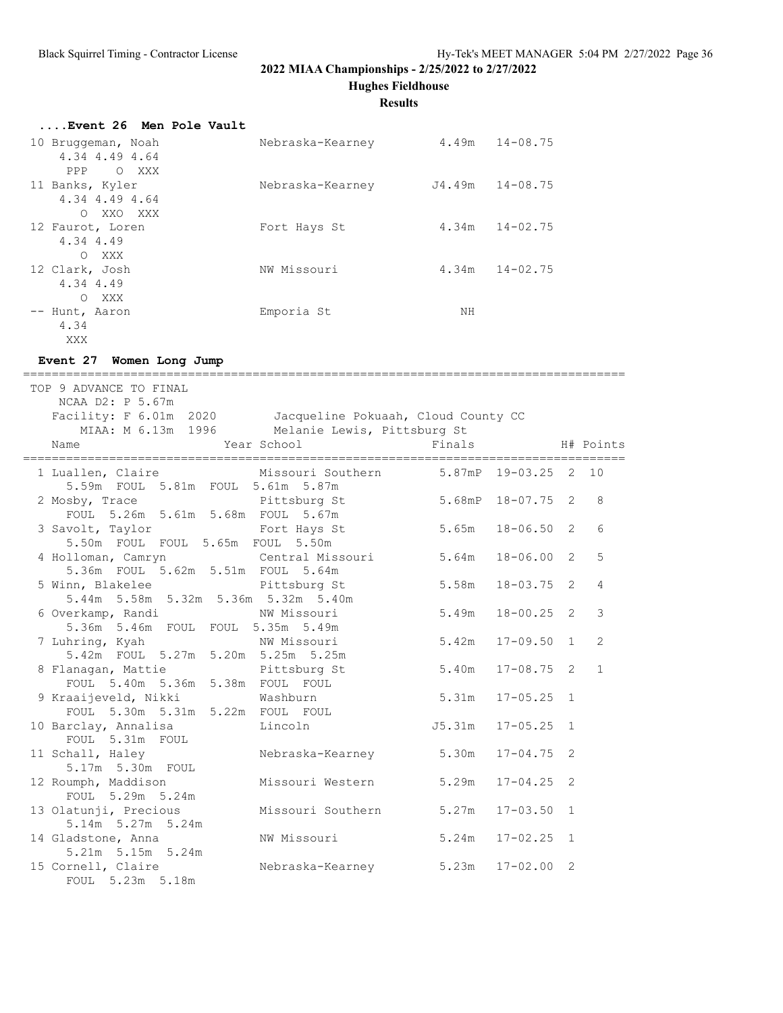**Hughes Fieldhouse**

#### **Results**

| Event 26 Men Pole Vault        |                  |    |                     |
|--------------------------------|------------------|----|---------------------|
| 10 Bruggeman, Noah             | Nebraska-Kearney |    | $4.49m$ $14-08.75$  |
| 4.34 4.49 4.64<br>PPP<br>O XXX |                  |    |                     |
| 11 Banks, Kyler                | Nebraska-Kearney |    | $J4.49m$ $14-08.75$ |
| 4.34 4.49 4.64                 |                  |    |                     |
| XXO XXX<br>$\circ$             |                  |    |                     |
| 12 Faurot, Loren               | Fort Hays St     |    | $4.34m$ $14-02.75$  |
| 4.34 4.49                      |                  |    |                     |
| XXX<br>$\bigcirc$              |                  |    |                     |
| 12 Clark, Josh                 | NW Missouri      |    | $4.34m$ $14-02.75$  |
| 4.34 4.49                      |                  |    |                     |
| $\Omega$<br>XXX                |                  |    |                     |
| -- Hunt, Aaron                 | Emporia St       | ΝH |                     |
| 4.34                           |                  |    |                     |

#### **Event 27 Women Long Jump**

XXX

==================================================================================== TOP 9 ADVANCE TO FINAL NCAA D2: P 5.67m Facility: F 6.01m 2020 Jacqueline Pokuaah, Cloud County CC MIAA: M 6.13m 1996 Melanie Lewis, Pittsburg St Name 1988 Manne 1988 Mear School 1988 Finals H# Points ==================================================================================== 1 Luallen, Claire Missouri Southern 5.87mP 19-03.25 2 10 5.59m FOUL 5.81m FOUL 5.61m 5.87m 2 Mosby, Trace Pittsburg St 5.68mP 18-07.75 2 8 FOUL 5.26m 5.61m 5.68m FOUL 5.67m 3 Savolt, Taylor<br>
Fort Hays St 5.65m 18-06.50 2 6 5.50m FOUL FOUL 5.65m FOUL 5.50m 4 Holloman, Camryn Central Missouri 5.64m 18-06.00 2 5 5.36m FOUL 5.62m 5.51m FOUL 5.64m 5 Winn, Blakelee Pittsburg St 5.58m 18-03.75 2 4 5.44m 5.58m 5.32m 5.36m 5.32m 5.40m 6 Overkamp, Randi NW Missouri 5.49m 18-00.25 2 3 5.36m 5.46m FOUL FOUL 5.35m 5.49m<br>7 Luhring, Kyah NW Missouri 7 Luhring, Kyah NW Missouri 5.42m 17-09.50 1 2 5.42m FOUL 5.27m 5.20m 5.25m 5.25m 8 Flanagan, Mattie Pittsburg St 5.40m 17-08.75 2 1 FOUL 5.40m 5.36m 5.38m FOUL FOUL 9 Kraaijeveld, Nikki Washburn 5.31m 17-05.25 1 FOUL 5.30m 5.31m 5.22m FOUL FOUL 10 Barclay, Annalisa Lincoln J5.31m 17-05.25 1 FOUL 5.31m FOUL 11 Schall, Haley Nebraska-Kearney 5.30m 17-04.75 2 5.17m 5.30m FOUL 12 Roumph, Maddison Missouri Western 5.29m 17-04.25 2 FOUL 5.29m 5.24m 13 Olatunji, Precious Missouri Southern 5.27m 17-03.50 1 5.14m 5.27m 5.24m 14 Gladstone, Anna NW Missouri 5.24m 17-02.25 1 5.21m 5.15m 5.24m<br>15 Cornell, Claire Nebraska-Kearney 5.23m 17-02.00 2 FOUL 5.23m 5.18m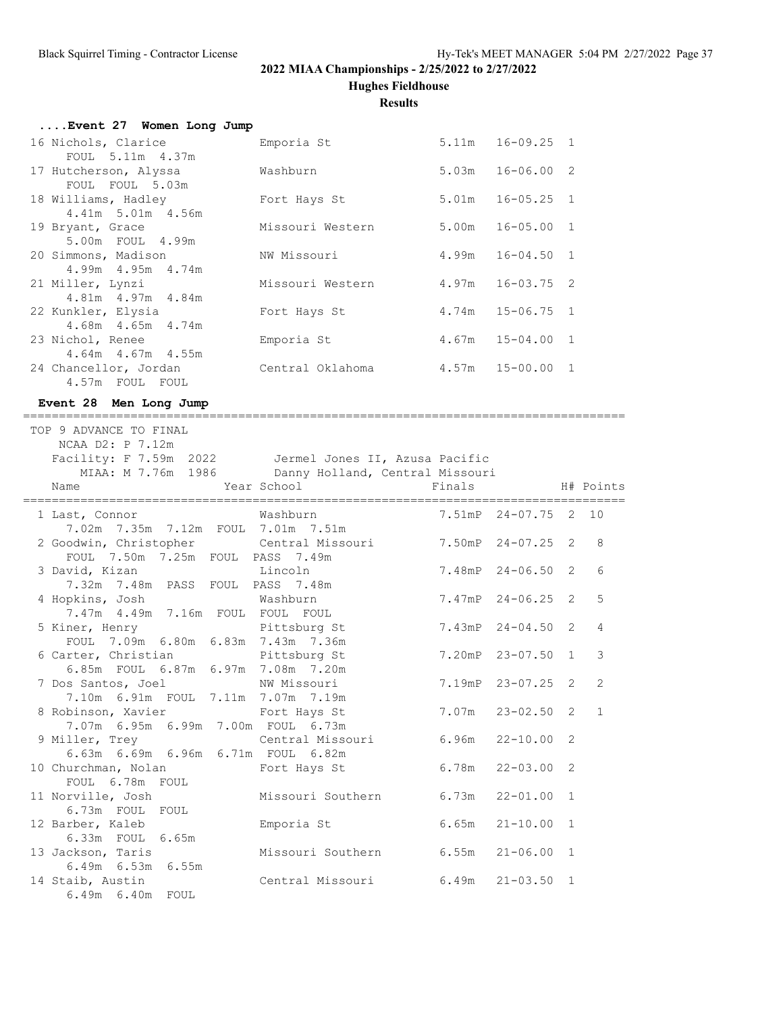**Hughes Fieldhouse**

#### **Results**

| Event 27 Women Long Jump |                  |                      |  |
|--------------------------|------------------|----------------------|--|
| 16 Nichols, Clarice      | Emporia St       | $5.11m$ $16-09.25$ 1 |  |
| FOUL 5.11m 4.37m         |                  |                      |  |
| 17 Hutcherson, Alyssa    | Washburn         | $5.03m$ $16-06.00$ 2 |  |
| FOUL FOUL 5.03m          |                  |                      |  |
| 18 Williams, Hadley      | Fort Hays St     | $5.01m$ $16-05.25$ 1 |  |
| 4.41m 5.01m 4.56m        |                  |                      |  |
| 19 Bryant, Grace         | Missouri Western | $5.00m$ $16-05.00$ 1 |  |
| 5.00m FOUL 4.99m         |                  |                      |  |
| 20 Simmons, Madison      | NW Missouri      | $4.99m$ $16-04.50$ 1 |  |
| $4.99m$ $4.95m$ $4.74m$  |                  |                      |  |
| 21 Miller, Lynzi         | Missouri Western | 4.97m 16-03.75 2     |  |
| 4.81m  4.97m  4.84m      |                  |                      |  |
| 22 Kunkler, Elysia       | Fort Hays St     | $4.74m$ $15-06.75$ 1 |  |
| $4.68m$ $4.65m$ $4.74m$  |                  |                      |  |
| 23 Nichol, Renee         | Emporia St       | $4.67m$ $15-04.00$ 1 |  |
|                          |                  |                      |  |
| $4.64m$ $4.67m$ $4.55m$  |                  |                      |  |
| 24 Chancellor, Jordan    | Central Oklahoma | $4.57m$ $15-00.00$ 1 |  |
| 4.57m FOUL FOUL          |                  |                      |  |

### **Event 28 Men Long Jump** ====================================================================================

 TOP 9 ADVANCE TO FINAL NCAA D2: P 7.12m Facility: F 7.59m 2022 Jermel Jones II, Azusa Pacific MIAA: M 7.76m 1986 Danny Holland, Central Missouri Name Tear School Finals H# Points ==================================================================================== 1 Last, Connor Washburn 7.51mP 24-07.75 2 10 7.02m 7.35m 7.12m FOUL 7.01m 7.51m 2 Goodwin, Christopher Central Missouri 7.50mP 24-07.25 2 8<br>Coodwin, Christopher Central Missouri 7.50mP 24-07.25 2 8 FOUL 7.50m 7.25m FOUL PASS 7.49m 3 David, Kizan Lincoln 7.48mP 24-06.50 2 6 7.32m 7.48m PASS FOUL PASS 7.48m 4 Hopkins, Josh Washburn 7.47mP 24-06.25 2 5 7.47m 4.49m 7.16m FOUL FOUL FOUL FOUL 7.09m 6.80m 6.83m 7.43m 7.36m

| 7.47m  4.49m  7.16m  FOUL  FOUL  FOUL                |            |                       |  |
|------------------------------------------------------|------------|-----------------------|--|
| 5 Kiner, Henry The Pittsburg St                      |            | 7.43mP 24-04.50 2 4   |  |
| FOUL 7.09m 6.80m 6.83m 7.43m 7.36m                   |            |                       |  |
| 6 Carter, Christian Pittsburg St                     |            | 7.20mP 23-07.50 1 3   |  |
| 6.85m FOUL 6.87m 6.97m 7.08m 7.20m                   |            |                       |  |
| 7 Dos Santos, Joel NW Missouri                       |            | 7.19mP 23-07.25 2 2   |  |
| 7.10m 6.91m FOUL 7.11m 7.07m 7.19m                   |            |                       |  |
| 8 Robinson, Xavier Fort Hays St                      |            | 7.07m  23-02.50  2  1 |  |
| 7.07m 6.95m 6.99m 7.00m FOUL 6.73m                   |            |                       |  |
| 9 Miller, Trey Central Missouri 6.96m 22-10.00 2     |            |                       |  |
| 6.63m 6.69m 6.96m 6.71m FOUL 6.82m                   |            |                       |  |
| 10 Churchman, Nolan Tort Hays St                     |            | $6.78m$ $22-03.00$ 2  |  |
| FOUL 6.78m FOUL                                      |            |                       |  |
| 11 Norville, Josh Missouri Southern 6.73m 22-01.00 1 |            |                       |  |
| 6.73m FOUL FOUL                                      |            |                       |  |
| 12 Barber, Kaleb                                     | Emporia St | $6.65m$ $21-10.00$ 1  |  |
| 6.33m FOUL 6.65m                                     |            |                       |  |
| 13 Jackson, Taris 6.55m 21-06.00 1                   |            |                       |  |
| 6.49m 6.53m 6.55m                                    |            |                       |  |
| 14 Staib, Austin Central Missouri 6.49m 21-03.50 1   |            |                       |  |

6.49m 6.40m FOUL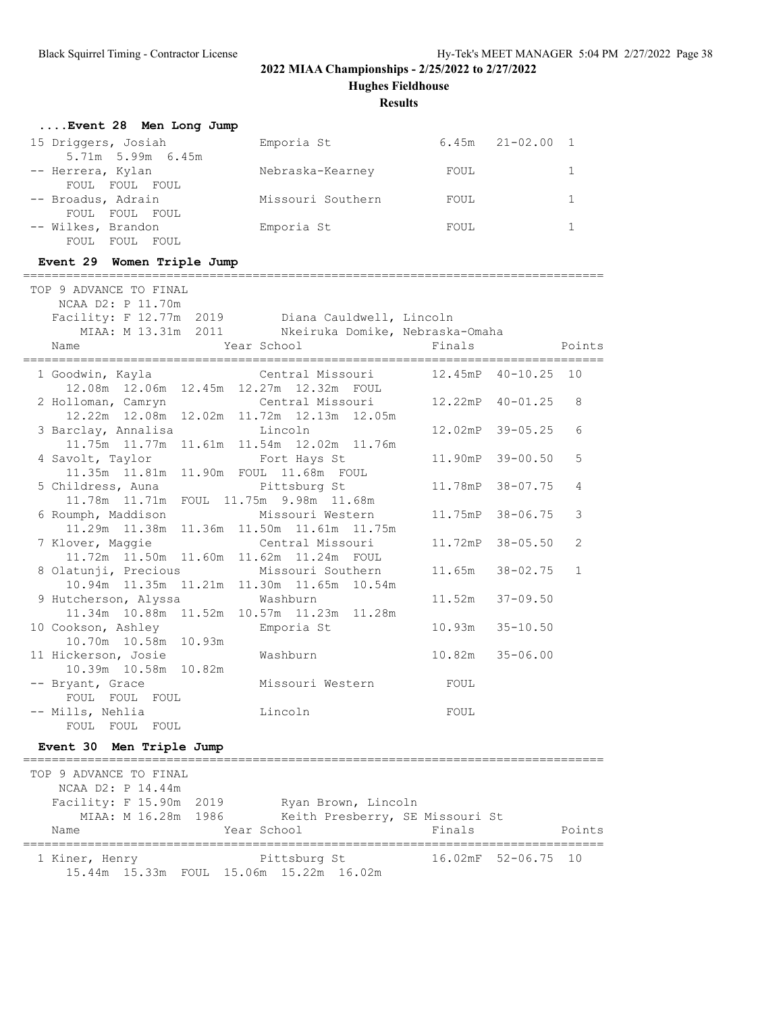**Hughes Fieldhouse**

### **Results**

| Event 28 Men Long Jump                                                                                                 |                                                        |         |                     |              |
|------------------------------------------------------------------------------------------------------------------------|--------------------------------------------------------|---------|---------------------|--------------|
| 15 Driggers, Josiah<br>5.71m 5.99m 6.45m                                                                               | Emporia St 6.45m 21-02.00 1                            |         |                     |              |
| -- Herrera, Kylan<br>FOUL FOUL FOUL                                                                                    | Nebraska-Kearney                                       | FOUL    |                     | $\mathbf{1}$ |
| -- Broadus, Adrain<br>FOUL FOUL FOUL                                                                                   | Missouri Southern                                      | FOUL    |                     | $\mathbf{1}$ |
| -- Wilkes, Brandon<br>FOUL FOUL FOUL                                                                                   | Emporia St                                             | FOUL    |                     | $\mathbf{1}$ |
| Event 29 Women Triple Jump                                                                                             |                                                        |         |                     |              |
| TOP 9 ADVANCE TO FINAL                                                                                                 |                                                        |         |                     |              |
| NCAA D2: P 11.70m                                                                                                      |                                                        |         |                     |              |
| Facility: F 12.77m 2019   Diana Cauldwell, Lincoln<br>MIAA: M 13.31m 2011   Nkeiruka Domike, Nebraska-Omaha            |                                                        |         |                     |              |
|                                                                                                                        |                                                        |         |                     |              |
| Year School<br>Name                                                                                                    |                                                        | Finals  |                     | Points       |
| 1 Goodwin, Kayla                                                                                                       | Central Missouri                                       |         | 12.45mP 40-10.25 10 |              |
| 12.08m  12.06m  12.45m  12.27m  12.32m  FOUL<br>2 Holloman, Camryn                                                     | Central Missouri                                       |         | 12.22mP 40-01.25    | 8            |
| 12.22m  12.08m  12.02m  11.72m  12.13m  12.05m<br>3 Barclay, Annalisa                                                  | Lincoln                                                |         | 12.02mP 39-05.25    | 6            |
| 11.75m  11.77m  11.61m  11.54m  12.02m  11.76m<br>4 Savolt, Taylor                                                     | Fort Hays St                                           | 11.90mP | $39 - 00.50$        | 5            |
| 11.35m  11.81m  11.90m  FOUL  11.68m  FOUL<br>5 Childress, Auna                                                        | Pittsburg St                                           | 11.78mP | $38 - 07.75$        | 4            |
| 11.78m  11.71m  FOUL  11.75m  9.98m  11.68m<br>6 Roumph, Maddison                                                      | Missouri Western                                       | 11.75mP | $38 - 06.75$        | 3            |
| 11.29m  11.38m  11.36m  11.50m  11.61m  11.75m<br>7 Klover, Maggie                                                     | Central Missouri                                       | 11.72mP | $38 - 05.50$        | 2            |
| 11.72m  11.50m  11.60m  11.62m  11.24m  FOUL<br>8 Olatunji, Precious<br>10.94m  11.35m  11.21m  11.30m  11.65m  10.54m | Missouri Southern                                      | 11.65m  | $38 - 02.75$        | $\mathbf{1}$ |
| 9 Hutcherson, Alyssa<br>11.34m 10.88m 11.52m 10.57m 11.23m 11.28m                                                      | Washburn                                               | 11.52m  | $37 - 09.50$        |              |
| 10 Cookson, Ashley<br>10.70m 10.58m 10.93m                                                                             | Emporia St                                             | 10.93m  | $35 - 10.50$        |              |
| 11 Hickerson, Josie<br>10.39m 10.58m 10.82m                                                                            | Washburn                                               | 10.82m  | $35 - 06.00$        |              |
| -- Bryant, Grace<br>FOUL<br>FOUL<br>FOUL                                                                               | Missouri Western                                       | FOUL    |                     |              |
| -- Mills, Nehlia<br>FOUL FOUL<br>FOUL                                                                                  | Lincoln                                                | FOUL    |                     |              |
| Event 30 Men Triple Jump                                                                                               |                                                        |         |                     |              |
| ---------------<br>TOP 9 ADVANCE TO FINAL<br>NCAA D2: P 14.44m                                                         | =====================================                  |         |                     |              |
| Facility: F 15.90m 2019<br>MIAA: M 16.28m<br>1986                                                                      | Ryan Brown, Lincoln<br>Keith Presberry, SE Missouri St |         |                     |              |
| Name                                                                                                                   | Year School                                            | Finals  |                     | Points       |

 1 Kiner, Henry Pittsburg St 16.02mF 52-06.75 10 15.44m 15.33m FOUL 15.06m 15.22m 16.02m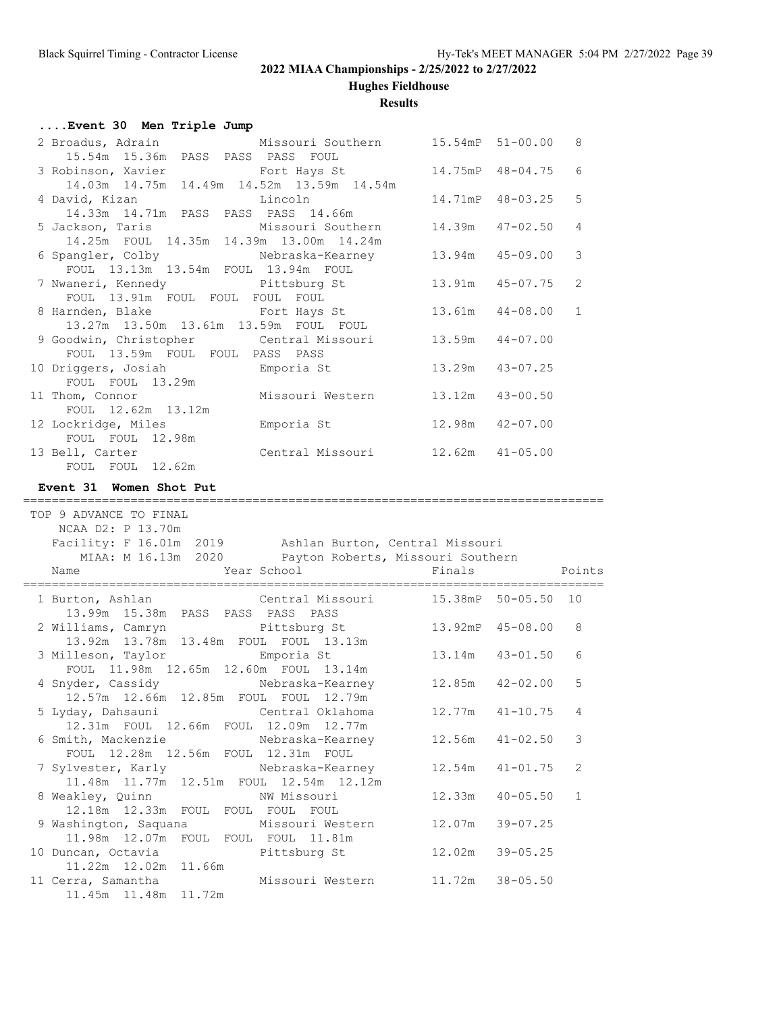**Hughes Fieldhouse**

## **Results**

## **....Event 30 Men Triple Jump**

| 2 Broadus, Adrain Missouri Southern 15.54mP 51-00.00 8 |                     |                     |  |
|--------------------------------------------------------|---------------------|---------------------|--|
| 15.54m 15.36m PASS PASS PASS FOUL                      |                     |                     |  |
| 3 Robinson, Xavier <b>Fort Hays</b> St                 |                     | 14.75mP 48-04.75 6  |  |
| 14.03m  14.75m  14.49m  14.52m  13.59m  14.54m         |                     |                     |  |
|                                                        |                     |                     |  |
|                                                        |                     | 14.71mP 48-03.25 5  |  |
| 14.33m  14.71m  PASS  PASS  PASS  14.66m               |                     |                     |  |
| 5 Jackson, Taris Missouri Southern                     |                     | 14.39m  47-02.50  4 |  |
| 14.25m FOUL 14.35m 14.39m 13.00m 14.24m                |                     |                     |  |
| 6 Spangler, Colby Mebraska-Kearney                     |                     | 13.94m 45-09.00 3   |  |
| FOUL 13.13m 13.54m FOUL 13.94m FOUL                    |                     |                     |  |
|                                                        |                     |                     |  |
| 7 Nwaneri, Kennedy Pittsburg St                        |                     | 13.91m  45-07.75  2 |  |
| FOUL 13.91m FOUL FOUL FOUL FOUL                        |                     |                     |  |
| 8 Harnden, Blake Fort Hays St                          |                     | 13.61m  44-08.00  1 |  |
| 13.27m 13.50m 13.61m 13.59m FOUL FOUL                  |                     |                     |  |
|                                                        |                     |                     |  |
| 9 Goodwin, Christopher Central Missouri                | $13.59m$ $44-07.00$ |                     |  |
| FOUL 13.59m FOUL FOUL PASS PASS                        |                     |                     |  |
| 10 Driggers, Josiah Kmporia St                         | 13.29m 43-07.25     |                     |  |
| FOUL FOUL 13.29m                                       |                     |                     |  |
|                                                        |                     |                     |  |
| 11 Thom, Connor Missouri Western                       | 13.12m 43-00.50     |                     |  |
| FOUL 12.62m 13.12m                                     |                     |                     |  |
| 12 Lockridge, Miles 6 Emporia St                       | 12.98m  42-07.00    |                     |  |
| FOUL FOUL 12.98m                                       |                     |                     |  |
|                                                        |                     |                     |  |
| 13 Bell, Carter Central Missouri 12.62m 41-05.00       |                     |                     |  |
| FOUL FOUL 12.62m                                       |                     |                     |  |

## **Event 31 Women Shot Put**

### =================================================================================

| TOP 9 ADVANCE TO FINAL<br>NCAA D2: P 13.70m<br>Facility: F 16.01m 2019 Ashlan Burton, Central Missouri<br>MIAA: M 16.13m 2020 Payton Roberts, Missouri Southern |                                     |              |
|-----------------------------------------------------------------------------------------------------------------------------------------------------------------|-------------------------------------|--------------|
| Name Name Year School Sear Finals Points                                                                                                                        | ----------------------------------- |              |
| 1 Burton, Ashlan Central Missouri 15.38mP 50-05.50 10<br>13.99m 15.38m PASS PASS PASS PASS                                                                      |                                     |              |
| 2 Williams, Camryn Pittsburg St 13.92mP 45-08.00<br>13.92m 13.78m 13.48m FOUL FOUL 13.13m                                                                       |                                     | 8            |
| 3 Milleson, Taylor 50 Emporia St 50 13.14m 43-01.50<br>FOUL 11.98m 12.65m 12.60m FOUL 13.14m                                                                    |                                     | 6            |
| 4 Snyder, Cassidy Mebraska-Kearney 12.85m 42-02.00<br>12.57m  12.66m  12.85m  FOUL  FOUL  12.79m                                                                |                                     | 5            |
| 5 Lyday, Dahsauni 6. Central Oklahoma 12.77m 41-10.75<br>12.31m FOUL 12.66m FOUL 12.09m 12.77m                                                                  |                                     | 4            |
| 6 Smith, Mackenzie       Nebraska-Kearney       12.56m   41-02.50<br>FOUL 12.28m 12.56m FOUL 12.31m FOUL                                                        |                                     | 3            |
| 7 Sylvester, Karly       Nebraska-Kearney       12.54m   41-01.75<br>11.48m  11.77m  12.51m  FOUL  12.54m  12.12m                                               |                                     | 2            |
| 8 Weakley, Quinn MW Missouri 12.33m 40-05.50<br>12.18m 12.33m FOUL FOUL FOUL FOUL                                                                               |                                     | $\mathbf{1}$ |
| 9 Washington, Saquana Missouri Western 12.07m 39-07.25<br>11.98m  12.07m  FOUL  FOUL  FOUL  11.81m                                                              |                                     |              |
| 10 Duncan, Octavia and Pittsburg St<br>11.22m  12.02m  11.66m                                                                                                   | 12.02m 39-05.25                     |              |
| 11 Cerra, Samantha (1997) Missouri Western 11.72m 38-05.50<br>11.45m  11.48m  11.72m                                                                            |                                     |              |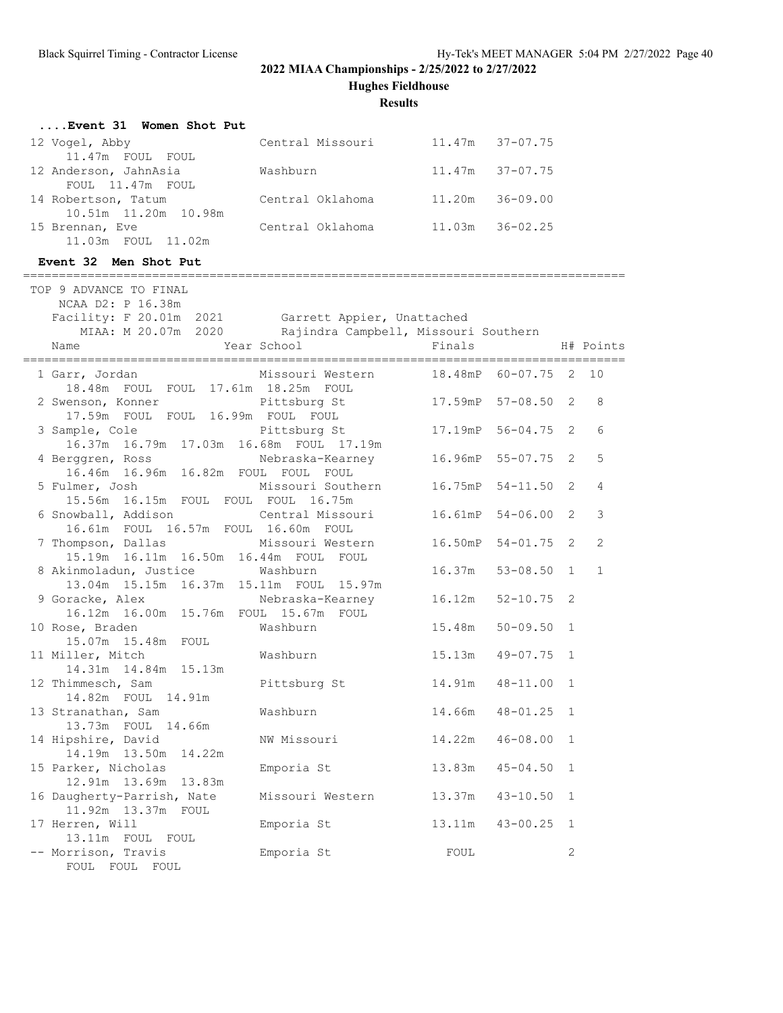**Hughes Fieldhouse**

**Results**

| Event 31 Women Shot Put |                  |                     |
|-------------------------|------------------|---------------------|
| 12 Vogel, Abby          | Central Missouri | $11.47m$ $37-07.75$ |
| 11.47m FOUL FOUL        |                  |                     |
| 12 Anderson, JahnAsia   | Washburn         | $11.47m$ $37-07.75$ |
| FOUL 11.47m FOUL        |                  |                     |
| 14 Robertson, Tatum     | Central Oklahoma | 11.20m 36-09.00     |
| 10.51m 11.20m 10.98m    |                  |                     |
| 15 Brennan, Eve         | Central Oklahoma | $11.03m$ $36-02.25$ |
| 11.03m FOUL 11.02m      |                  |                     |

## **Event 32 Men Shot Put**

| ==========                                                                                        |                                      |                        |                |                |
|---------------------------------------------------------------------------------------------------|--------------------------------------|------------------------|----------------|----------------|
| TOP 9 ADVANCE TO FINAL<br>NCAA D2: P 16.38m<br>Facility: F 20.01m 2021 Garrett Appier, Unattached |                                      |                        |                |                |
| MIAA: M 20.07m 2020 Rajindra Campbell, Missouri Southern                                          |                                      |                        |                |                |
|                                                                                                   |                                      |                        |                |                |
| Name                                                                                              | Year School                          | Finals                 |                | H# Points      |
| 1 Garr, Jordan<br>18.48m FOUL FOUL 17.61m 18.25m FOUL                                             | Missouri Western 18.48mP 60-07.75 2  |                        |                | 10             |
| 2 Swenson, Konner Pittsburg St 17.59mP 57-08.50<br>17.59m FOUL FOUL 16.99m FOUL FOUL              |                                      |                        | 2              | 8              |
| 3 Sample, Cole<br>16.37m  16.79m  17.03m  16.68m  FOUL  17.19m                                    | Pittsburg St                         | 17.19mP 56-04.75 2     |                | 6              |
| 4 Berggren, Ross<br>16.46m  16.96m  16.82m  FOUL  FOUL  FOUL                                      | Nebraska-Kearney                     | 16.96mP 55-07.75 2     |                | 5              |
| 5 Fulmer, Josh<br>15.56m  16.15m  FOUL  FOUL  FOUL  16.75m                                        | Missouri Southern 16.75mP 54-11.50 2 |                        |                | $\overline{4}$ |
| 6 Snowball, Addison<br>16.61m FOUL 16.57m FOUL 16.60m FOUL                                        | Central Missouri 16.61mP 54-06.00    |                        | 2              | 3              |
| 7 Thompson, Dallas Missouri Western<br>15.19m  16.11m  16.50m  16.44m  FOUL  FOUL                 |                                      | 16.50mP 54-01.75       | $\overline{2}$ | $\overline{2}$ |
| 8 Akinmoladun, Justice<br>13.04m 15.15m 16.37m 15.11m FOUL 15.97m                                 | Washburn                             | $16.37m$ $53-08.50$    | $\mathbf{1}$   | $\mathbf{1}$   |
| 9 Goracke, Alex<br>16.12m  16.00m  15.76m  FOUL  15.67m  FOUL                                     | Nebraska-Kearney                     | 16.12m<br>$52 - 10.75$ | 2              |                |
| 10 Rose, Braden<br>15.07m  15.48m  FOUL                                                           | Washburn                             | 15.48m<br>50-09.50     | $\mathbf{1}$   |                |
| 11 Miller, Mitch<br>14.31m  14.84m  15.13m                                                        | Washburn                             | 15.13m<br>$49 - 07.75$ | $\mathbf{1}$   |                |
| 12 Thimmesch, Sam<br>14.82m FOUL 14.91m                                                           | Pittsburg St                         | 14.91m  48-11.00       | $\mathbf{1}$   |                |
| 13 Stranathan, Sam<br>13.73m FOUL 14.66m                                                          | Washburn                             | 14.66m<br>48-01.25 1   |                |                |
| 14 Hipshire, David<br>14.19m  13.50m  14.22m                                                      | NW Missouri                          | 14.22m<br>$46 - 08.00$ | $\mathbf{1}$   |                |
| 15 Parker, Nicholas<br>12.91m  13.69m  13.83m                                                     | Emporia St                           | 13.83m<br>$45 - 04.50$ | $\mathbf{1}$   |                |
| 16 Daugherty-Parrish, Nate<br>11.92m  13.37m  FOUL                                                | Missouri Western 13.37m 43-10.50     |                        | $\mathbf{1}$   |                |
| 17 Herren, Will<br>13.11m FOUL FOUL                                                               | Emporia St                           | 13.11m  43-00.25       | $\mathbf{1}$   |                |
| -- Morrison, Travis<br>FOUL FOUL FOUL                                                             | Emporia St                           | FOUL                   | $\mathbf{2}$   |                |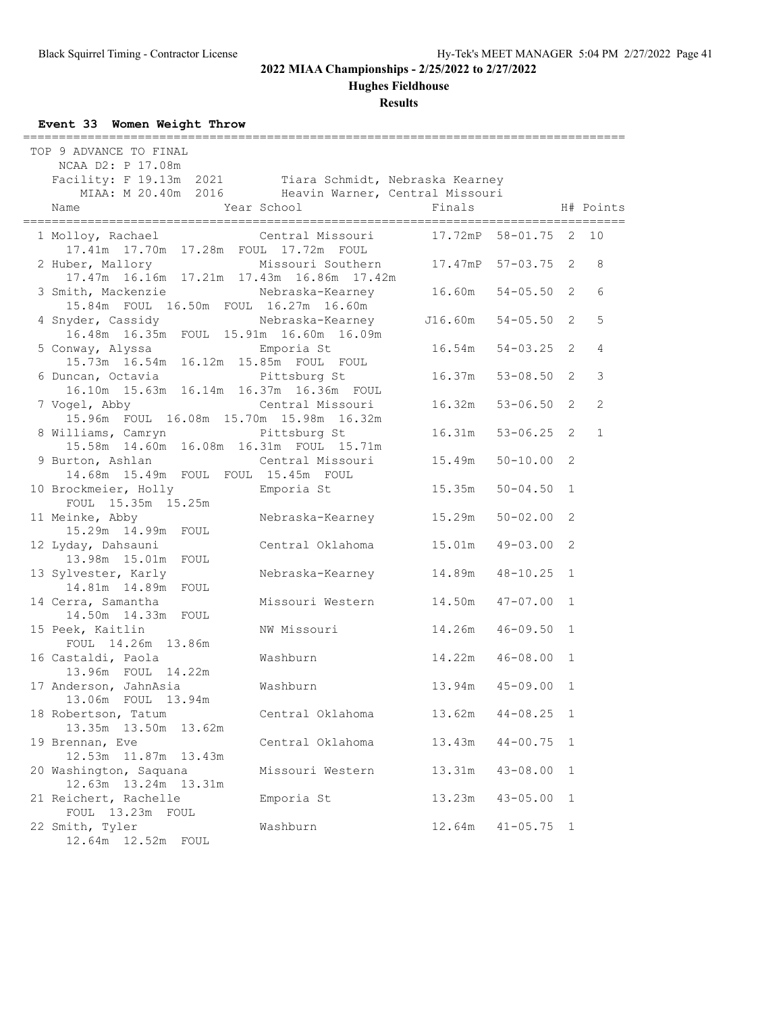**Hughes Fieldhouse**

**Results**

## **Event 33 Women Weight Throw**

| TOP 9 ADVANCE TO FINAL<br>NCAA D2: P 17.08m<br>Facility: F 19.13m 2021 Tiara Schmidt, Nebraska Kearney |                   |                  |                |                |              |
|--------------------------------------------------------------------------------------------------------|-------------------|------------------|----------------|----------------|--------------|
| MIAA: M 20.40m 2016 Heavin Warner, Central Missouri                                                    |                   |                  |                |                |              |
| Name                                                                                                   | Year School       | Finals           |                |                | H# Points    |
| 1 Molloy, Rachael<br>17.41m  17.70m  17.28m  FOUL  17.72m  FOUL                                        | Central Missouri  | 17.72mP          | 58-01.75       | 2              | 10           |
| 2 Huber, Mallory<br>17.47m  16.16m  17.21m  17.43m  16.86m  17.42m                                     | Missouri Southern | 17.47mP 57-03.75 |                | 2              | 8            |
| 3 Smith, Mackenzie<br>15.84m FOUL 16.50m FOUL 16.27m 16.60m                                            | Nebraska-Kearney  | 16.60m           | $54 - 05.50$   | 2              | 6            |
| 4 Snyder, Cassidy<br>16.48m 16.35m FOUL 15.91m 16.60m 16.09m                                           | Nebraska-Kearney  | J16.60m          | $54 - 05.50$   | 2              | 5            |
| 5 Conway, Alyssa<br>15.73m  16.54m  16.12m  15.85m  FOUL  FOUL                                         | Emporia St        | 16.54m           | $54 - 03.25$   | 2              | 4            |
| 6 Duncan, Octavia<br>16.10m  15.63m  16.14m  16.37m  16.36m  FOUL                                      | Pittsburg St      | 16.37m           | $53 - 08.50$   | 2              | 3            |
| 7 Vogel, Abby<br>15.96m FOUL 16.08m 15.70m 15.98m 16.32m                                               | Central Missouri  | 16.32m           | $53 - 06.50$   | 2              | 2            |
| 8 Williams, Camryn<br>15.58m  14.60m  16.08m  16.31m  FOUL  15.71m                                     | Pittsburg St      | 16.31m           | $53 - 06.25$ 2 |                | $\mathbf{1}$ |
| 9 Burton, Ashlan<br>14.68m  15.49m  FOUL  FOUL  15.45m  FOUL                                           | Central Missouri  | 15.49m           | $50 - 10.00$   | 2              |              |
| 10 Brockmeier, Holly<br>FOUL 15.35m 15.25m                                                             | Emporia St        | 15.35m           | $50 - 04.50$   | $\mathbf{1}$   |              |
| 11 Meinke, Abby<br>15.29m  14.99m  FOUL                                                                | Nebraska-Kearney  | 15.29m           | $50 - 02.00$   | $\overline{2}$ |              |
| 12 Lyday, Dahsauni<br>13.98m 15.01m FOUL                                                               | Central Oklahoma  | 15.01m           | $49 - 03.00$   | $\overline{2}$ |              |
| 13 Sylvester, Karly<br>14.81m  14.89m  FOUL                                                            | Nebraska-Kearney  | 14.89m           | $48 - 10.25$   | $\mathbf{1}$   |              |
| 14 Cerra, Samantha<br>14.50m  14.33m  FOUL                                                             | Missouri Western  | 14.50m           | $47 - 07.00$   | 1              |              |
| 15 Peek, Kaitlin<br>FOUL 14.26m 13.86m                                                                 | NW Missouri       | 14.26m           | $46 - 09.50$   | 1              |              |
| 16 Castaldi, Paola<br>13.96m FOUL 14.22m                                                               | Washburn          | 14.22m           | $46 - 08.00$   | $\mathbf{1}$   |              |
| 17 Anderson, JahnAsia<br>13.06m FOUL 13.94m                                                            | Washburn          | 13.94m           | $45 - 09.00$   | 1              |              |
| 18 Robertson, Tatum<br>13.50m<br>13.35m<br>13.62m                                                      | Central Oklahoma  | 13.62m           | $44 - 08.25$   | 1              |              |
| 19 Brennan, Eve<br>12.53m  11.87m<br>13.43m                                                            | Central Oklahoma  | 13.43m           | $44 - 00.75$   | $\mathbf{1}$   |              |
| 20 Washington, Saquana<br>12.63m  13.24m  13.31m                                                       | Missouri Western  | 13.31m           | $43 - 08.00$   | $\mathbf 1$    |              |
| 21 Reichert, Rachelle<br>FOUL 13.23m FOUL                                                              | Emporia St        | 13.23m           | $43 - 05.00$   | $\mathbf{1}$   |              |
| 22 Smith, Tyler                                                                                        | Washburn          | 12.64m           | $41 - 05.75$   | $\mathbf{1}$   |              |

12.64m 12.52m FOUL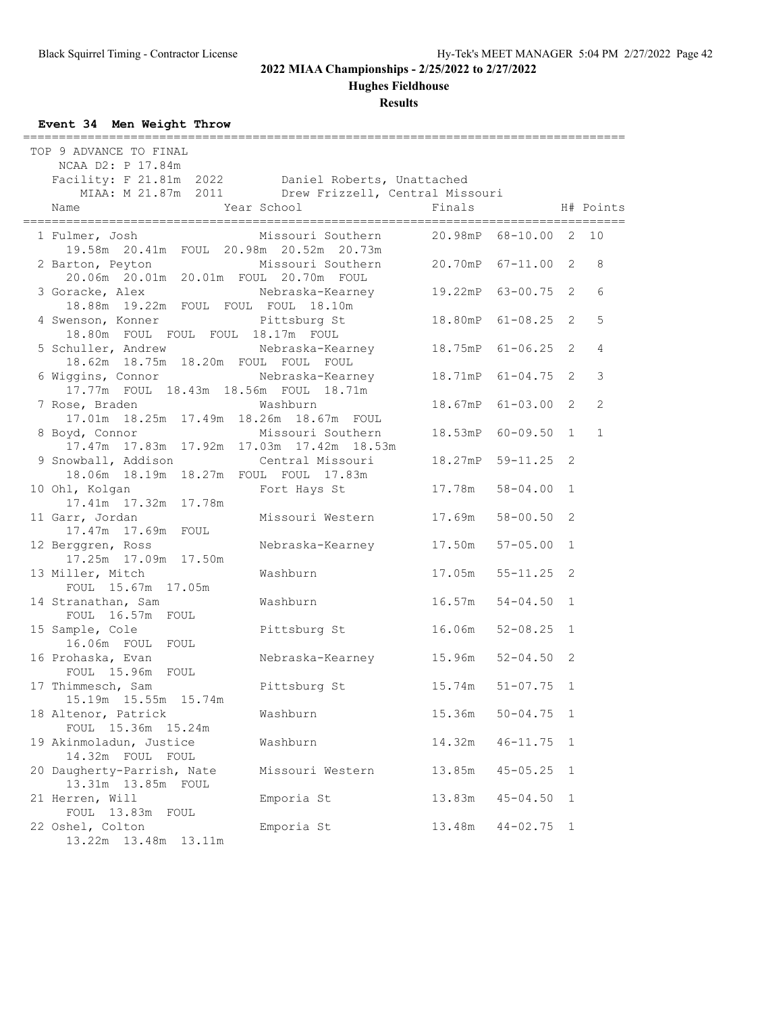**Hughes Fieldhouse**

**Results**

## **Event 34 Men Weight Throw**

| TOP 9 ADVANCE TO FINAL<br>NCAA D2: P 17.84m<br>Facility: F 21.81m 2022 Daniel Roberts, Unattached  |                                      |                          |              |              |
|----------------------------------------------------------------------------------------------------|--------------------------------------|--------------------------|--------------|--------------|
| MIAA: M 21.87m 2011 Drew Frizzell, Central Missouri                                                |                                      | Finals                   |              |              |
| Year School<br>Name                                                                                |                                      |                          |              | H# Points    |
| 1 Fulmer, Josh<br>19.58m  20.41m  FOUL  20.98m  20.52m  20.73m                                     | Missouri Southern                    | 20.98mP 68-10.00 2       |              | 10           |
| 2 Barton, Peyton<br>20.06m  20.01m  20.01m  FOUL  20.70m  FOUL                                     | Missouri Southern 20.70mP 67-11.00 2 |                          |              | 8            |
| 3 Goracke, Alex . Mebraska-Kearney 19.22mP 63-00.75 2<br>18.88m  19.22m  FOUL  FOUL  FOUL  18.10m  |                                      |                          |              | 6            |
| 4 Swenson, Konner<br>18.80m FOUL FOUL FOUL 18.17m FOUL                                             | Pittsburg St                         | 18.80mP 61-08.25 2       |              | 5            |
| 5 Schuller, Andrew Mebraska-Kearney 18.75mP 61-06.25 2<br>18.62m  18.75m  18.20m  FOUL  FOUL  FOUL |                                      |                          |              | 4            |
| 6 Wiggins, Connor Mebraska-Kearney 18.71mP 61-04.75 2<br>17.77m FOUL 18.43m 18.56m FOUL 18.71m     |                                      |                          |              | 3            |
| 7 Rose, Braden<br>17.01m  18.25m  17.49m  18.26m  18.67m  FOUL                                     | Washburn                             | 18.67mP 61-03.00 2       |              | 2            |
| 8 Boyd, Connor<br>17.47m  17.83m  17.92m  17.03m  17.42m  18.53m                                   | Missouri Southern                    | 18.53mP 60-09.50 1       |              | $\mathbf{1}$ |
| 9 Snowball, Addison<br>18.06m  18.19m  18.27m  FOUL  FOUL  17.83m                                  | Central Missouri                     | 18.27mP 59-11.25         | 2            |              |
| 10 Ohl, Kolgan<br>17.41m  17.32m  17.78m                                                           | Fort Hays St                         | 17.78m<br>$58 - 04.00$   | $\mathbf{1}$ |              |
| 11 Garr, Jordan<br>17.47m  17.69m  FOUL                                                            | Missouri Western                     | 17.69m<br>58-00.50       | 2            |              |
| 12 Berggren, Ross<br>17.25m  17.09m  17.50m                                                        | Nebraska-Kearney 17.50m              | $57 - 05.00$             | $\mathbf{1}$ |              |
| 13 Miller, Mitch<br>FOUL 15.67m 17.05m                                                             | Washburn                             | $17.05m$ $55-11.25$      | 2            |              |
| 14 Stranathan, Sam<br>FOUL 16.57m FOUL                                                             | Washburn                             | 16.57m 54-04.50 1        |              |              |
| 15 Sample, Cole<br>16.06m FOUL FOUL                                                                | Pittsburg St                         | 16.06m<br>$52 - 08.25$ 1 |              |              |
| 16 Prohaska, Evan<br>FOUL 15.96m FOUL                                                              | Nebraska-Kearney 15.96m              | $52 - 04.50$ 2           |              |              |
| 17 Thimmesch, Sam<br>15.19m  15.55m  15.74m                                                        | Pittsburg St                         | $15.74m$ $51-07.75$ 1    |              |              |
| 18 Altenor, Patrick<br>FOUL 15.36m 15.24m                                                          | Washburn                             | 15.36m<br>$50 - 04.75$   | 1            |              |
| 19 Akinmoladun, Justice<br>14.32m FOUL FOUL                                                        | Washburn                             | 14.32m<br>$46 - 11.75$   | 1            |              |
| 20 Daugherty-Parrish, Nate<br>13.31m 13.85m FOUL                                                   | Missouri Western                     | $45 - 05.25$<br>13.85m   | 1            |              |
| 21 Herren, Will<br>FOUL 13.83m FOUL                                                                | Emporia St                           | 13.83m<br>$45 - 04.50$   | 1            |              |
| 22 Oshel, Colton                                                                                   | Emporia St                           | 13.48m<br>$44 - 02.75$   | 1            |              |

13.22m 13.48m 13.11m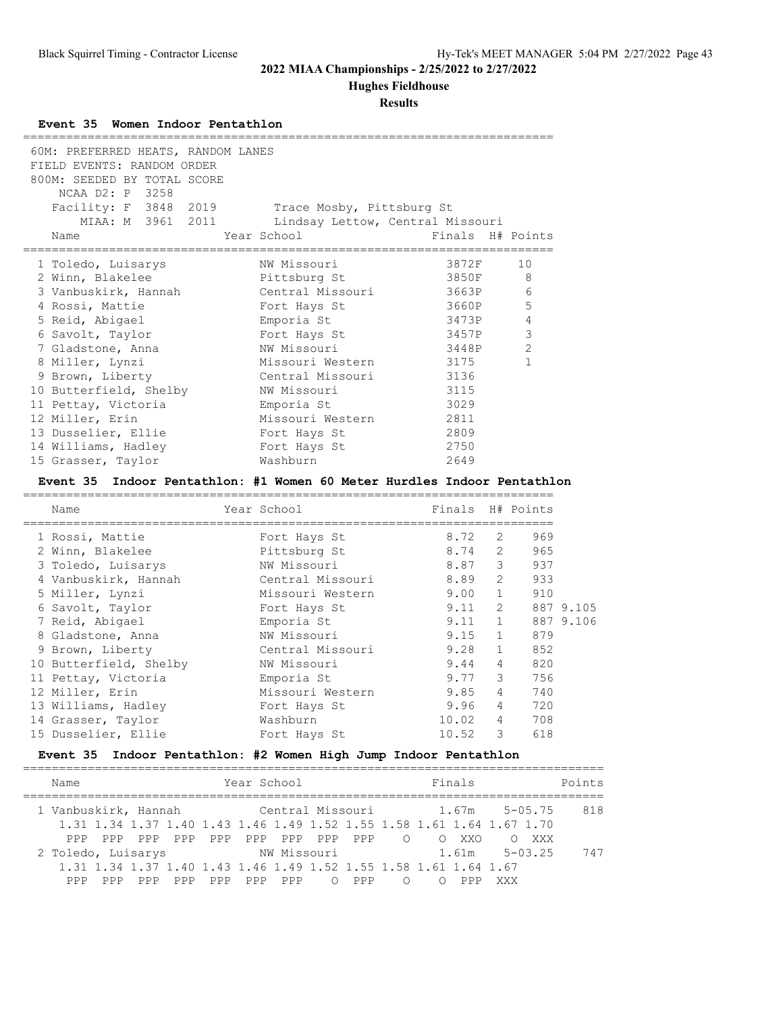**Hughes Fieldhouse**

### **Results**

### **Event 35 Women Indoor Pentathlon**

| 60M: PREFERRED HEATS, RANDOM LANES<br>FIELD EVENTS: RANDOM ORDER<br>800M: SEEDED BY TOTAL SCORE<br>NCAA D2: P 3258 |                                  |                  |                |                       |           |
|--------------------------------------------------------------------------------------------------------------------|----------------------------------|------------------|----------------|-----------------------|-----------|
| Facility: F 3848 2019                                                                                              | Trace Mosby, Pittsburg St        |                  |                |                       |           |
| MIAA: M 3961 2011                                                                                                  | Lindsay Lettow, Central Missouri |                  |                |                       |           |
| Name                                                                                                               | Year School                      | Finals H# Points |                |                       |           |
| _________________________                                                                                          | ===============                  |                  |                |                       |           |
| 1 Toledo, Luisarys                                                                                                 | NW Missouri                      | 3872F            |                | 10                    |           |
| 2 Winn, Blakelee                                                                                                   | Pittsburg St                     | 3850F            |                | 8                     |           |
| 3 Vanbuskirk, Hannah                                                                                               | Central Missouri                 | 3663P            |                | 6                     |           |
| 4 Rossi, Mattie                                                                                                    | Fort Hays St                     | 3660P            |                | 5                     |           |
| 5 Reid, Abigael                                                                                                    | Emporia St                       | 3473P            |                | 4                     |           |
| 6 Savolt, Taylor                                                                                                   | Fort Hays St                     | 3457P            |                | 3                     |           |
| 7 Gladstone, Anna                                                                                                  | NW Missouri                      | 3448P            |                | 2                     |           |
| 8 Miller, Lynzi                                                                                                    | Missouri Western                 | 3175             |                | $\mathbf 1$           |           |
| 9 Brown, Liberty                                                                                                   | Central Missouri                 | 3136             |                |                       |           |
| 10 Butterfield, Shelby                                                                                             | NW Missouri                      | 3115             |                |                       |           |
| 11 Pettay, Victoria                                                                                                | Emporia St                       | 3029             |                |                       |           |
| 12 Miller, Erin                                                                                                    | Missouri Western                 | 2811             |                |                       |           |
| 13 Dusselier, Ellie                                                                                                | Fort Hays St                     | 2809             |                |                       |           |
| 14 Williams, Hadley                                                                                                | Fort Hays St                     | 2750             |                |                       |           |
| 15 Grasser, Taylor                                                                                                 | Washburn                         | 2649             |                |                       |           |
| Event 35 Indoor Pentathlon: #1 Women 60 Meter Hurdles Indoor Pentathlon                                            |                                  |                  |                |                       |           |
|                                                                                                                    |                                  |                  |                |                       |           |
| Name                                                                                                               | Year School                      | Finals H# Points |                |                       |           |
| 1 Rossi, Mattie                                                                                                    |                                  | 8.72             | 2              | 969                   |           |
| 2 Winn, Blakelee                                                                                                   | Fort Hays St<br>Pittsburg St     | 8.74             | 2              | 965                   |           |
| 3 Toledo, Luisarys                                                                                                 | NW Missouri                      | 8.87             | 3              | 937                   |           |
| 4 Vanbuskirk, Hannah                                                                                               | Central Missouri                 | 8.89             | 2              | 933                   |           |
| 5 Miller, Lynzi                                                                                                    | Missouri Western                 | 9.00             | 1              | 910                   |           |
| 6 Savolt, Taylor                                                                                                   | Fort Hays St                     | 9.11             | 2              |                       | 887 9.105 |
| 7 Reid, Abigael                                                                                                    | Emporia St                       | 9.11             | $\mathbf{1}$   | 887 9.106             |           |
|                                                                                                                    |                                  | 9.15             | $\mathbf{1}$   | 879                   |           |
| 8 Gladstone, Anna                                                                                                  | NW Missouri<br>Central Missouri  | 9.28             | $\mathbf{1}$   | 852                   |           |
| 9 Brown, Liberty                                                                                                   |                                  |                  |                |                       |           |
| 10 Butterfield, Shelby                                                                                             | NW Missouri                      | 9.44             | $\overline{4}$ | 820<br>3 <sup>7</sup> |           |
| 11 Pettay, Victoria                                                                                                | Emporia St                       | 9.77             |                | 756                   |           |
| 12 Miller, Erin                                                                                                    | Missouri Western 9.85 4          |                  |                | 740                   |           |
| 13 Williams, Hadley                                                                                                | Fort Hays St                     | 9.96             | $\overline{4}$ | 720                   |           |
| 14 Grasser, Taylor                                                                                                 | Washburn                         | 10.02            | 4              | 708                   |           |

## **Event 35 Indoor Pentathlon: #2 Women High Jump Indoor Pentathlon**

15 Dusselier, Ellie Fort Hays St 10.52 3 618

| Name                                                                | Year School                                                      |         |     |     |     |                 |     |        |                | Finals | Points                                                                |     |  |
|---------------------------------------------------------------------|------------------------------------------------------------------|---------|-----|-----|-----|-----------------|-----|--------|----------------|--------|-----------------------------------------------------------------------|-----|--|
| 1 Vanbuskirk, Hannah               Central Missouri           1.67m |                                                                  |         |     |     |     |                 |     |        |                |        | $5 - 0.5$ . 75                                                        | 818 |  |
|                                                                     |                                                                  |         |     |     |     |                 |     |        |                |        | 1,31 1,34 1,37 1,40 1,43 1,46 1,49 1,52 1,55 1,58 1,61 1,64 1,67 1,70 |     |  |
| PPP                                                                 | PPP                                                              | PPP PPP | PPP |     |     | PPP PPP PPP PPP |     | $\cap$ | $\overline{O}$ | XXO    | XXX                                                                   |     |  |
| 2 Toledo, Luisarys                                                  |                                                                  |         |     |     |     | NW Missouri     |     |        | 1.61m          |        | $5 - 03.25$                                                           | 747 |  |
|                                                                     | 1.31 1.34 1.37 1.40 1.43 1.46 1.49 1.52 1.55 1.58 1.61 1.64 1.67 |         |     |     |     |                 |     |        |                |        |                                                                       |     |  |
|                                                                     | PPP                                                              | PPP     | PPP | PPP | PPP | $\bigcirc$      | PPP |        |                |        | XXX                                                                   |     |  |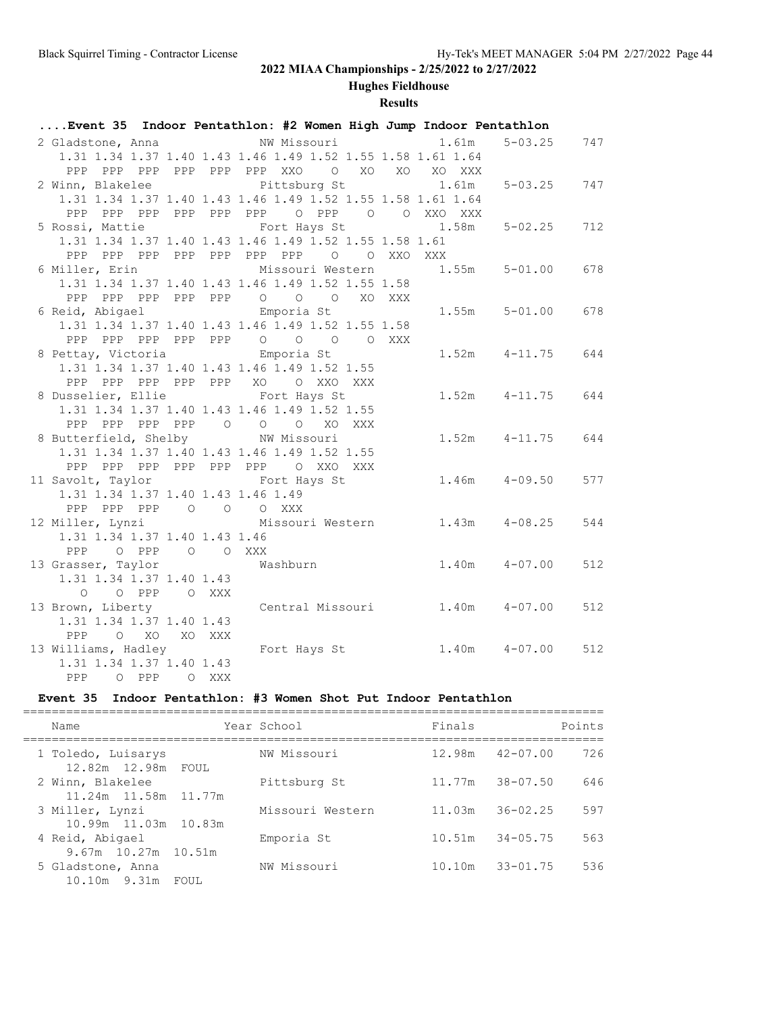# **Hughes Fieldhouse**

## **Results**

| Event 35 Indoor Pentathlon: #2 Women High Jump Indoor Pentathlon  |  |       |             |        |       |                                |     |
|-------------------------------------------------------------------|--|-------|-------------|--------|-------|--------------------------------|-----|
| 2 Gladstone, Anna                                                 |  |       | NW Missouri |        | 1.61m | $5 - 03.25$                    | 747 |
| 1.31 1.34 1.37 1.40 1.43 1.46 1.49 1.52 1.55 1.58 1.61 1.64       |  |       |             |        |       |                                |     |
| PPP PPP PPP PPP PPP PPP XXO O XO XO XO XXX                        |  |       |             |        |       |                                |     |
| 2 Winn, Blakelee Pittsburg St                                     |  |       |             |        | 1.61m | $5 - 03.25$                    | 747 |
| 1.31 1.34 1.37 1.40 1.43 1.46 1.49 1.52 1.55 1.58 1.61 1.64       |  |       |             |        |       |                                |     |
|                                                                   |  |       |             |        |       |                                |     |
| 5 Rossi, Mattie The Fort Hays St 1.58m                            |  |       |             |        |       | $5 - 02.25$                    | 712 |
| 1.31 1.34 1.37 1.40 1.43 1.46 1.49 1.52 1.55 1.58 1.61            |  |       |             |        |       |                                |     |
| PPP PPP PPP PPP PPP PPP PPP 0 0 XXO XXX                           |  |       |             |        |       |                                |     |
| 6 Miller, Erin             Missouri Western       1.55m   5-01.00 |  |       |             |        |       |                                | 678 |
| 1.31 1.34 1.37 1.40 1.43 1.46 1.49 1.52 1.55 1.58                 |  |       |             |        |       |                                |     |
| PPP PPP PPP PPP PPP 0 0 0                                         |  |       |             | XO XXX |       |                                |     |
| 6 Reid, Abigael Champoria St                                      |  |       |             |        |       | $1.55m$ $5-01.00$              | 678 |
| 1.31 1.34 1.37 1.40 1.43 1.46 1.49 1.52 1.55 1.58                 |  |       |             |        |       |                                |     |
| PPP PPP PPP PPP PPP 0 0 0 0 XXX                                   |  |       |             |        |       |                                |     |
| 8 Pettay, Victoria Charles Emporia St                             |  |       |             |        |       | $1.52m$ $4-11.75$              | 644 |
| 1.31 1.34 1.37 1.40 1.43 1.46 1.49 1.52 1.55                      |  |       |             |        |       |                                |     |
| PPP PPP PPP PPP PPP XO O XXO XXX                                  |  |       |             |        |       |                                |     |
| 8 Dusselier, Ellie Fort Hays St                                   |  |       |             |        |       | $1.52m$ $4-11.75$              | 644 |
| 1.31 1.34 1.37 1.40 1.43 1.46 1.49 1.52 1.55                      |  |       |             |        |       |                                |     |
| PPP PPP PPP PPP 0 0 0 XO XXX                                      |  |       |             |        |       |                                |     |
| 8 Butterfield, Shelby NW Missouri                                 |  |       |             |        |       | $1.52m$ $4-11.75$              | 644 |
| 1.31 1.34 1.37 1.40 1.43 1.46 1.49 1.52 1.55                      |  |       |             |        |       |                                |     |
| PPP PPP PPP PPP PPP PPP O XXO XXX                                 |  |       |             |        |       |                                |     |
| 11 Savolt, Taylor Fort Hays St                                    |  |       |             |        |       | $1.46m$ $4-09.50$              | 577 |
| 1.31 1.34 1.37 1.40 1.43 1.46 1.49                                |  |       |             |        |       |                                |     |
| PPP PPP PPP 0 0 0 XXX                                             |  |       |             |        |       |                                |     |
| 12 Miller, Lynzi Missouri Western 1.43m 4-08.25                   |  |       |             |        |       |                                | 544 |
| 1.31 1.34 1.37 1.40 1.43 1.46                                     |  |       |             |        |       |                                |     |
| PPP 0 PPP 0 0 XXX                                                 |  |       |             |        |       |                                |     |
| 13 Grasser, Taylor                                                |  |       | Washburn    |        |       | $1.40m$ $4-07.00$              | 512 |
| 1.31 1.34 1.37 1.40 1.43                                          |  |       |             |        |       |                                |     |
| 0 0 PPP 0 XXX                                                     |  |       |             |        |       |                                |     |
| 13 Brown, Liberty                                                 |  |       |             |        |       | Central Missouri 1.40m 4-07.00 | 512 |
| 1.31 1.34 1.37 1.40 1.43                                          |  |       |             |        |       |                                |     |
| PPP 0 XO XO XXX                                                   |  |       |             |        |       |                                |     |
|                                                                   |  |       |             |        |       | $1.40m$ $4-07.00$              | 512 |
| 1.31 1.34 1.37 1.40 1.43                                          |  |       |             |        |       |                                |     |
| PPP O PPP                                                         |  | O XXX |             |        |       |                                |     |

## **Event 35 Indoor Pentathlon: #3 Women Shot Put Indoor Pentathlon**

| Name                                        | Year School      | Finals              | Points              |
|---------------------------------------------|------------------|---------------------|---------------------|
| 1 Toledo, Luisarys<br>12.82m 12.98m FOUL    | NW Missouri      | $12.98m$ $42-07.00$ | 726                 |
| 2 Winn, Blakelee<br>11.24m 11.58m 11.77m    | Pittsburg St     | 11.77m              | 646<br>$38 - 07.50$ |
| 3 Miller, Lynzi<br>10.99m 11.03m 10.83m     | Missouri Western | 11.03m              | $36 - 02.25$<br>597 |
| 4 Reid, Abigael<br>$9.67m$ 10.27m 10.51m    | Emporia St       | 10.51m              | $34 - 05.75$<br>563 |
| 5 Gladstone, Anna<br>$10.10m$ 9.31m<br>FOUL | NW Missouri      | 10.10m              | $33 - 01.75$<br>536 |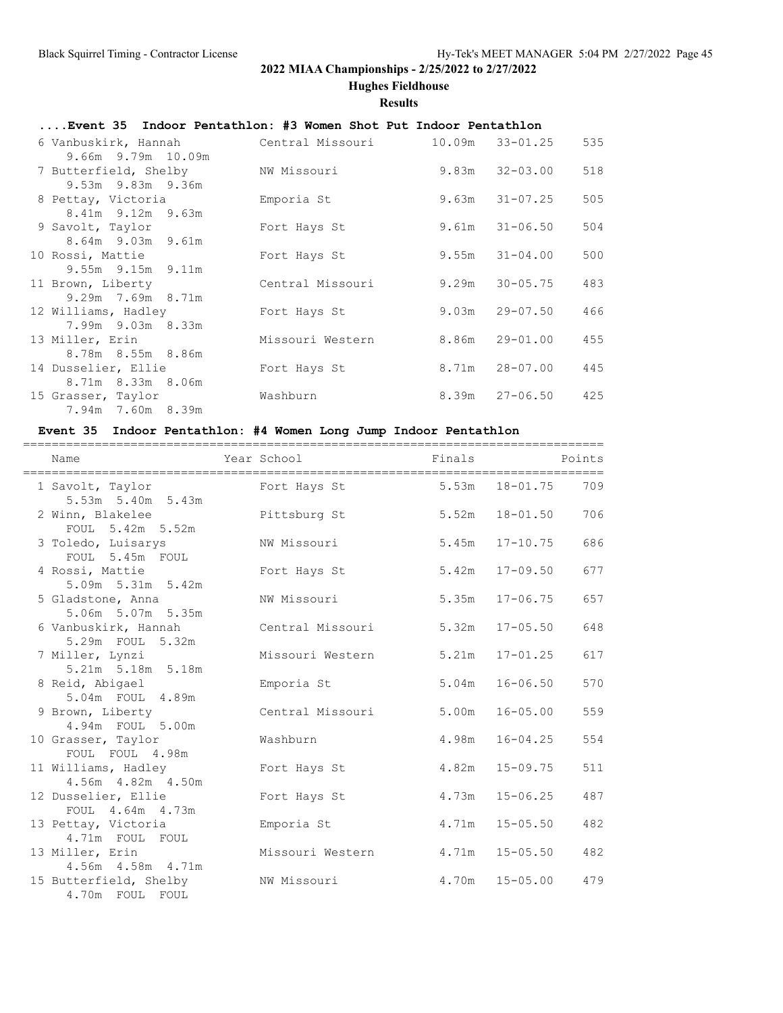**Hughes Fieldhouse**

#### **Results**

## **....Event 35 Indoor Pentathlon: #3 Women Shot Put Indoor Pentathlon**

| 6 Vanbuskirk, Hannah                     | Central Missouri |       | $10.09m$ $33-01.25$ | 535 |
|------------------------------------------|------------------|-------|---------------------|-----|
| 9.66m 9.79m 10.09m                       |                  |       |                     |     |
| 7 Butterfield, Shelby                    | NW Missouri      |       | $9.83m$ $32-03.00$  | 518 |
| 9.53m 9.83m 9.36m                        |                  |       |                     |     |
| 8 Pettay, Victoria                       | Emporia St       |       | $9.63m$ $31-07.25$  | 505 |
| $8.41m$ 9.12m 9.63m                      |                  |       |                     |     |
| 9 Savolt, Taylor                         | Fort Hays St     |       | $9.61m$ $31-06.50$  | 504 |
| 8.64m 9.03m 9.61m                        |                  |       |                     |     |
| 10 Rossi, Mattie                         | Fort Hays St     |       | $9.55m$ $31-04.00$  | 500 |
| 9.55m 9.15m 9.11m                        |                  |       |                     |     |
| 11 Brown, Liberty                        | Central Missouri | 9.29m | $30 - 05.75$        | 483 |
| $9.29m$ 7.69m 8.71m                      |                  |       |                     |     |
| 12 Williams, Hadley                      | Fort Hays St     |       | $9.03m$ $29-07.50$  | 466 |
| 7.99m 9.03m 8.33m                        |                  |       |                     |     |
| 13 Miller, Erin                          | Missouri Western |       | $8.86m$ $29-01.00$  | 455 |
| 8.78m 8.55m 8.86m                        |                  |       |                     |     |
| 14 Dusselier, Ellie<br>8.71m 8.33m 8.06m | Fort Hays St     |       | $8.71m$ $28-07.00$  | 445 |
|                                          |                  |       | $8.39m$ $27-06.50$  | 425 |
| 15 Grasser, Taylor<br>7.94m 7.60m 8.39m  | Washburn         |       |                     |     |
|                                          |                  |       |                     |     |

## **Event 35 Indoor Pentathlon: #4 Women Long Jump Indoor Pentathlon**

| Name                                       | Year School                               Finals                         Points |                    |                    |     |
|--------------------------------------------|---------------------------------------------------------------------------------|--------------------|--------------------|-----|
| 1 Savolt, Taylor<br>5.53m 5.40m 5.43m      | Fort Hays St 5.53m 18-01.75                                                     |                    |                    | 709 |
| 2 Winn, Blakelee<br>FOUL 5.42m 5.52m       | Pittsburg St                                                                    |                    | $5.52m$ $18-01.50$ | 706 |
| 3 Toledo, Luisarys<br>FOUL 5.45m FOUL      | NW Missouri                                                                     |                    | 5.45m 17-10.75     | 686 |
| 4 Rossi, Mattie<br>5.09m 5.31m 5.42m       | Fort Hays St                                                                    | 5.42m              | $17 - 09.50$       | 677 |
| 5 Gladstone, Anna<br>5.06m 5.07m 5.35m     | NW Missouri                                                                     | 5.35m              | $17 - 06.75$       | 657 |
| 6 Vanbuskirk, Hannah<br>5.29m FOUL 5.32m   | Central Missouri                                                                | 5.32m              | $17 - 05.50$       | 648 |
| 7 Miller, Lynzi<br>5.21m 5.18m 5.18m       | Missouri Western                                                                | 5.21m              | $17 - 01.25$       | 617 |
| 8 Reid, Abigael<br>5.04m FOUL 4.89m        | Emporia St                                                                      | 5.04m              | $16 - 06.50$       | 570 |
| 9 Brown, Liberty<br>4.94m FOUL 5.00m       | Central Missouri                                                                | 5.00m              | $16 - 05.00$       | 559 |
| 10 Grasser, Taylor<br>FOUL FOUL 4.98m      | Washburn                                                                        | 4.98m              | $16 - 04.25$       | 554 |
| 11 Williams, Hadley<br>4.56m  4.82m  4.50m | Fort Hays St                                                                    | 4.82m              | $15 - 09.75$       | 511 |
| 12 Dusselier, Ellie<br>FOUL 4.64m 4.73m    | Fort Hays St                                                                    | 4.73m              | $15 - 06.25$       | 487 |
| 13 Pettay, Victoria<br>4.71m FOUL FOUL     | Emporia St                                                                      | 4.71m              | $15 - 05.50$       | 482 |
| 13 Miller, Erin<br>4.56m  4.58m  4.71m     | Missouri Western                                                                | $4.71m$ $15-05.50$ |                    | 482 |
| 15 Butterfield, Shelby<br>4.70m FOUL FOUL  | NW Missouri                                                                     |                    | $4.70m$ $15-05.00$ | 479 |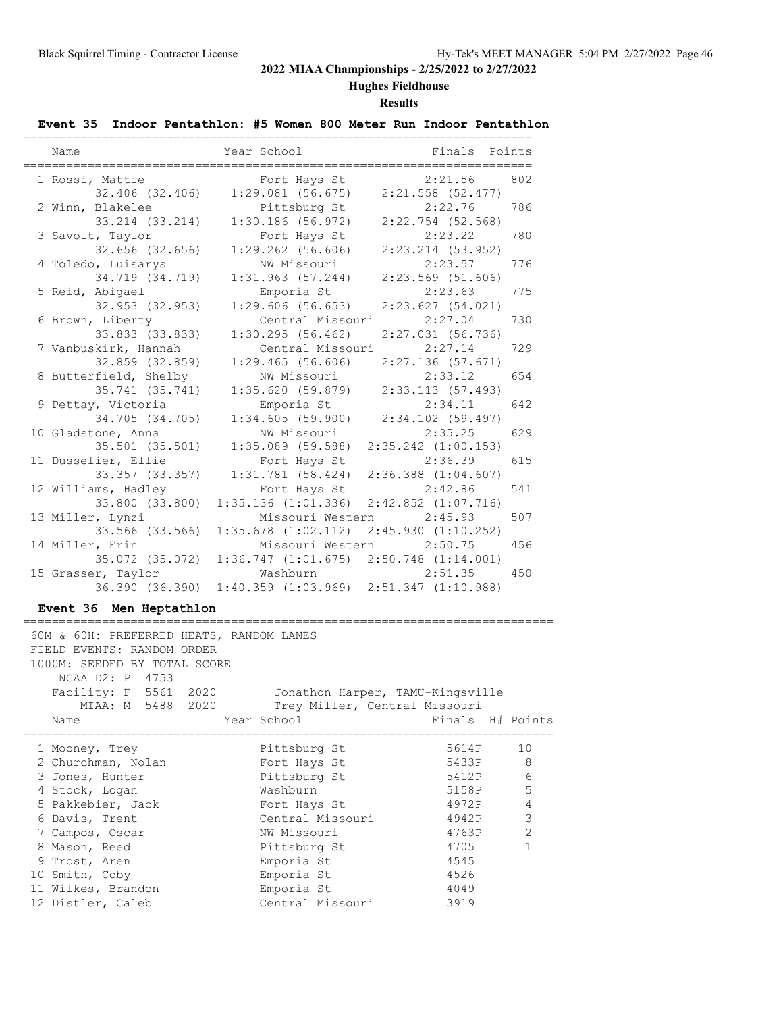## **Hughes Fieldhouse**

## **Results**

## **Event 35 Indoor Pentathlon: #5 Women 800 Meter Run Indoor Pentathlon**

| Name                  | Year School                                     | Finals Points           |     |
|-----------------------|-------------------------------------------------|-------------------------|-----|
| 1 Rossi, Mattie       | Fort Hays St                                    | 2:21.56                 | 802 |
| 32.406 (32.406)       | $1:29.081$ (56.675)                             | $2:21.558$ (52.477)     |     |
| 2 Winn, Blakelee      | Pittsburg St                                    | 2:22.76<br>786          |     |
| 33.214 (33.214)       | $1:30.186$ (56.972)                             | $2:22.754$ (52.568)     |     |
| 3 Savolt, Taylor      | Fort Hays St                                    | 2:23.22                 | 780 |
| 32.656 (32.656)       | $1:29.262$ (56.606)                             | $2:23.214$ (53.952)     |     |
| 4 Toledo, Luisarys    | NW Missouri                                     | 2:23.57                 | 776 |
| 34.719 (34.719)       | 1:31.963(57.244)                                | $2:23.569$ (51.606)     |     |
| 5 Reid, Abigael       | Emporia St                                      | 2:23.63                 | 775 |
| 32.953 (32.953)       | $1:29.606$ (56.653)                             | 2:23.627(54.021)        |     |
| 6 Brown, Liberty      | Central Missouri                                | 2:27.04                 | 730 |
| 33.833 (33.833)       | 1:30.295(56.462)                                | $2:27.031$ (56.736)     |     |
| 7 Vanbuskirk, Hannah  | Central Missouri                                | 2:27.14                 | 729 |
| 32.859 (32.859)       | 1:29.465(56.606)                                | 2:27.136(57.671)        |     |
| 8 Butterfield, Shelby | NW Missouri                                     | 2:33.12                 | 654 |
| 35.741 (35.741)       | 1:35.620(59.879)                                | 2:33.113 (57.493)       |     |
| 9 Pettay, Victoria    | Emporia St                                      | 2:34.11                 | 642 |
| 34.705 (34.705)       | 1:34.605(59.900)                                | 2:34.102 (59.497)       |     |
| 10 Gladstone, Anna    | NW Missouri                                     | 2:35.25                 | 629 |
| 35.501 (35.501)       | $1:35.089$ (59.588)                             | $2:35.242$ $(1:00.153)$ |     |
| 11 Dusselier, Ellie   | Fort Hays St                                    | 2:36.39                 | 615 |
| 33.357 (33.357)       | 1:31.781(58.424)                                | $2:36.388$ $(1:04.607)$ |     |
| 12 Williams, Hadley   | Fort Hays St                                    | 2:42.86                 | 541 |
| 33.800 (33.800)       | $1:35.136$ $(1:01.336)$                         | $2:42.852$ $(1:07.716)$ |     |
| 13 Miller, Lynzi      | Missouri Western                                | 2:45.93                 | 507 |
| 33.566 (33.566)       | $1:35.678$ $(1:02.112)$ $2:45.930$ $(1:10.252)$ |                         |     |
| 14 Miller, Erin       | Missouri Western 2:50.75                        |                         | 456 |
| 35.072 (35.072)       | $1:36.747$ $(1:01.675)$ $2:50.748$ $(1:14.001)$ |                         |     |
| 15 Grasser, Taylor    | Washburn                                        | 2:51.35                 | 450 |
| 36.390 (36.390)       | $1:40.359$ $(1:03.969)$ $2:51.347$ $(1:10.988)$ |                         |     |

## **Event 36 Men Heptathlon**

|  | 60M & 60H: PREFERRED HEATS, RANDOM LANES               |                  |                  |                |
|--|--------------------------------------------------------|------------------|------------------|----------------|
|  | FIELD EVENTS: RANDOM ORDER                             |                  |                  |                |
|  | 1000M: SEEDED BY TOTAL SCORE                           |                  |                  |                |
|  | NCAA D2: P 4753                                        |                  |                  |                |
|  | Facility: F 5561 2020 Jonathon Harper, TAMU-Kingsville |                  |                  |                |
|  | MIAA: M 5488 2020 Trey Miller, Central Missouri        |                  |                  |                |
|  | Name                                                   | Year School      | Finals H# Points |                |
|  | 1 Mooney, Trey                                         | Pittsburg St     | 5614F            | 10             |
|  | 2 Churchman, Nolan                                     | Fort Hays St     | 5433P            | 8              |
|  | 3 Jones, Hunter                                        | Pittsburg St     | 5412P            | 6              |
|  | 4 Stock, Logan                                         | Washburn         | 5158P            | 5              |
|  | 5 Pakkebier, Jack                                      | Fort Hays St     | 4972P            | 4              |
|  | 6 Davis, Trent                                         | Central Missouri | 4942P            | 3              |
|  | 7 Campos, Oscar                                        | NW Missouri      | 4763P            | $\mathfrak{D}$ |
|  | 8 Mason, Reed                                          | Pittsburg St     | 4705             | 1              |
|  | 9 Trost, Aren                                          | Emporia St       | 4545             |                |
|  | 10 Smith, Coby                                         | Emporia St       | 4526             |                |
|  | 11 Wilkes, Brandon                                     | Emporia St       | 4049             |                |
|  | 12 Distler, Caleb                                      | Central Missouri | 3919             |                |
|  |                                                        |                  |                  |                |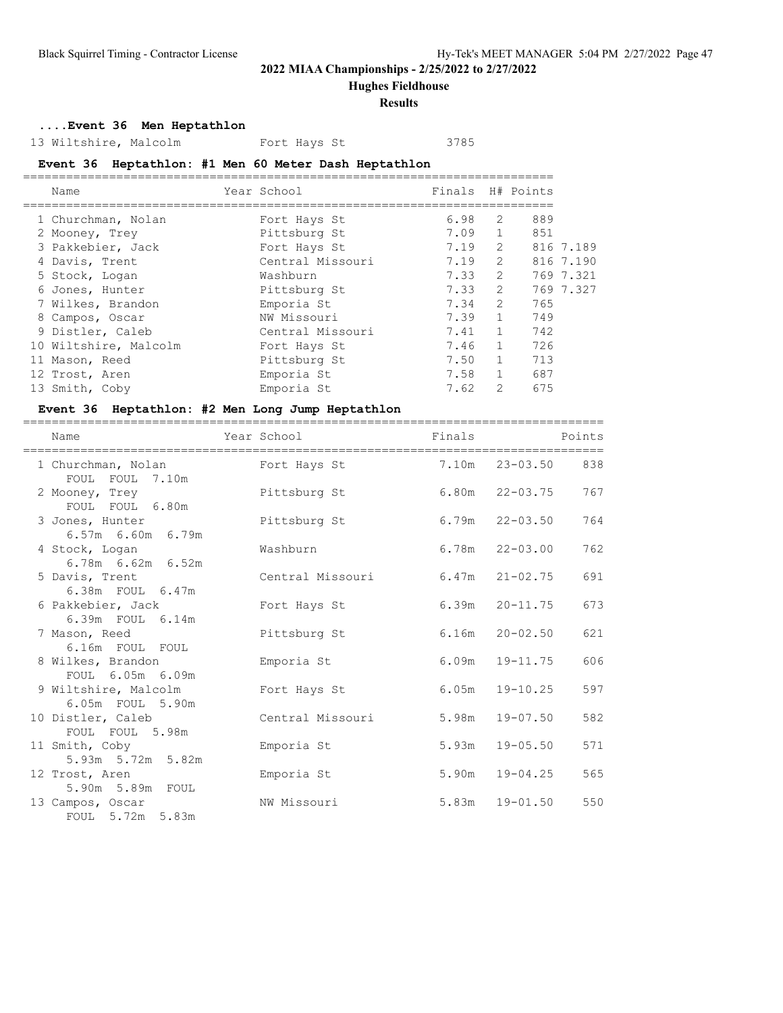**Hughes Fieldhouse**

### **Results**

## **....Event 36 Men Heptathlon**

13 Wiltshire, Malcolm Fort Hays St 3785

## **Event 36 Heptathlon: #1 Men 60 Meter Dash Heptathlon**

| Name                  | Year School      | Finals H# Points |                |     |           |
|-----------------------|------------------|------------------|----------------|-----|-----------|
| 1 Churchman, Nolan    | Fort Hays St     | 6.98             | 2              | 889 |           |
| 2 Mooney, Trey        | Pittsburg St     | 7.09             | $\mathbf{1}$   | 851 |           |
| 3 Pakkebier, Jack     | Fort Hays St     | 7.19             | $\overline{2}$ |     | 816 7.189 |
| 4 Davis, Trent        | Central Missouri | 7.19             | $\overline{2}$ |     | 816 7.190 |
| 5 Stock, Logan        | Washburn         | 7.33             | $\overline{2}$ |     | 769 7.321 |
| 6 Jones, Hunter       | Pittsburg St     | 7.33             | $\overline{2}$ |     | 769 7.327 |
| 7 Wilkes, Brandon     | Emporia St       | 7.34             | $\overline{2}$ | 765 |           |
| 8 Campos, Oscar       | NW Missouri      | 7.39             | $\mathbf{1}$   | 749 |           |
| 9 Distler, Caleb      | Central Missouri | 7.41             | $\mathbf{1}$   | 742 |           |
| 10 Wiltshire, Malcolm | Fort Hays St     | 7.46             | $\mathbf{1}$   | 726 |           |
| 11 Mason, Reed        | Pittsburg St     | 7.50             |                | 713 |           |
| 12 Trost, Aren        | Emporia St       | 7.58             | $\mathbf{1}$   | 687 |           |
| 13 Smith, Coby        | Emporia St       | 7.62             | 2              | 675 |           |
|                       |                  |                  |                |     |           |

### **Event 36 Heptathlon: #2 Men Long Jump Heptathlon**

| Name                                       | Year School                                    | Finals |                    | Points |
|--------------------------------------------|------------------------------------------------|--------|--------------------|--------|
| FOUL FOUL 7.10m                            | 1 Churchman, Nolan Fort Hays St 7.10m 23-03.50 |        |                    | 838    |
| 2 Mooney, Trey<br>FOUL FOUL 6.80m          | Pittsburg St                                   |        | $6.80m$ $22-03.75$ | 767    |
| 3 Jones, Hunter<br>$6.57m$ $6.60m$ $6.79m$ | Pittsburg St                                   |        | $6.79m$ $22-03.50$ | 764    |
| 4 Stock, Logan<br>$6.78m$ $6.62m$ $6.52m$  | Washburn                                       |        | $6.78m$ $22-03.00$ | 762    |
| 5 Davis, Trent<br>6.38m FOUL 6.47m         | Central Missouri                               |        | $6.47m$ $21-02.75$ | 691    |
| 6 Pakkebier, Jack<br>6.39m FOUL 6.14m      | Fort Hays St                                   |        | $6.39m$ $20-11.75$ | 673    |
| 7 Mason, Reed<br>6.16m FOUL FOUL           | Pittsburg St                                   |        | $6.16m$ $20-02.50$ | 621    |
| 8 Wilkes, Brandon<br>FOUL 6.05m 6.09m      | Emporia St                                     |        | $6.09m$ $19-11.75$ | 606    |
| 9 Wiltshire, Malcolm<br>6.05m FOUL 5.90m   | Fort Hays St                                   |        | $6.05m$ $19-10.25$ | 597    |
| 10 Distler, Caleb<br>FOUL FOUL 5.98m       | Central Missouri                               | 5.98m  | $19 - 07.50$       | 582    |
| 11 Smith, Coby<br>5.93m 5.72m 5.82m        | Emporia St                                     | 5.93m  | $19 - 05.50$       | 571    |
| 12 Trost, Aren<br>5.90m 5.89m FOUL         | Emporia St                                     | 5.90m  | $19 - 04.25$       | 565    |
| 13 Campos, Oscar<br>FOUL 5.72m 5.83m       | NW Missouri                                    |        | $5.83m$ $19-01.50$ | 550    |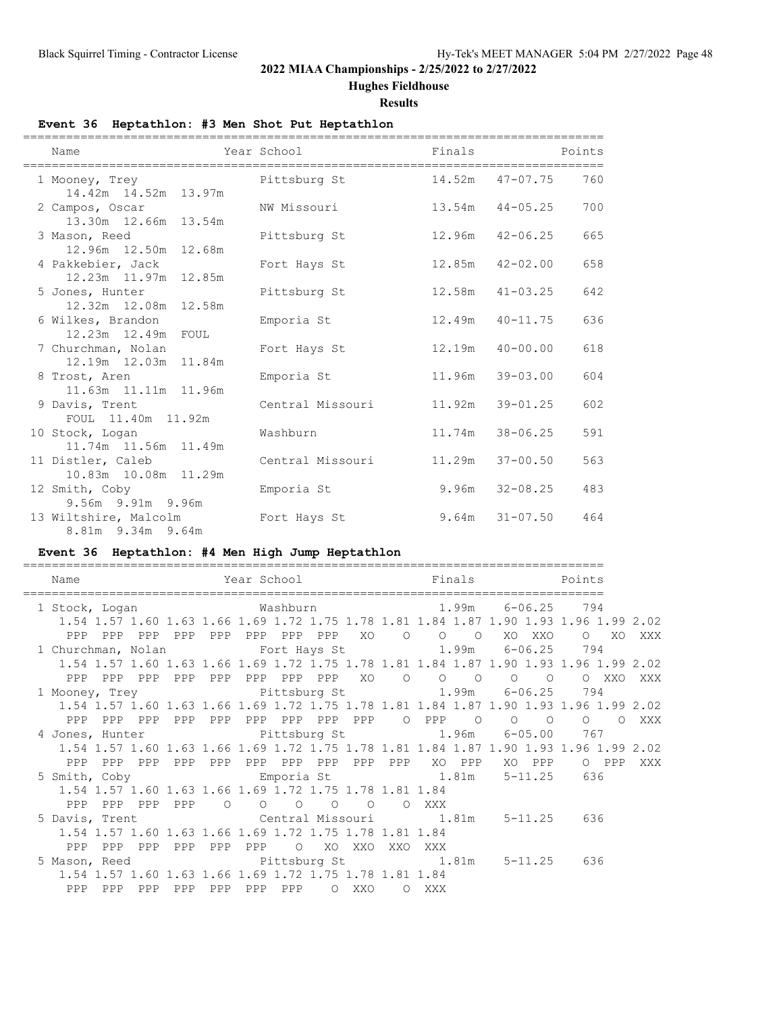## **Hughes Fieldhouse**

### **Results**

## **Event 36 Heptathlon: #3 Men Shot Put Heptathlon**

| Name                                                            | Year School      | Finals |                       | Points |
|-----------------------------------------------------------------|------------------|--------|-----------------------|--------|
| 1 Mooney, Trey<br>14.42m  14.52m  13.97m                        | Pittsburg St     |        | 14.52m  47-07.75  760 |        |
| 2 Campos, Oscar<br>13.30m 12.66m 13.54m                         | NW Missouri      |        | $13.54m$ $44-05.25$   | 700    |
| 3 Mason, Reed<br>12.96m 12.50m 12.68m                           | Pittsburg St     | 12.96m | 42-06.25              | 665    |
| 4 Pakkebier, Jack<br>12.23m 11.97m 12.85m                       | Fort Hays St     | 12.85m | 42-02.00              | 658    |
| 5 Jones, Hunter<br>12.32m 12.08m 12.58m                         | Pittsburg St     | 12.58m | $41 - 03.25$          | 642    |
| 6 Wilkes, Brandon<br>12.23m  12.49m  FOUL                       | Emporia St       | 12.49m | $40 - 11.75$          | 636    |
| 7 Churchman, Nolan<br>12.19m  12.03m  11.84m                    | Fort Hays St     | 12.19m | $40 - 00.00$          | 618    |
| 8 Trost, Aren<br>11.63m 11.11m 11.96m                           | Emporia St       | 11.96m | $39 - 03.00$          | 604    |
| 9 Davis, Trent<br>FOUL 11.40m 11.92m                            | Central Missouri | 11.92m | $39 - 01.25$          | 602    |
| 10 Stock, Logan                                                 | Washburn         | 11.74m | $38 - 06.25$          | 591    |
| 11.74m  11.56m  11.49m<br>11 Distler, Caleb                     | Central Missouri | 11.29m | $37 - 00.50$          | 563    |
| 10.83m 10.08m 11.29m<br>12 Smith, Coby                          | Emporia St       | 9.96m  | 32-08.25              | 483    |
| 9.56m 9.91m 9.96m<br>13 Wiltshire, Malcolm<br>8.81m 9.34m 9.64m | Fort Hays St     |        | $9.64m$ $31-07.50$    | 464    |

## **Event 36 Heptathlon: #4 Men High Jump Heptathlon**

| Name                                                                                 |                        | Year School Tinals Points  |         |                     |
|--------------------------------------------------------------------------------------|------------------------|----------------------------|---------|---------------------|
| 1 Stock, Logan                                                                       |                        | Washburn 1.99m 6-06.25 794 |         |                     |
| 1.54 1.57 1.60 1.63 1.66 1.69 1.72 1.75 1.78 1.81 1.84 1.87 1.90 1.93 1.96 1.99 2.02 |                        |                            |         |                     |
|                                                                                      |                        |                            |         |                     |
| 1 Churchman, Nolan 5 Fort Hays St 5 1.99m 6-06.25 794                                |                        |                            |         |                     |
| 1.54 1.57 1.60 1.63 1.66 1.69 1.72 1.75 1.78 1.81 1.84 1.87 1.90 1.93 1.96 1.99 2.02 |                        |                            |         |                     |
| PPP PPP PPP                                                                          | PPP PPP PPP PPP PPP XO |                            |         | OOOOOOOOOXXOXXX     |
| 1 Mooney, Trey 1.99m 6-06.25 794                                                     |                        |                            |         |                     |
| 1.54 1.57 1.60 1.63 1.66 1.69 1.72 1.75 1.78 1.81 1.84 1.87 1.90 1.93 1.96 1.99 2.02 |                        |                            |         |                     |
|                                                                                      |                        |                            |         |                     |
| 4 Jones, Hunter (a) Pittsburg St (a) 1.96m 6-05.00 767                               |                        |                            |         |                     |
| 1.54 1.57 1.60 1.63 1.66 1.69 1.72 1.75 1.78 1.81 1.84 1.87 1.90 1.93 1.96 1.99 2.02 |                        |                            |         |                     |
|                                                                                      |                        |                            |         | XO PPP O PPP<br>XXX |
| 5 Smith, Coby                                                                        |                        | Emporia St 1.81m 5-11.25   |         | 636                 |
| 1.54 1.57 1.60 1.63 1.66 1.69 1.72 1.75 1.78 1.81 1.84                               |                        |                            |         |                     |
| PPP PPP PPP PPP 0 0 0                                                                |                        | $\overline{O}$<br>$\circ$  | O XXX   |                     |
| 5 Davis, Trent Central Missouri 1.81m 5-11.25 636                                    |                        |                            |         |                     |
| 1.54 1.57 1.60 1.63 1.66 1.69 1.72 1.75 1.78 1.81 1.84                               |                        |                            |         |                     |
| PPP PPP PPP PPP PPP PPP O XO XXO                                                     |                        |                            | XXO XXX |                     |
| 5 Mason, Reed Bittsburg St 1.81m 5-11.25 636                                         |                        |                            |         |                     |
| 1.54 1.57 1.60 1.63 1.66 1.69 1.72 1.75 1.78 1.81 1.84                               |                        |                            |         |                     |
| PPP<br>PPP PPP                                                                       | PPP PPP PPP PPP        | O XXO                      | O XXX   |                     |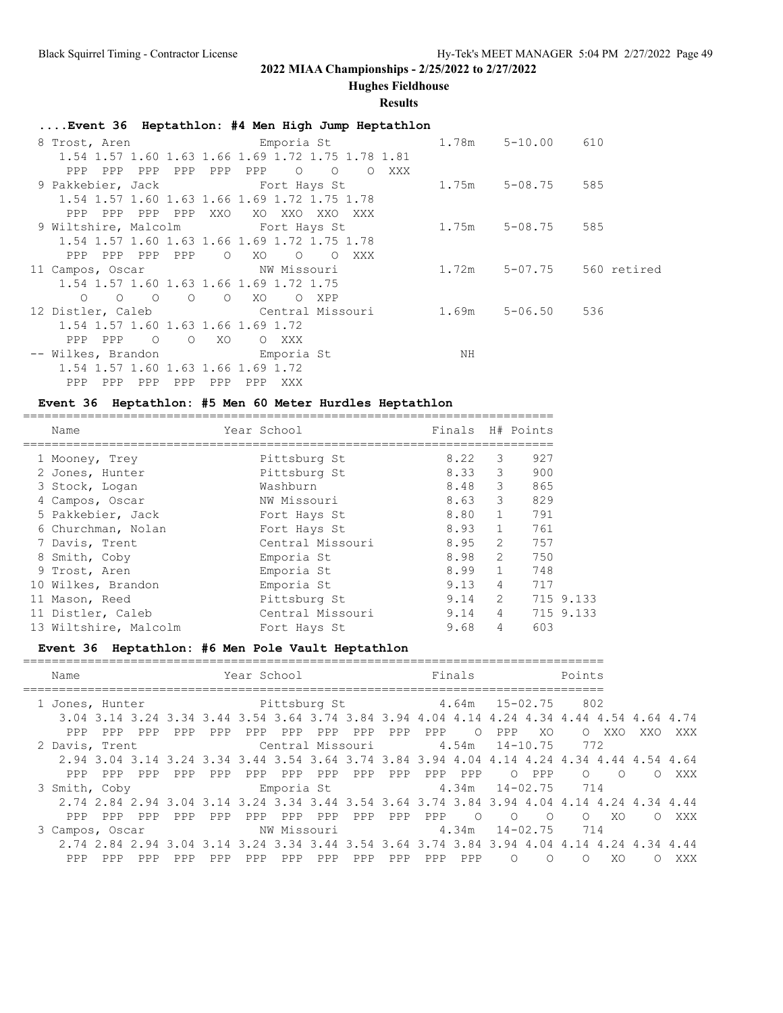**Hughes Fieldhouse**

### **Results**

## **....Event 36 Heptathlon: #4 Men High Jump Heptathlon**

| 8 Trost, Aren                                 | Emporia St                                        |       | $1.78m$ $5-10.00$ | 610         |
|-----------------------------------------------|---------------------------------------------------|-------|-------------------|-------------|
|                                               | 1.54 1.57 1.60 1.63 1.66 1.69 1.72 1.75 1.78 1.81 |       |                   |             |
| PPP PPP<br>PPP<br>PPP                         | PPP<br>$\circ$<br>$\circ$<br>PPP<br>O XXX         |       |                   |             |
|                                               |                                                   |       | 1.75m 5-08.75 585 |             |
|                                               | 1.54 1.57 1.60 1.63 1.66 1.69 1.72 1.75 1.78      |       |                   |             |
| PPP PPP<br>PPP<br>PPP                         | XXO<br>XO XXO<br>XXO<br>XXX                       |       |                   |             |
|                                               | 9 Wiltshire, Malcolm Fort Hays St                 | 1.75m | 5-08.75 585       |             |
|                                               | 1.54 1.57 1.60 1.63 1.66 1.69 1.72 1.75 1.78      |       |                   |             |
| PPP PPP PPP PPP                               | $\circ$<br>XO.<br>$\circ$<br>XXX<br>$\Omega$      |       |                   |             |
| 11 Campos, Oscar                              | NW Missouri                                       | 1.72m | 5-07.75           | 560 retired |
|                                               | 1.54 1.57 1.60 1.63 1.66 1.69 1.72 1.75           |       |                   |             |
| $\overline{O}$<br>$\circ$ $\circ$<br>$\Omega$ | XO<br>$\circ$<br>O XPP                            |       |                   |             |
|                                               | 12 Distler, Caleb Central Missouri 1.69m          |       | 5-06.50           | 536         |
| 1.54 1.57 1.60 1.63 1.66 1.69 1.72            |                                                   |       |                   |             |
| PPP PPP<br>$\overline{O}$<br>$\circ$          | XO<br>O XXX                                       |       |                   |             |
| -- Wilkes, Brandon by Emporia St              |                                                   | ΝH    |                   |             |
| 1.54 1.57 1.60 1.63 1.66 1.69 1.72            |                                                   |       |                   |             |
| PPP                                           | PPP<br>PPP<br>PPP<br>XXX                          |       |                   |             |

## **Event 36 Heptathlon: #5 Men 60 Meter Hurdles Heptathlon**

| Name |                                                                                                                                                                                                                                                             |                  |             |                |                                                          |
|------|-------------------------------------------------------------------------------------------------------------------------------------------------------------------------------------------------------------------------------------------------------------|------------------|-------------|----------------|----------------------------------------------------------|
|      |                                                                                                                                                                                                                                                             | Pittsburg St     | 8.22        | 3              | 927                                                      |
|      |                                                                                                                                                                                                                                                             | Pittsburg St     |             | 3              | 900                                                      |
|      |                                                                                                                                                                                                                                                             | Washburn         | 8.48        | 3              | 865                                                      |
|      |                                                                                                                                                                                                                                                             | NW Missouri      |             | 3              | 829                                                      |
|      |                                                                                                                                                                                                                                                             | Fort Hays St     | 8.80        | $\mathbf{1}$   | 791                                                      |
|      |                                                                                                                                                                                                                                                             | Fort Hays St     |             | $\mathbf{1}$   | 761                                                      |
|      |                                                                                                                                                                                                                                                             | Central Missouri |             | 2              | 757                                                      |
|      |                                                                                                                                                                                                                                                             | Emporia St       | 8.98        | $\mathfrak{L}$ | 750                                                      |
|      |                                                                                                                                                                                                                                                             | Emporia St       | 8.99        | $\mathbf{1}$   | 748                                                      |
|      |                                                                                                                                                                                                                                                             | Emporia St       | 9.13        | 4              | 717                                                      |
|      |                                                                                                                                                                                                                                                             | Pittsburg St     | 9.14        | $\mathfrak{L}$ | 715 9.133                                                |
|      |                                                                                                                                                                                                                                                             | Central Missouri |             | 4              | 715 9.133                                                |
|      |                                                                                                                                                                                                                                                             | Fort Hays St     | 9.68        | 4              | 603                                                      |
|      | 1 Mooney, Trey<br>2 Jones, Hunter<br>3 Stock, Logan<br>4 Campos, Oscar<br>5 Pakkebier, Jack<br>6 Churchman, Nolan<br>7 Davis, Trent<br>8 Smith, Coby<br>9 Trost, Aren<br>10 Wilkes, Brandon<br>11 Mason, Reed<br>11 Distler, Caleb<br>13 Wiltshire, Malcolm |                  | Year School |                | Finals H# Points<br>8.33<br>8.63<br>8.93<br>8.95<br>9.14 |

## **Event 36 Heptathlon: #6 Men Pole Vault Heptathlon**

| Name                                                                                      |            | Year School                   |                        | Finals          |                      | Points             |                   |
|-------------------------------------------------------------------------------------------|------------|-------------------------------|------------------------|-----------------|----------------------|--------------------|-------------------|
| 1 Jones, Hunter                                                                           |            | Pittsburg St $4.64m$ 15-02.75 |                        |                 |                      | 802                |                   |
| 3.04 3.14 3.24 3.34 3.44 3.54 3.64 3.74 3.84 3.94 4.04 4.14 4.24 4.34 4.44 4.54 4.64 4.74 |            |                               |                        |                 |                      |                    |                   |
| PPP<br>PPP<br>PPP                                                                         | PPP<br>PPP | PPP<br>PPP<br>PPP             | PPP<br>PPP             | PPP<br>$\Omega$ | XO.<br>PPP           | XXO<br>$\Omega$    | XXX<br>XXO        |
| 2 Davis, Trent                                                                            |            |                               | Central Missouri 4.54m |                 | 14-10.75             | 772                |                   |
| 2.94 3.04 3.14 3.24 3.34 3.44 3.54 3.64 3.74 3.84 3.94 4.04 4.14 4.24 4.34 4.44 4.54 4.64 |            |                               |                        |                 |                      |                    |                   |
| PPP<br>PPP<br>PPP                                                                         | PPP<br>PPP | PPP<br>PPP<br>PPP             | PPP<br>PPP             | PPP<br>PPP      | PPP<br>$\circ$       | $\circ$<br>$\circ$ | XXX<br>$\bigcirc$ |
| 3 Smith, Coby                                                                             |            |                               | Emporia St             | 4.34m           | $14 - 02.75$         | 714                |                   |
| 2.74 2.84 2.94 3.04 3.14 3.24 3.34 3.44 3.54 3.64 3.74 3.84 3.94 4.04 4.14 4.24 4.34 4.44 |            |                               |                        |                 |                      |                    |                   |
| PPP<br>PPP<br>PPP                                                                         | PPP<br>PPP | PPP.<br>PPP<br>PPP            | PPP<br>PPP             | PPP<br>$\Omega$ | $\Omega$<br>$\Omega$ | XO.<br>$\Omega$    | XXX<br>$\cap$     |
| 3 Campos, Oscar                                                                           |            |                               | NW Missouri            | 4.34m           | $14 - 02.75$         | 714                |                   |
| 2.74 2.84 2.94 3.04 3.14 3.24 3.34 3.44 3.54 3.64 3.74 3.84 3.94 4.04 4.14 4.24 4.34 4.44 |            |                               |                        |                 |                      |                    |                   |
| PPP<br>PPP<br>PPP                                                                         | PPP<br>PPP | PPP<br>PPP<br>PPP             | PPP<br>PPP             | PPP<br>PPP      | $\Omega$<br>$\Omega$ | XO.<br>O           | XXX               |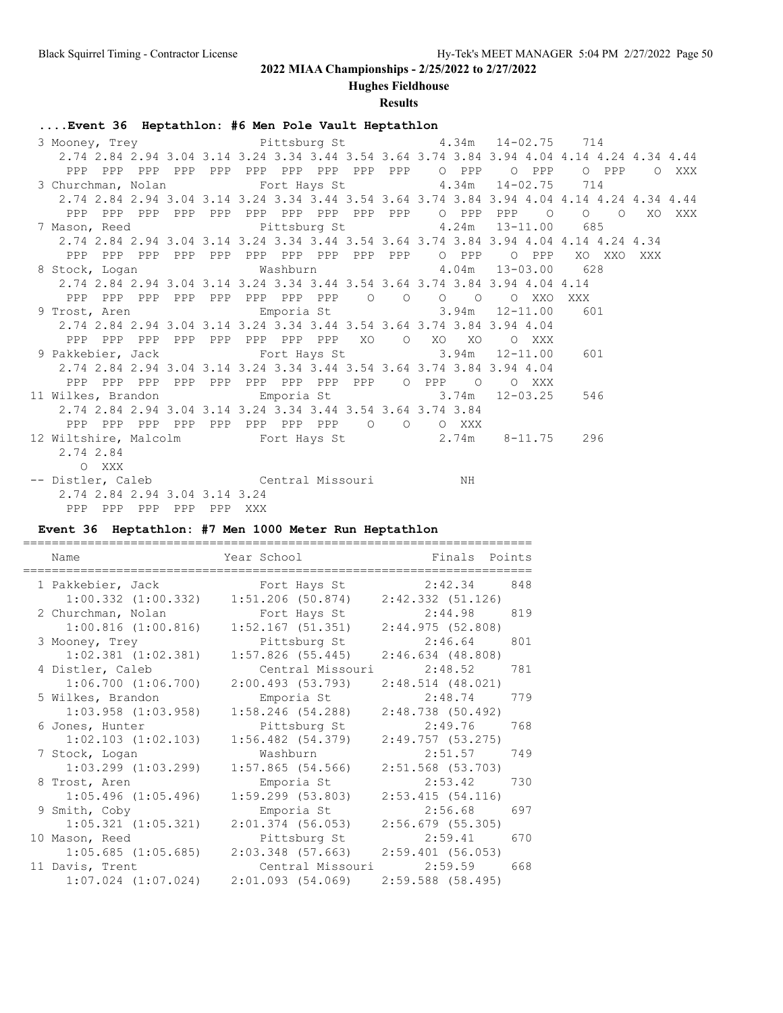**Hughes Fieldhouse**

### **Results**

## **....Event 36 Heptathlon: #6 Men Pole Vault Heptathlon**

| 2.74 2.84 2.94 3.04 3.14 3.24 3.34 3.44 3.54 3.64 3.74 3.84 3.94 4.04 4.14 4.24 4.34 4.44 |  |                                                            |                                                                     |  |  |  |  |  |  |  |  |  |     |        |     |  |
|-------------------------------------------------------------------------------------------|--|------------------------------------------------------------|---------------------------------------------------------------------|--|--|--|--|--|--|--|--|--|-----|--------|-----|--|
|                                                                                           |  |                                                            |                                                                     |  |  |  |  |  |  |  |  |  |     |        |     |  |
|                                                                                           |  | 3 Churchman, Nolan 5 Fort Hays St 5 714 4.34m 14-02.75 714 |                                                                     |  |  |  |  |  |  |  |  |  |     |        |     |  |
| 2.74 2.84 2.94 3.04 3.14 3.24 3.34 3.44 3.54 3.64 3.74 3.84 3.94 4.04 4.14 4.24 4.34 4.44 |  |                                                            |                                                                     |  |  |  |  |  |  |  |  |  |     |        |     |  |
|                                                                                           |  |                                                            |                                                                     |  |  |  |  |  |  |  |  |  |     |        |     |  |
|                                                                                           |  |                                                            | 7 Mason, Reed Fittsburg St 4.24m 13-11.00 685                       |  |  |  |  |  |  |  |  |  |     |        |     |  |
| 2.74 2.84 2.94 3.04 3.14 3.24 3.34 3.44 3.54 3.64 3.74 3.84 3.94 4.04 4.14 4.24 4.34      |  |                                                            |                                                                     |  |  |  |  |  |  |  |  |  |     |        |     |  |
|                                                                                           |  |                                                            |                                                                     |  |  |  |  |  |  |  |  |  |     | XO XXO | XXX |  |
|                                                                                           |  |                                                            | 8 Stock, Logan Mashburn 4.04m 13-03.00 628                          |  |  |  |  |  |  |  |  |  |     |        |     |  |
| 2.74 2.84 2.94 3.04 3.14 3.24 3.34 3.44 3.54 3.64 3.74 3.84 3.94 4.04 4.14                |  |                                                            |                                                                     |  |  |  |  |  |  |  |  |  |     |        |     |  |
|                                                                                           |  |                                                            |                                                                     |  |  |  |  |  |  |  |  |  |     |        |     |  |
|                                                                                           |  |                                                            | 9 Trost, Aren             Emporia St         3.94m   12-11.00   601 |  |  |  |  |  |  |  |  |  |     |        |     |  |
| 2.74 2.84 2.94 3.04 3.14 3.24 3.34 3.44 3.54 3.64 3.74 3.84 3.94 4.04                     |  |                                                            |                                                                     |  |  |  |  |  |  |  |  |  |     |        |     |  |
| PPP PPP PPP PPP PPP PPP PPP PPP XO O XO XO O XXX                                          |  |                                                            |                                                                     |  |  |  |  |  |  |  |  |  |     |        |     |  |
| 9 Pakkebier, Jack 6 Fort Hays St 3.94m 12-11.00                                           |  |                                                            |                                                                     |  |  |  |  |  |  |  |  |  | 601 |        |     |  |
| 2.74 2.84 2.94 3.04 3.14 3.24 3.34 3.44 3.54 3.64 3.74 3.84 3.94 4.04                     |  |                                                            |                                                                     |  |  |  |  |  |  |  |  |  |     |        |     |  |
| PPP PPP PPP PPP PPP PPP PPP PPP PPP O PPP O O XXX                                         |  |                                                            |                                                                     |  |  |  |  |  |  |  |  |  |     |        |     |  |
| 11 Wilkes, Brandon and Emporia St 3.74m 12-03.25                                          |  |                                                            |                                                                     |  |  |  |  |  |  |  |  |  | 546 |        |     |  |
| 2.74 2.84 2.94 3.04 3.14 3.24 3.34 3.44 3.54 3.64 3.74 3.84                               |  |                                                            |                                                                     |  |  |  |  |  |  |  |  |  |     |        |     |  |
| PPP PPP PPP PPP PPP PPP PPP PPP 0 0 0 XXX                                                 |  |                                                            |                                                                     |  |  |  |  |  |  |  |  |  |     |        |     |  |
|                                                                                           |  |                                                            | 12 Wiltshire, Malcolm 6-11.75 296                                   |  |  |  |  |  |  |  |  |  |     |        |     |  |
| 2.74 2.84                                                                                 |  |                                                            |                                                                     |  |  |  |  |  |  |  |  |  |     |        |     |  |
| O XXX                                                                                     |  |                                                            |                                                                     |  |  |  |  |  |  |  |  |  |     |        |     |  |
| -- Distler, Caleb Central Missouri NH                                                     |  |                                                            |                                                                     |  |  |  |  |  |  |  |  |  |     |        |     |  |
| 2.74 2.84 2.94 3.04 3.14 3.24                                                             |  |                                                            |                                                                     |  |  |  |  |  |  |  |  |  |     |        |     |  |

PPP PPP PPP PPP PPP XXX

**Event 36 Heptathlon: #7 Men 1000 Meter Run Heptathlon**

| Name                    | Year School           | Finals Points         |     |
|-------------------------|-----------------------|-----------------------|-----|
| 1 Pakkebier, Jack       | Fort Hays St          | 2:42.34               | 848 |
| $1:00.332$ $(1:00.332)$ | $1:51.206$ (50.874)   | $2:42.332$ $(51.126)$ |     |
| 2 Churchman, Nolan      | Fort Hays St          | 2:44.98               | 819 |
| $1:00.816$ $(1:00.816)$ | $1:52.167$ (51.351)   | 2:44.975(52.808)      |     |
| 3 Mooney, Trey          | Pittsburg St          | 2:46.64               | 801 |
| $1:02.381$ $(1:02.381)$ | $1:57.826$ (55.445)   | $2:46.634$ (48.808)   |     |
| 4 Distler, Caleb        | Central Missouri      | 2:48.52               | 781 |
| $1:06.700$ $(1:06.700)$ | 2:00.493(53.793)      | $2:48.514$ (48.021)   |     |
| 5 Wilkes, Brandon       | Emporia St            | 2:48.74               | 779 |
| $1:03.958$ $(1:03.958)$ | $1:58.246$ (54.288)   | 2:48.738(50.492)      |     |
| 6 Jones, Hunter         | Pittsburg St          | 2:49.76               | 768 |
| $1:02.103$ $(1:02.103)$ | $1:56.482$ $(54.379)$ | 2:49.757(53.275)      |     |
| 7 Stock, Logan          | Washburn              | 2:51.57               | 749 |
| $1:03.299$ $(1:03.299)$ | $1:57.865$ (54.566)   | $2:51.568$ (53.703)   |     |
| 8 Trost, Aren           | Emporia St            | 2:53.42               | 730 |
| $1:05.496$ $(1:05.496)$ | $1:59.299$ (53.803)   | 2:53.415(54.116)      |     |
| 9 Smith, Coby           | Emporia St            | 2:56.68               | 697 |
| $1:05.321$ $(1:05.321)$ | $2:01.374$ (56.053)   | $2:56.679$ (55.305)   |     |
| 10 Mason, Reed          | Pittsburg St          | 2:59.41               | 670 |
| $1:05.685$ $(1:05.685)$ | 2:03.348 (57.663)     | 2:59.401(56.053)      |     |
| 11 Davis, Trent         | Central Missouri      | 2:59.59               | 668 |
| $1:07.024$ $(1:07.024)$ | 2:01.093(54.069)      | $2:59.588$ (58.495)   |     |